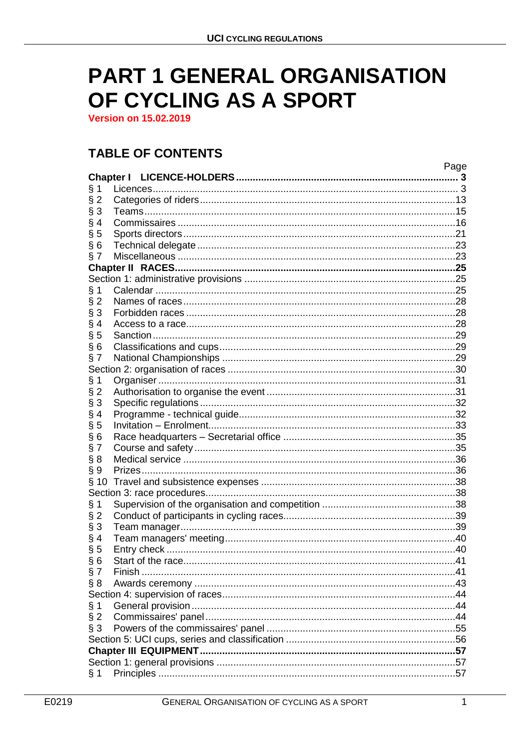# **PART 1 GENERAL ORGANISATION** OF CYCLING AS A SPORT

**Version on 15.02.2019** 

# **TABLE OF CONTENTS**

|                  |  | Page |  |  |  |  |
|------------------|--|------|--|--|--|--|
| <b>Chapter I</b> |  |      |  |  |  |  |
| § 1              |  |      |  |  |  |  |
| $§$ 2            |  |      |  |  |  |  |
| § 3              |  |      |  |  |  |  |
| § 4              |  |      |  |  |  |  |
| $\S5$            |  |      |  |  |  |  |
| §6               |  |      |  |  |  |  |
| § 7              |  |      |  |  |  |  |
|                  |  |      |  |  |  |  |
|                  |  |      |  |  |  |  |
| § 1              |  |      |  |  |  |  |
| $§$ 2            |  |      |  |  |  |  |
| § 3              |  |      |  |  |  |  |
| § 4              |  |      |  |  |  |  |
| § 5              |  |      |  |  |  |  |
| §6               |  |      |  |  |  |  |
| § 7              |  |      |  |  |  |  |
|                  |  |      |  |  |  |  |
| § 1              |  |      |  |  |  |  |
| $§$ 2            |  |      |  |  |  |  |
| § 3              |  |      |  |  |  |  |
|                  |  |      |  |  |  |  |
| § 4              |  |      |  |  |  |  |
| $\S5$            |  |      |  |  |  |  |
| §6               |  |      |  |  |  |  |
| § 7              |  |      |  |  |  |  |
| § 8              |  |      |  |  |  |  |
| $\S 9$           |  |      |  |  |  |  |
|                  |  |      |  |  |  |  |
|                  |  |      |  |  |  |  |
| § 1              |  |      |  |  |  |  |
| $§$ 2            |  |      |  |  |  |  |
| § 3              |  |      |  |  |  |  |
| § 4              |  |      |  |  |  |  |
| § 5              |  |      |  |  |  |  |
| §6               |  |      |  |  |  |  |
| § 7              |  |      |  |  |  |  |
| § 8              |  |      |  |  |  |  |
|                  |  |      |  |  |  |  |
| § 1              |  |      |  |  |  |  |
| $§$ 2            |  |      |  |  |  |  |
| § 3              |  |      |  |  |  |  |
|                  |  |      |  |  |  |  |
|                  |  |      |  |  |  |  |
|                  |  |      |  |  |  |  |
| § 1              |  |      |  |  |  |  |
|                  |  |      |  |  |  |  |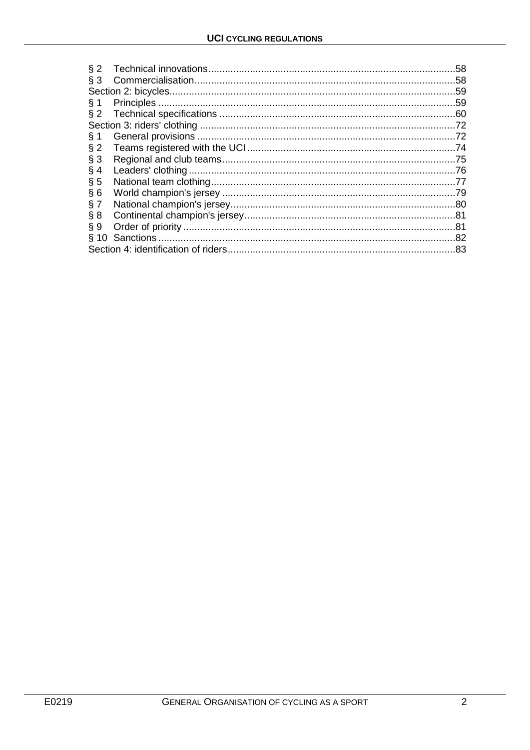| § 3    |     |  |  |  |
|--------|-----|--|--|--|
|        |     |  |  |  |
|        |     |  |  |  |
| $§$ 1  |     |  |  |  |
|        |     |  |  |  |
|        |     |  |  |  |
| § 1    | .72 |  |  |  |
| $§$ 2  |     |  |  |  |
| § 3    | .75 |  |  |  |
| § 4    |     |  |  |  |
| $\S$ 5 |     |  |  |  |
| § 6    | .79 |  |  |  |
| § 7    |     |  |  |  |
| § 8    |     |  |  |  |
| § 9    |     |  |  |  |
|        |     |  |  |  |
| .83    |     |  |  |  |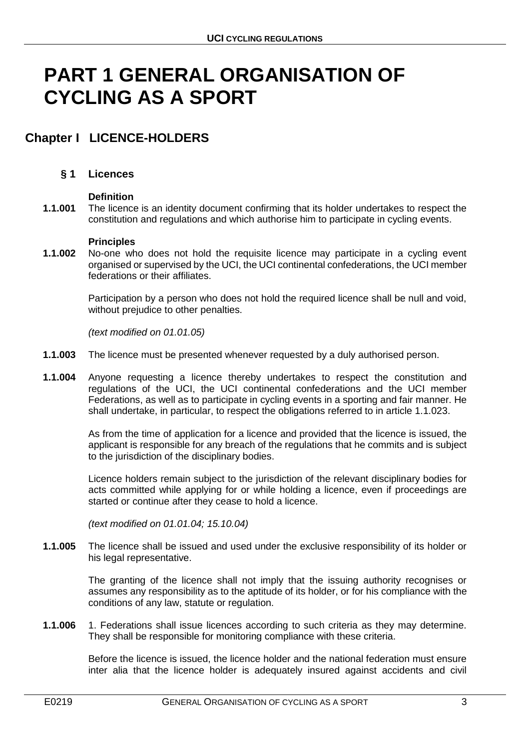# **PART 1 GENERAL ORGANISATION OF CYCLING AS A SPORT**

# <span id="page-2-0"></span>**Chapter I LICENCE-HOLDERS**

# <span id="page-2-1"></span>**§ 1 Licences**

### **Definition**

**1.1.001** The licence is an identity document confirming that its holder undertakes to respect the constitution and regulations and which authorise him to participate in cycling events.

### **Principles**

**1.1.002** No-one who does not hold the requisite licence may participate in a cycling event organised or supervised by the UCI, the UCI continental confederations, the UCI member federations or their affiliates.

> Participation by a person who does not hold the required licence shall be null and void, without prejudice to other penalties.

*(text modified on 01.01.05)*

- **1.1.003** The licence must be presented whenever requested by a duly authorised person.
- **1.1.004** Anyone requesting a licence thereby undertakes to respect the constitution and regulations of the UCI, the UCI continental confederations and the UCI member Federations, as well as to participate in cycling events in a sporting and fair manner. He shall undertake, in particular, to respect the obligations referred to in article 1.1.023.

As from the time of application for a licence and provided that the licence is issued, the applicant is responsible for any breach of the regulations that he commits and is subject to the jurisdiction of the disciplinary bodies.

Licence holders remain subject to the jurisdiction of the relevant disciplinary bodies for acts committed while applying for or while holding a licence, even if proceedings are started or continue after they cease to hold a licence.

*(text modified on 01.01.04; 15.10.04)*

**1.1.005** The licence shall be issued and used under the exclusive responsibility of its holder or his legal representative.

> The granting of the licence shall not imply that the issuing authority recognises or assumes any responsibility as to the aptitude of its holder, or for his compliance with the conditions of any law, statute or regulation.

**1.1.006** 1. Federations shall issue licences according to such criteria as they may determine. They shall be responsible for monitoring compliance with these criteria.

> Before the licence is issued, the licence holder and the national federation must ensure inter alia that the licence holder is adequately insured against accidents and civil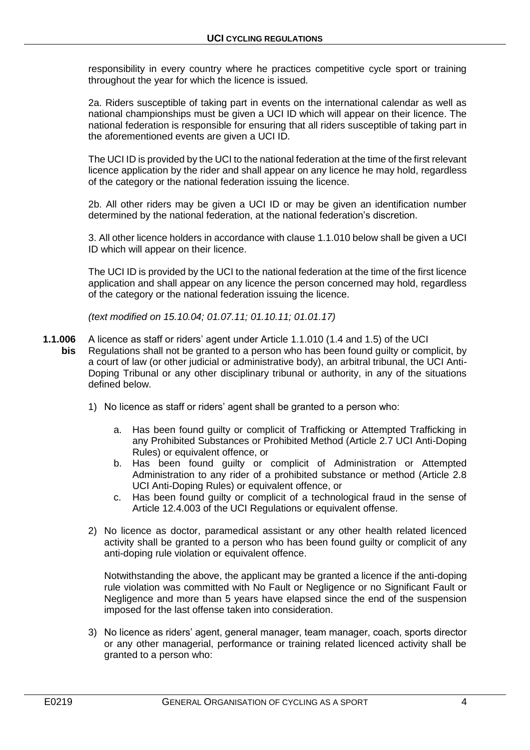responsibility in every country where he practices competitive cycle sport or training throughout the year for which the licence is issued.

2a. Riders susceptible of taking part in events on the international calendar as well as national championships must be given a UCI ID which will appear on their licence. The national federation is responsible for ensuring that all riders susceptible of taking part in the aforementioned events are given a UCI ID.

The UCI ID is provided by the UCI to the national federation at the time of the first relevant licence application by the rider and shall appear on any licence he may hold, regardless of the category or the national federation issuing the licence.

2b. All other riders may be given a UCI ID or may be given an identification number determined by the national federation, at the national federation's discretion.

3. All other licence holders in accordance with clause 1.1.010 below shall be given a UCI ID which will appear on their licence.

The UCI ID is provided by the UCI to the national federation at the time of the first licence application and shall appear on any licence the person concerned may hold, regardless of the category or the national federation issuing the licence.

*(text modified on 15.10.04; 01.07.11; 01.10.11; 01.01.17)*

- **1.1.006** A licence as staff or riders' agent under Article 1.1.010 (1.4 and 1.5) of the UCI **bis** Regulations shall not be granted to a person who has been found guilty or complicit, by a court of law (or other judicial or administrative body), an arbitral tribunal, the UCI Anti-Doping Tribunal or any other disciplinary tribunal or authority, in any of the situations defined below.
	- 1) No licence as staff or riders' agent shall be granted to a person who:
		- a. Has been found guilty or complicit of Trafficking or Attempted Trafficking in any Prohibited Substances or Prohibited Method (Article 2.7 UCI Anti-Doping Rules) or equivalent offence, or
		- b. Has been found guilty or complicit of Administration or Attempted Administration to any rider of a prohibited substance or method (Article 2.8 UCI Anti-Doping Rules) or equivalent offence, or
		- c. Has been found guilty or complicit of a technological fraud in the sense of Article 12.4.003 of the UCI Regulations or equivalent offense.
	- 2) No licence as doctor, paramedical assistant or any other health related licenced activity shall be granted to a person who has been found guilty or complicit of any anti-doping rule violation or equivalent offence.

Notwithstanding the above, the applicant may be granted a licence if the anti-doping rule violation was committed with No Fault or Negligence or no Significant Fault or Negligence and more than 5 years have elapsed since the end of the suspension imposed for the last offense taken into consideration.

3) No licence as riders' agent, general manager, team manager, coach, sports director or any other managerial, performance or training related licenced activity shall be granted to a person who: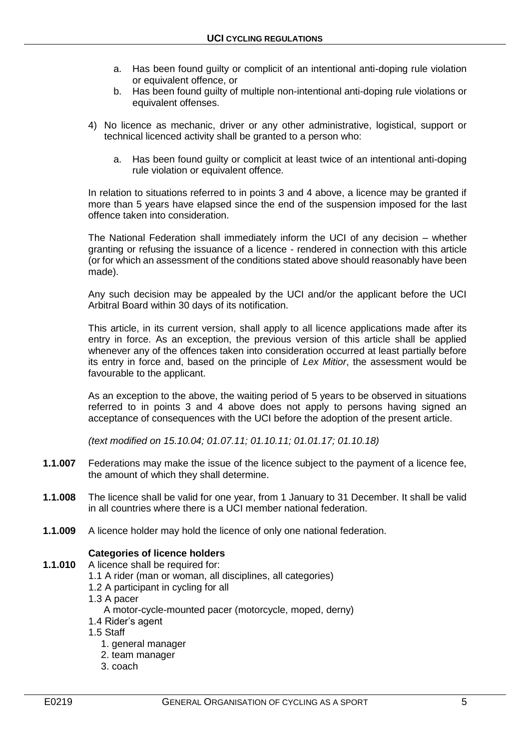- a. Has been found guilty or complicit of an intentional anti-doping rule violation or equivalent offence, or
- b. Has been found guilty of multiple non-intentional anti-doping rule violations or equivalent offenses.
- 4) No licence as mechanic, driver or any other administrative, logistical, support or technical licenced activity shall be granted to a person who:
	- a. Has been found guilty or complicit at least twice of an intentional anti-doping rule violation or equivalent offence.

In relation to situations referred to in points 3 and 4 above, a licence may be granted if more than 5 years have elapsed since the end of the suspension imposed for the last offence taken into consideration.

The National Federation shall immediately inform the UCI of any decision – whether granting or refusing the issuance of a licence - rendered in connection with this article (or for which an assessment of the conditions stated above should reasonably have been made).

Any such decision may be appealed by the UCI and/or the applicant before the UCI Arbitral Board within 30 days of its notification.

This article, in its current version, shall apply to all licence applications made after its entry in force. As an exception, the previous version of this article shall be applied whenever any of the offences taken into consideration occurred at least partially before its entry in force and, based on the principle of *Lex Mitior*, the assessment would be favourable to the applicant.

As an exception to the above, the waiting period of 5 years to be observed in situations referred to in points 3 and 4 above does not apply to persons having signed an acceptance of consequences with the UCI before the adoption of the present article.

*(text modified on 15.10.04; 01.07.11; 01.10.11; 01.01.17; 01.10.18)*

- **1.1.007** Federations may make the issue of the licence subject to the payment of a licence fee, the amount of which they shall determine.
- **1.1.008** The licence shall be valid for one year, from 1 January to 31 December. It shall be valid in all countries where there is a UCI member national federation.
- **1.1.009** A licence holder may hold the licence of only one national federation.

### **Categories of licence holders**

- **1.1.010** A licence shall be required for:
	- 1.1 A rider (man or woman, all disciplines, all categories)
	- 1.2 A participant in cycling for all
	- 1.3 A pacer
		- A motor-cycle-mounted pacer (motorcycle, moped, derny)
	- 1.4 Rider's agent
	- 1.5 Staff
		- 1. general manager
		- 2. team manager
		- 3. coach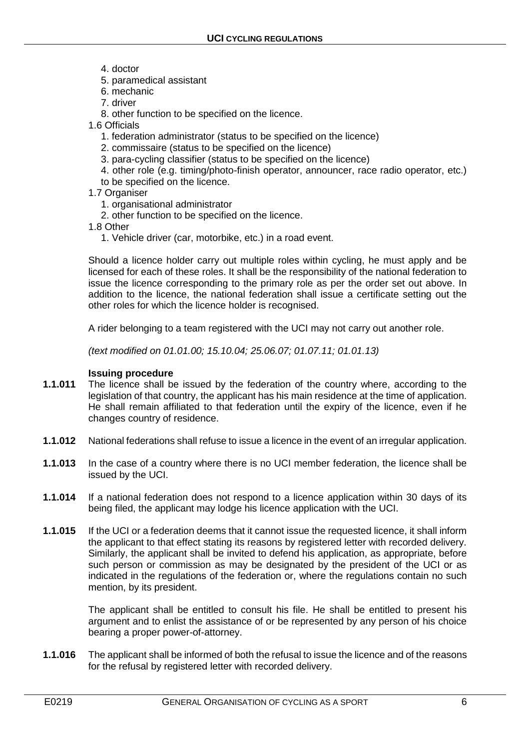- 4. doctor
- 5. paramedical assistant
- 6. mechanic
- 7. driver
- 8. other function to be specified on the licence.

1.6 Officials

- 1. federation administrator (status to be specified on the licence)
- 2. commissaire (status to be specified on the licence)
- 3. para-cycling classifier (status to be specified on the licence)
- 4. other role (e.g. timing/photo-finish operator, announcer, race radio operator, etc.)
- to be specified on the licence.
- 1.7 Organiser
	- 1. organisational administrator
	- 2. other function to be specified on the licence.
- 1.8 Other
	- 1. Vehicle driver (car, motorbike, etc.) in a road event.

Should a licence holder carry out multiple roles within cycling, he must apply and be licensed for each of these roles. It shall be the responsibility of the national federation to issue the licence corresponding to the primary role as per the order set out above. In addition to the licence, the national federation shall issue a certificate setting out the other roles for which the licence holder is recognised.

A rider belonging to a team registered with the UCI may not carry out another role.

*(text modified on 01.01.00; 15.10.04; 25.06.07; 01.07.11; 01.01.13)*

#### **Issuing procedure**

- **1.1.011** The licence shall be issued by the federation of the country where, according to the legislation of that country, the applicant has his main residence at the time of application. He shall remain affiliated to that federation until the expiry of the licence, even if he changes country of residence.
- **1.1.012** National federations shall refuse to issue a licence in the event of an irregular application.
- **1.1.013** In the case of a country where there is no UCI member federation, the licence shall be issued by the UCI.
- **1.1.014** If a national federation does not respond to a licence application within 30 days of its being filed, the applicant may lodge his licence application with the UCI.
- **1.1.015** If the UCI or a federation deems that it cannot issue the requested licence, it shall inform the applicant to that effect stating its reasons by registered letter with recorded delivery. Similarly, the applicant shall be invited to defend his application, as appropriate, before such person or commission as may be designated by the president of the UCI or as indicated in the regulations of the federation or, where the regulations contain no such mention, by its president.

The applicant shall be entitled to consult his file. He shall be entitled to present his argument and to enlist the assistance of or be represented by any person of his choice bearing a proper power-of-attorney.

**1.1.016** The applicant shall be informed of both the refusal to issue the licence and of the reasons for the refusal by registered letter with recorded delivery.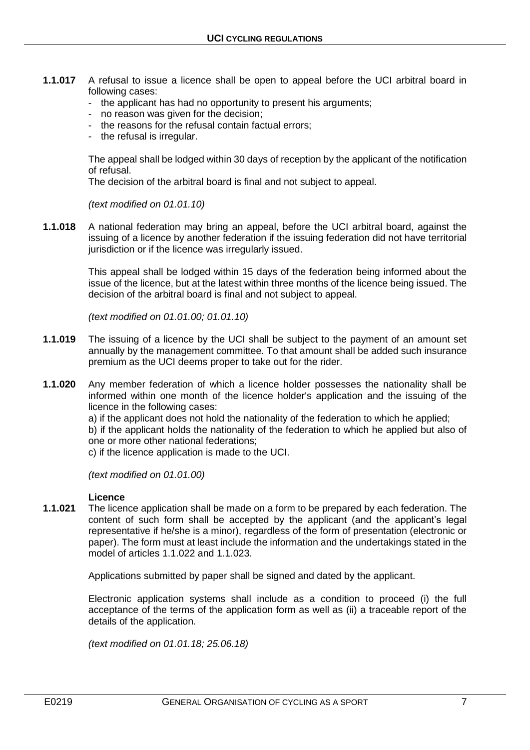- **1.1.017** A refusal to issue a licence shall be open to appeal before the UCI arbitral board in following cases:
	- the applicant has had no opportunity to present his arguments;
	- no reason was given for the decision;
	- the reasons for the refusal contain factual errors;
	- the refusal is irregular.

The appeal shall be lodged within 30 days of reception by the applicant of the notification of refusal.

The decision of the arbitral board is final and not subject to appeal.

*(text modified on 01.01.10)*

**1.1.018** A national federation may bring an appeal, before the UCI arbitral board, against the issuing of a licence by another federation if the issuing federation did not have territorial jurisdiction or if the licence was irregularly issued.

> This appeal shall be lodged within 15 days of the federation being informed about the issue of the licence, but at the latest within three months of the licence being issued. The decision of the arbitral board is final and not subject to appeal.

*(text modified on 01.01.00; 01.01.10)*

- **1.1.019** The issuing of a licence by the UCI shall be subject to the payment of an amount set annually by the management committee. To that amount shall be added such insurance premium as the UCI deems proper to take out for the rider.
- **1.1.020** Any member federation of which a licence holder possesses the nationality shall be informed within one month of the licence holder's application and the issuing of the licence in the following cases:

a) if the applicant does not hold the nationality of the federation to which he applied;

b) if the applicant holds the nationality of the federation to which he applied but also of one or more other national federations;

c) if the licence application is made to the UCI.

*(text modified on 01.01.00)*

#### **Licence**

**1.1.021** The licence application shall be made on a form to be prepared by each federation. The content of such form shall be accepted by the applicant (and the applicant's legal representative if he/she is a minor), regardless of the form of presentation (electronic or paper). The form must at least include the information and the undertakings stated in the model of articles 1.1.022 and 1.1.023.

Applications submitted by paper shall be signed and dated by the applicant.

Electronic application systems shall include as a condition to proceed (i) the full acceptance of the terms of the application form as well as (ii) a traceable report of the details of the application.

*(text modified on 01.01.18; 25.06.18)*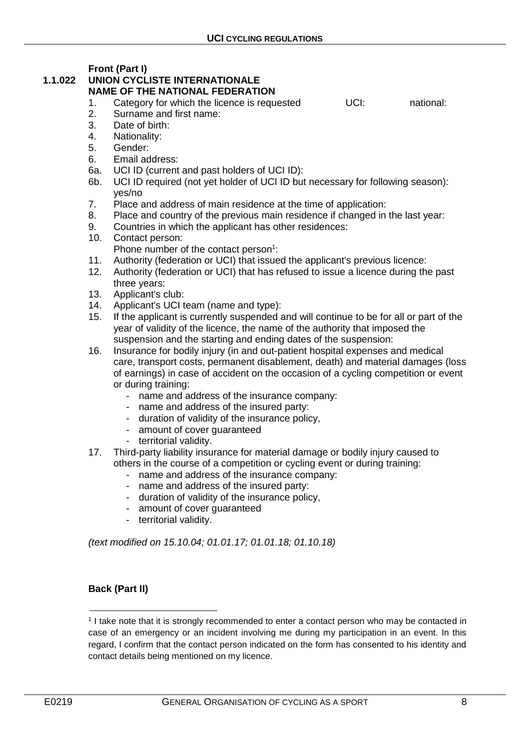**Front (Part I)**

#### **1.1.022 UNION CYCLISTE INTERNATIONALE NAME OF THE NATIONAL FEDERATION**

- 1. Category for which the licence is requested UCI: hational:
- 2. Surname and first name:
- 3. Date of birth:
- 4. Nationality:
- 5. Gender:
- 6. Email address:
- 6a. UCI ID (current and past holders of UCI ID):
- 6b. UCI ID required (not yet holder of UCI ID but necessary for following season): yes/no
- 7. Place and address of main residence at the time of application:
- 8. Place and country of the previous main residence if changed in the last year:
- 9. Countries in which the applicant has other residences:
- 10. Contact person: Phone number of the contact person $1$ :
- 11. Authority (federation or UCI) that issued the applicant's previous licence:
- 12. Authority (federation or UCI) that has refused to issue a licence during the past three years:
- 13. Applicant's club:
- 14. Applicant's UCI team (name and type):
- 15. If the applicant is currently suspended and will continue to be for all or part of the year of validity of the licence, the name of the authority that imposed the suspension and the starting and ending dates of the suspension:
- 16. Insurance for bodily injury (in and out-patient hospital expenses and medical care, transport costs, permanent disablement, death) and material damages (loss of earnings) in case of accident on the occasion of a cycling competition or event or during training:
	- name and address of the insurance company:
	- name and address of the insured party:
	- duration of validity of the insurance policy,
	- amount of cover guaranteed
	- territorial validity.
- 17. Third-party liability insurance for material damage or bodily injury caused to others in the course of a competition or cycling event or during training:
	- name and address of the insurance company:
	- name and address of the insured party:
	- duration of validity of the insurance policy,
	- amount of cover guaranteed
	- territorial validity.

*(text modified on 15.10.04; 01.01.17; 01.01.18; 01.10.18)*

# **Back (Part II)**

 $\overline{a}$ 

<sup>1</sup> I take note that it is strongly recommended to enter a contact person who may be contacted in case of an emergency or an incident involving me during my participation in an event. In this regard, I confirm that the contact person indicated on the form has consented to his identity and contact details being mentioned on my licence.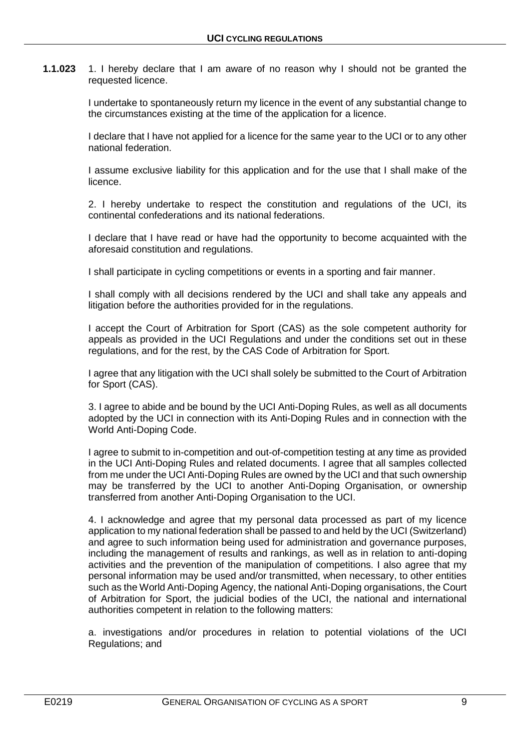**1.1.023** 1. I hereby declare that I am aware of no reason why I should not be granted the requested licence.

> I undertake to spontaneously return my licence in the event of any substantial change to the circumstances existing at the time of the application for a licence.

> I declare that I have not applied for a licence for the same year to the UCI or to any other national federation.

> I assume exclusive liability for this application and for the use that I shall make of the licence.

> 2. I hereby undertake to respect the constitution and regulations of the UCI, its continental confederations and its national federations.

> I declare that I have read or have had the opportunity to become acquainted with the aforesaid constitution and regulations.

I shall participate in cycling competitions or events in a sporting and fair manner.

I shall comply with all decisions rendered by the UCI and shall take any appeals and litigation before the authorities provided for in the regulations.

I accept the Court of Arbitration for Sport (CAS) as the sole competent authority for appeals as provided in the UCI Regulations and under the conditions set out in these regulations, and for the rest, by the CAS Code of Arbitration for Sport.

I agree that any litigation with the UCI shall solely be submitted to the Court of Arbitration for Sport (CAS).

3. I agree to abide and be bound by the UCI Anti-Doping Rules, as well as all documents adopted by the UCI in connection with its Anti-Doping Rules and in connection with the World Anti-Doping Code.

I agree to submit to in-competition and out-of-competition testing at any time as provided in the UCI Anti-Doping Rules and related documents. I agree that all samples collected from me under the UCI Anti-Doping Rules are owned by the UCI and that such ownership may be transferred by the UCI to another Anti-Doping Organisation, or ownership transferred from another Anti-Doping Organisation to the UCI.

4. I acknowledge and agree that my personal data processed as part of my licence application to my national federation shall be passed to and held by the UCI (Switzerland) and agree to such information being used for administration and governance purposes, including the management of results and rankings, as well as in relation to anti-doping activities and the prevention of the manipulation of competitions. I also agree that my personal information may be used and/or transmitted, when necessary, to other entities such as the World Anti-Doping Agency, the national Anti-Doping organisations, the Court of Arbitration for Sport, the judicial bodies of the UCI, the national and international authorities competent in relation to the following matters:

a. investigations and/or procedures in relation to potential violations of the UCI Regulations; and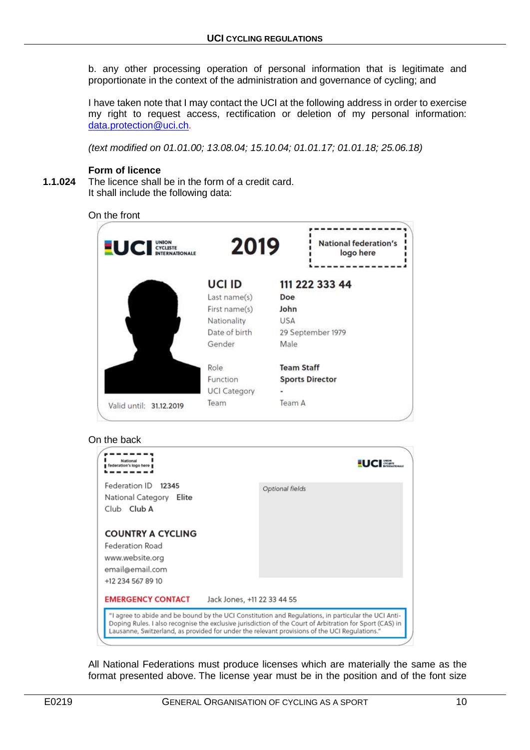b. any other processing operation of personal information that is legitimate and proportionate in the context of the administration and governance of cycling; and

I have taken note that I may contact the UCI at the following address in order to exercise my right to request access, rectification or deletion of my personal information: [data.protection@uci.ch.](mailto:data.protection@uci.ch)

*(text modified on 01.01.00; 13.08.04; 15.10.04; 01.01.17; 01.01.18; 25.06.18)*

#### **Form of licence**

**1.1.024** The licence shall be in the form of a credit card. It shall include the following data:



#### On the back

|                                                                                                                                                                                                                                                                                                                  | National<br>federation's logo here                                                                     |                             |                 | cycusts |  |  |  |
|------------------------------------------------------------------------------------------------------------------------------------------------------------------------------------------------------------------------------------------------------------------------------------------------------------------|--------------------------------------------------------------------------------------------------------|-----------------------------|-----------------|---------|--|--|--|
|                                                                                                                                                                                                                                                                                                                  | Federation ID 12345<br>National Category<br>Elite<br>Club Club A                                       |                             | Optional fields |         |  |  |  |
|                                                                                                                                                                                                                                                                                                                  | <b>COUNTRY A CYCLING</b><br>Federation Road<br>www.website.org<br>email@email.com<br>+12 234 567 89 10 |                             |                 |         |  |  |  |
|                                                                                                                                                                                                                                                                                                                  | <b>EMERGENCY CONTACT</b>                                                                               | Jack Jones, +11 22 33 44 55 |                 |         |  |  |  |
| "I agree to abide and be bound by the UCI Constitution and Regulations, in particular the UCI Anti-<br>Doping Rules. I also recognise the exclusive jurisdiction of the Court of Arbitration for Sport (CAS) in<br>Lausanne, Switzerland, as provided for under the relevant provisions of the UCI Regulations." |                                                                                                        |                             |                 |         |  |  |  |
|                                                                                                                                                                                                                                                                                                                  |                                                                                                        |                             |                 |         |  |  |  |

All National Federations must produce licenses which are materially the same as the format presented above. The license year must be in the position and of the font size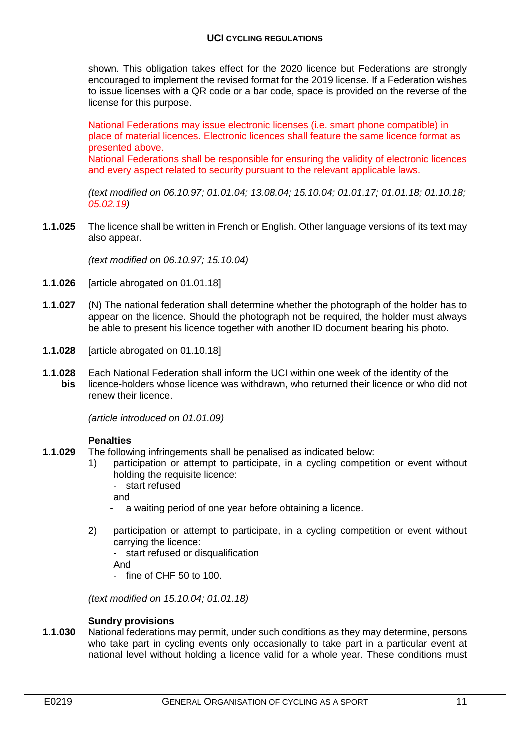shown. This obligation takes effect for the 2020 licence but Federations are strongly encouraged to implement the revised format for the 2019 license. If a Federation wishes to issue licenses with a QR code or a bar code, space is provided on the reverse of the license for this purpose.

National Federations may issue electronic licenses (i.e. smart phone compatible) in place of material licences. Electronic licences shall feature the same licence format as presented above. National Federations shall be responsible for ensuring the validity of electronic licences

and every aspect related to security pursuant to the relevant applicable laws.

*(text modified on 06.10.97; 01.01.04; 13.08.04; 15.10.04; 01.01.17; 01.01.18; 01.10.18; 05.02.19)*

**1.1.025** The licence shall be written in French or English. Other language versions of its text may also appear.

*(text modified on 06.10.97; 15.10.04)*

- **1.1.026** [article abrogated on 01.01.18]
- **1.1.027** (N) The national federation shall determine whether the photograph of the holder has to appear on the licence. Should the photograph not be required, the holder must always be able to present his licence together with another ID document bearing his photo.
- **1.1.028** [article abrogated on 01.10.18]
- **1.1.028** Each National Federation shall inform the UCI within one week of the identity of the **bis** licence-holders whose licence was withdrawn, who returned their licence or who did not renew their licence.

*(article introduced on 01.01.09)*

#### **Penalties**

- **1.1.029** The following infringements shall be penalised as indicated below:
	- 1) participation or attempt to participate, in a cycling competition or event without holding the requisite licence:
		- start refused

and

- a waiting period of one year before obtaining a licence.
- 2) participation or attempt to participate, in a cycling competition or event without carrying the licence:
	- start refused or disqualification

And

- fine of CHF 50 to 100.

*(text modified on 15.10.04; 01.01.18)*

#### **Sundry provisions**

**1.1.030** National federations may permit, under such conditions as they may determine, persons who take part in cycling events only occasionally to take part in a particular event at national level without holding a licence valid for a whole year. These conditions must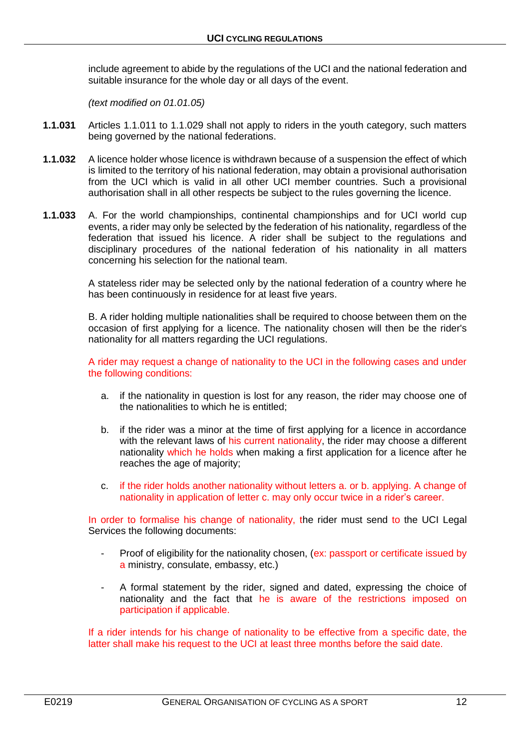include agreement to abide by the regulations of the UCI and the national federation and suitable insurance for the whole day or all days of the event.

*(text modified on 01.01.05)*

- **1.1.031** Articles 1.1.011 to 1.1.029 shall not apply to riders in the youth category, such matters being governed by the national federations.
- **1.1.032** A licence holder whose licence is withdrawn because of a suspension the effect of which is limited to the territory of his national federation, may obtain a provisional authorisation from the UCI which is valid in all other UCI member countries. Such a provisional authorisation shall in all other respects be subject to the rules governing the licence.
- **1.1.033** A. For the world championships, continental championships and for UCI world cup events, a rider may only be selected by the federation of his nationality, regardless of the federation that issued his licence. A rider shall be subject to the regulations and disciplinary procedures of the national federation of his nationality in all matters concerning his selection for the national team.

A stateless rider may be selected only by the national federation of a country where he has been continuously in residence for at least five years.

B. A rider holding multiple nationalities shall be required to choose between them on the occasion of first applying for a licence. The nationality chosen will then be the rider's nationality for all matters regarding the UCI regulations.

A rider may request a change of nationality to the UCI in the following cases and under the following conditions:

- a. if the nationality in question is lost for any reason, the rider may choose one of the nationalities to which he is entitled;
- b. if the rider was a minor at the time of first applying for a licence in accordance with the relevant laws of his current nationality, the rider may choose a different nationality which he holds when making a first application for a licence after he reaches the age of majority;
- c. if the rider holds another nationality without letters a. or b. applying. A change of nationality in application of letter c. may only occur twice in a rider's career.

In order to formalise his change of nationality, the rider must send to the UCI Legal Services the following documents:

- Proof of eligibility for the nationality chosen, (ex: passport or certificate issued by a ministry, consulate, embassy, etc.)
- A formal statement by the rider, signed and dated, expressing the choice of nationality and the fact that he is aware of the restrictions imposed on participation if applicable.

If a rider intends for his change of nationality to be effective from a specific date, the latter shall make his request to the UCI at least three months before the said date.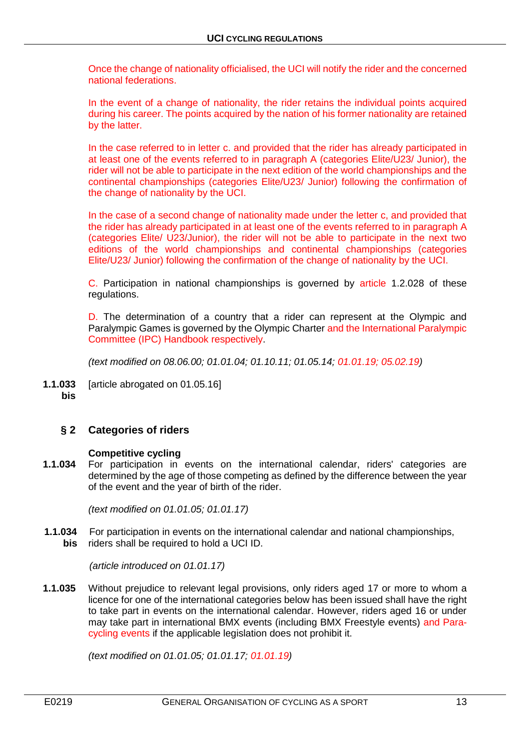Once the change of nationality officialised, the UCI will notify the rider and the concerned national federations.

In the event of a change of nationality, the rider retains the individual points acquired during his career. The points acquired by the nation of his former nationality are retained by the latter.

In the case referred to in letter c. and provided that the rider has already participated in at least one of the events referred to in paragraph A (categories Elite/U23/ Junior), the rider will not be able to participate in the next edition of the world championships and the continental championships (categories Elite/U23/ Junior) following the confirmation of the change of nationality by the UCI.

In the case of a second change of nationality made under the letter c, and provided that the rider has already participated in at least one of the events referred to in paragraph A (categories Elite/ U23/Junior), the rider will not be able to participate in the next two editions of the world championships and continental championships (categories Elite/U23/ Junior) following the confirmation of the change of nationality by the UCI.

C. Participation in national championships is governed by article 1.2.028 of these regulations.

D. The determination of a country that a rider can represent at the Olympic and Paralympic Games is governed by the Olympic Charter and the International Paralympic Committee (IPC) Handbook respectively.

*(text modified on 08.06.00; 01.01.04; 01.10.11; 01.05.14; 01.01.19; 05.02.19)*

**1.1.033** [article abrogated on 01.05.16] **bis**

# <span id="page-12-0"></span>**§ 2 Categories of riders**

#### **Competitive cycling**

**1.1.034** For participation in events on the international calendar, riders' categories are determined by the age of those competing as defined by the difference between the year of the event and the year of birth of the rider.

*(text modified on 01.01.05; 01.01.17)*

**1.1.034** For participation in events on the international calendar and national championships, **bis** riders shall be required to hold a UCI ID.

*(article introduced on 01.01.17)*

**1.1.035** Without prejudice to relevant legal provisions, only riders aged 17 or more to whom a licence for one of the international categories below has been issued shall have the right to take part in events on the international calendar. However, riders aged 16 or under may take part in international BMX events (including BMX Freestyle events) and Paracycling events if the applicable legislation does not prohibit it.

*(text modified on 01.01.05; 01.01.17; 01.01.19)*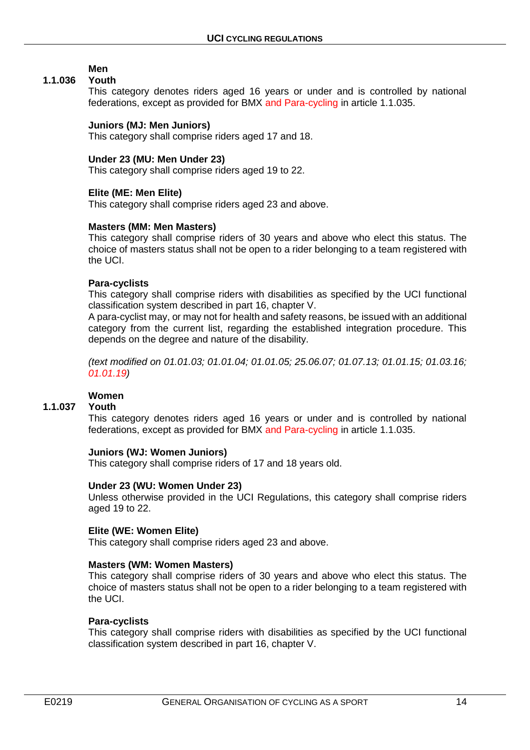# **Men**

## **1.1.036 Youth**

This category denotes riders aged 16 years or under and is controlled by national federations, except as provided for BMX and Para-cycling in article 1.1.035.

#### **Juniors (MJ: Men Juniors)**

This category shall comprise riders aged 17 and 18.

#### **Under 23 (MU: Men Under 23)**

This category shall comprise riders aged 19 to 22.

#### **Elite (ME: Men Elite)**

This category shall comprise riders aged 23 and above.

#### **Masters (MM: Men Masters)**

This category shall comprise riders of 30 years and above who elect this status. The choice of masters status shall not be open to a rider belonging to a team registered with the UCI.

#### **Para-cyclists**

This category shall comprise riders with disabilities as specified by the UCI functional classification system described in part 16, chapter V.

A para-cyclist may, or may not for health and safety reasons, be issued with an additional category from the current list, regarding the established integration procedure. This depends on the degree and nature of the disability.

*(text modified on 01.01.03; 01.01.04; 01.01.05; 25.06.07; 01.07.13; 01.01.15; 01.03.16; 01.01.19)*

# **Women**

#### **1.1.037 Youth**

This category denotes riders aged 16 years or under and is controlled by national federations, except as provided for BMX and Para-cycling in article 1.1.035.

#### **Juniors (WJ: Women Juniors)**

This category shall comprise riders of 17 and 18 years old.

#### **Under 23 (WU: Women Under 23)**

Unless otherwise provided in the UCI Regulations, this category shall comprise riders aged 19 to 22.

#### **Elite (WE: Women Elite)**

This category shall comprise riders aged 23 and above.

#### **Masters (WM: Women Masters)**

This category shall comprise riders of 30 years and above who elect this status. The choice of masters status shall not be open to a rider belonging to a team registered with the UCI.

#### **Para-cyclists**

This category shall comprise riders with disabilities as specified by the UCI functional classification system described in part 16, chapter V.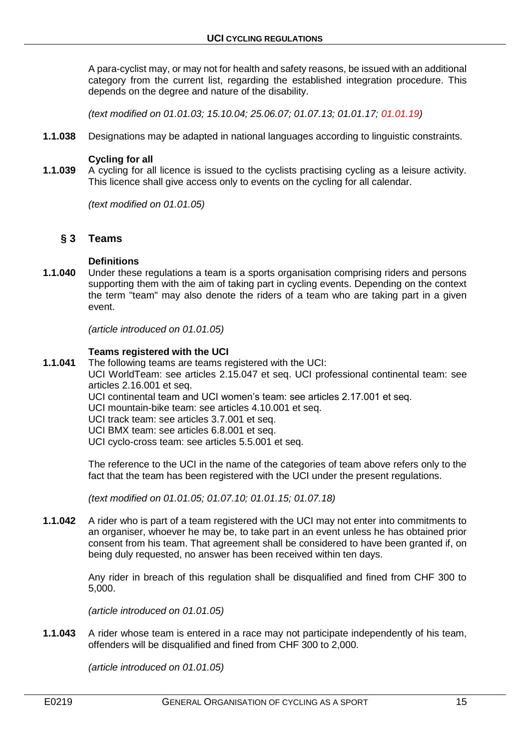A para-cyclist may, or may not for health and safety reasons, be issued with an additional category from the current list, regarding the established integration procedure. This depends on the degree and nature of the disability.

*(text modified on 01.01.03; 15.10.04; 25.06.07; 01.07.13; 01.01.17; 01.01.19)*

**1.1.038** Designations may be adapted in national languages according to linguistic constraints.

#### **Cycling for all**

**1.1.039** A cycling for all licence is issued to the cyclists practising cycling as a leisure activity. This licence shall give access only to events on the cycling for all calendar.

*(text modified on 01.01.05)*

### <span id="page-14-0"></span>**§ 3 Teams**

#### **Definitions**

**1.1.040** Under these regulations a team is a sports organisation comprising riders and persons supporting them with the aim of taking part in cycling events. Depending on the context the term "team" may also denote the riders of a team who are taking part in a given event.

*(article introduced on 01.01.05)*

#### **Teams registered with the UCI**

**1.1.041** The following teams are teams registered with the UCI:

UCI WorldTeam: see articles 2.15.047 et seq. UCI professional continental team: see articles 2.16.001 et seq.

- UCI continental team and UCI women's team: see articles 2.17.001 et seq.
- UCI mountain-bike team: see articles 4.10.001 et seq.
- UCI track team: see articles 3.7.001 et seq.
- UCI BMX team: see articles 6.8.001 et seq.
- UCI cyclo-cross team: see articles 5.5.001 et seq.

The reference to the UCI in the name of the categories of team above refers only to the fact that the team has been registered with the UCI under the present regulations.

*(text modified on 01.01.05; 01.07.10; 01.01.15; 01.07.18)*

**1.1.042** A rider who is part of a team registered with the UCI may not enter into commitments to an organiser, whoever he may be, to take part in an event unless he has obtained prior consent from his team. That agreement shall be considered to have been granted if, on being duly requested, no answer has been received within ten days.

> Any rider in breach of this regulation shall be disqualified and fined from CHF 300 to 5,000.

*(article introduced on 01.01.05)*

**1.1.043** A rider whose team is entered in a race may not participate independently of his team, offenders will be disqualified and fined from CHF 300 to 2,000.

*(article introduced on 01.01.05)*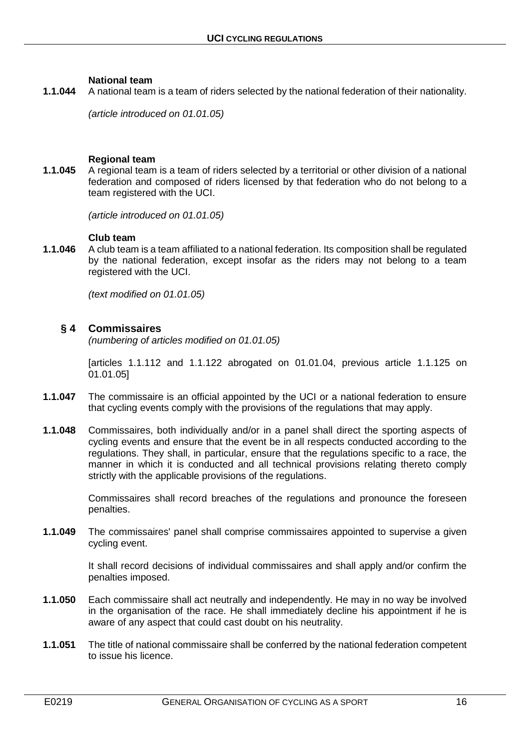#### **National team**

**1.1.044** A national team is a team of riders selected by the national federation of their nationality.

*(article introduced on 01.01.05)*

#### **Regional team**

**1.1.045** A regional team is a team of riders selected by a territorial or other division of a national federation and composed of riders licensed by that federation who do not belong to a team registered with the UCI.

*(article introduced on 01.01.05)*

#### **Club team**

**1.1.046** A club team is a team affiliated to a national federation. Its composition shall be regulated by the national federation, except insofar as the riders may not belong to a team registered with the UCI.

*(text modified on 01.01.05)*

#### <span id="page-15-0"></span>**§ 4 Commissaires**

*(numbering of articles modified on 01.01.05)*

[articles 1.1.112 and 1.1.122 abrogated on 01.01.04, previous article 1.1.125 on 01.01.05]

- **1.1.047** The commissaire is an official appointed by the UCI or a national federation to ensure that cycling events comply with the provisions of the regulations that may apply.
- **1.1.048** Commissaires, both individually and/or in a panel shall direct the sporting aspects of cycling events and ensure that the event be in all respects conducted according to the regulations. They shall, in particular, ensure that the regulations specific to a race, the manner in which it is conducted and all technical provisions relating thereto comply strictly with the applicable provisions of the regulations.

Commissaires shall record breaches of the regulations and pronounce the foreseen penalties.

**1.1.049** The commissaires' panel shall comprise commissaires appointed to supervise a given cycling event.

> It shall record decisions of individual commissaires and shall apply and/or confirm the penalties imposed.

- **1.1.050** Each commissaire shall act neutrally and independently. He may in no way be involved in the organisation of the race. He shall immediately decline his appointment if he is aware of any aspect that could cast doubt on his neutrality.
- **1.1.051** The title of national commissaire shall be conferred by the national federation competent to issue his licence.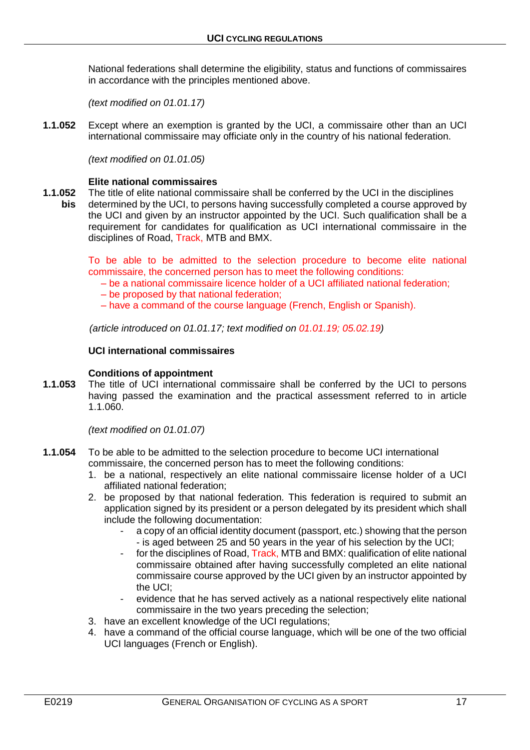National federations shall determine the eligibility, status and functions of commissaires in accordance with the principles mentioned above.

*(text modified on 01.01.17)*

**1.1.052** Except where an exemption is granted by the UCI, a commissaire other than an UCI international commissaire may officiate only in the country of his national federation.

*(text modified on 01.01.05)*

#### **Elite national commissaires**

**1.1.052** The title of elite national commissaire shall be conferred by the UCI in the disciplines **bis** determined by the UCI, to persons having successfully completed a course approved by the UCI and given by an instructor appointed by the UCI. Such qualification shall be a requirement for candidates for qualification as UCI international commissaire in the disciplines of Road, Track, MTB and BMX.

> To be able to be admitted to the selection procedure to become elite national commissaire, the concerned person has to meet the following conditions:

- be a national commissaire licence holder of a UCI affiliated national federation;
- be proposed by that national federation;
- have a command of the course language (French, English or Spanish).

*(article introduced on 01.01.17; text modified on 01.01.19; 05.02.19)*

#### **UCI international commissaires**

#### **Conditions of appointment**

**1.1.053** The title of UCI international commissaire shall be conferred by the UCI to persons having passed the examination and the practical assessment referred to in article 1.1.060.

*(text modified on 01.01.07)*

- **1.1.054** To be able to be admitted to the selection procedure to become UCI international commissaire, the concerned person has to meet the following conditions:
	- 1. be a national, respectively an elite national commissaire license holder of a UCI affiliated national federation;
	- 2. be proposed by that national federation. This federation is required to submit an application signed by its president or a person delegated by its president which shall include the following documentation:
		- a copy of an official identity document (passport, etc.) showing that the person - is aged between 25 and 50 years in the year of his selection by the UCI;
		- for the disciplines of Road, Track, MTB and BMX: qualification of elite national commissaire obtained after having successfully completed an elite national commissaire course approved by the UCI given by an instructor appointed by the UCI;
		- evidence that he has served actively as a national respectively elite national commissaire in the two years preceding the selection;
	- 3. have an excellent knowledge of the UCI regulations;
	- 4. have a command of the official course language, which will be one of the two official UCI languages (French or English).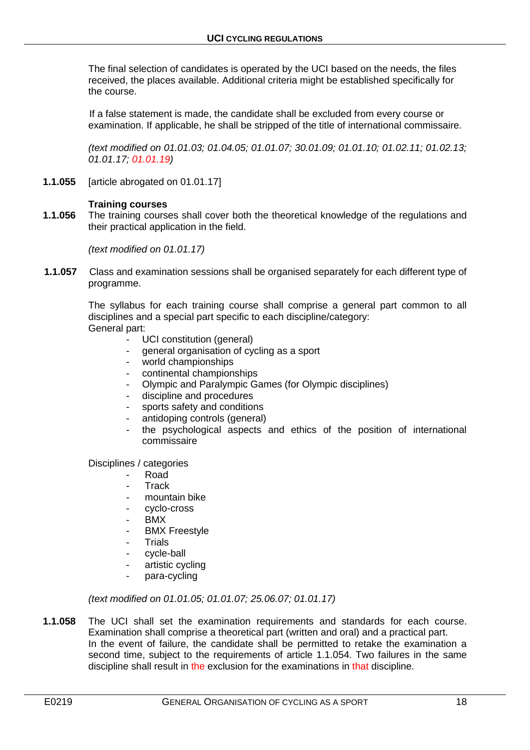The final selection of candidates is operated by the UCI based on the needs, the files received, the places available. Additional criteria might be established specifically for the course.

If a false statement is made, the candidate shall be excluded from every course or examination. If applicable, he shall be stripped of the title of international commissaire.

*(text modified on 01.01.03; 01.04.05; 01.01.07; 30.01.09; 01.01.10; 01.02.11; 01.02.13; 01.01.17; 01.01.19)*

**1.1.055** [article abrogated on 01.01.17]

#### **Training courses**

**1.1.056** The training courses shall cover both the theoretical knowledge of the regulations and their practical application in the field.

*(text modified on 01.01.17)*

**1.1.057** Class and examination sessions shall be organised separately for each different type of programme.

> The syllabus for each training course shall comprise a general part common to all disciplines and a special part specific to each discipline/category: General part:

- UCI constitution (general)
- general organisation of cycling as a sport
- world championships
- continental championships
- Olympic and Paralympic Games (for Olympic disciplines)
- discipline and procedures
- sports safety and conditions
- antidoping controls (general)
- the psychological aspects and ethics of the position of international commissaire

Disciplines / categories

- Road
- **Track**
- mountain bike
- cyclo-cross
- BMX
- **BMX Freestyle**
- Trials
- cycle-ball
- artistic cycling
- para-cycling

*(text modified on 01.01.05; 01.01.07; 25.06.07; 01.01.17)*

**1.1.058** The UCI shall set the examination requirements and standards for each course. Examination shall comprise a theoretical part (written and oral) and a practical part. In the event of failure, the candidate shall be permitted to retake the examination a second time, subject to the requirements of article 1.1.054. Two failures in the same discipline shall result in the exclusion for the examinations in that discipline.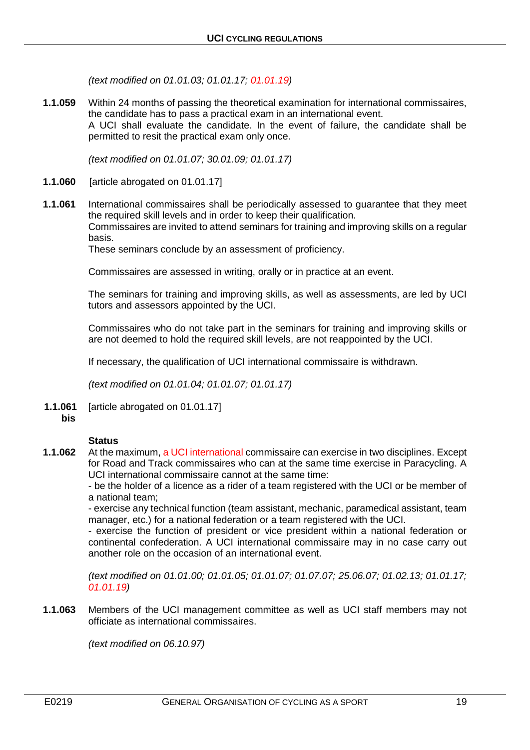*(text modified on 01.01.03; 01.01.17; 01.01.19)*

**1.1.059** Within 24 months of passing the theoretical examination for international commissaires, the candidate has to pass a practical exam in an international event. A UCI shall evaluate the candidate. In the event of failure, the candidate shall be permitted to resit the practical exam only once.

*(text modified on 01.01.07; 30.01.09; 01.01.17)*

- **1.1.060** [article abrogated on 01.01.17]
- **1.1.061** International commissaires shall be periodically assessed to guarantee that they meet the required skill levels and in order to keep their qualification. Commissaires are invited to attend seminars for training and improving skills on a regular basis.

These seminars conclude by an assessment of proficiency.

Commissaires are assessed in writing, orally or in practice at an event.

The seminars for training and improving skills, as well as assessments, are led by UCI tutors and assessors appointed by the UCI.

Commissaires who do not take part in the seminars for training and improving skills or are not deemed to hold the required skill levels, are not reappointed by the UCI.

If necessary, the qualification of UCI international commissaire is withdrawn.

*(text modified on 01.01.04; 01.01.07; 01.01.17)*

**1.1.061** [article abrogated on 01.01.17] **bis**

#### **Status**

**1.1.062** At the maximum, a UCI international commissaire can exercise in two disciplines. Except for Road and Track commissaires who can at the same time exercise in Paracycling. A UCI international commissaire cannot at the same time:

- be the holder of a licence as a rider of a team registered with the UCI or be member of a national team;

- exercise any technical function (team assistant, mechanic, paramedical assistant, team manager, etc.) for a national federation or a team registered with the UCI.

- exercise the function of president or vice president within a national federation or continental confederation. A UCI international commissaire may in no case carry out another role on the occasion of an international event.

*(text modified on 01.01.00; 01.01.05; 01.01.07; 01.07.07; 25.06.07; 01.02.13; 01.01.17; 01.01.19)*

**1.1.063** Members of the UCI management committee as well as UCI staff members may not officiate as international commissaires.

*(text modified on 06.10.97)*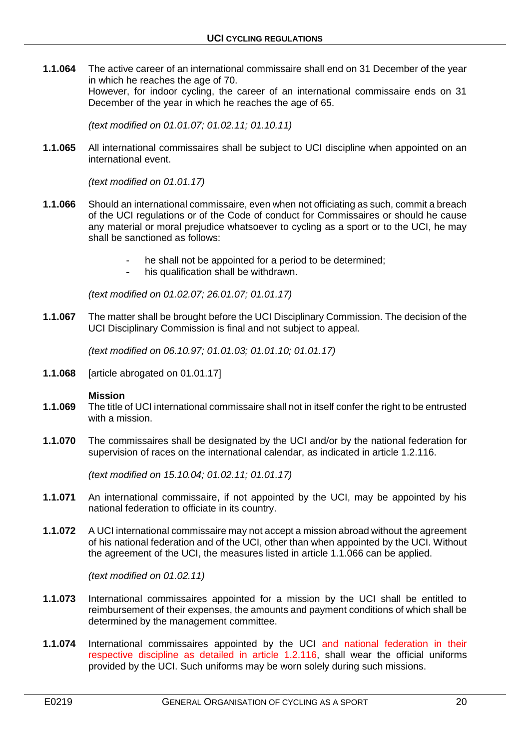**1.1.064** The active career of an international commissaire shall end on 31 December of the year in which he reaches the age of 70. However, for indoor cycling, the career of an international commissaire ends on 31 December of the year in which he reaches the age of 65.

*(text modified on 01.01.07; 01.02.11; 01.10.11)*

**1.1.065** All international commissaires shall be subject to UCI discipline when appointed on an international event.

*(text modified on 01.01.17)*

- **1.1.066** Should an international commissaire, even when not officiating as such, commit a breach of the UCI regulations or of the Code of conduct for Commissaires or should he cause any material or moral prejudice whatsoever to cycling as a sport or to the UCI, he may shall be sanctioned as follows:
	- he shall not be appointed for a period to be determined:
	- his qualification shall be withdrawn.

*(text modified on 01.02.07; 26.01.07; 01.01.17)*

**1.1.067** The matter shall be brought before the UCI Disciplinary Commission. The decision of the UCI Disciplinary Commission is final and not subject to appeal.

*(text modified on 06.10.97; 01.01.03; 01.01.10; 01.01.17)*

**1.1.068** [article abrogated on 01.01.17]

#### **Mission**

- **1.1.069** The title of UCI international commissaire shall not in itself confer the right to be entrusted with a mission.
- **1.1.070** The commissaires shall be designated by the UCI and/or by the national federation for supervision of races on the international calendar, as indicated in article 1.2.116.

*(text modified on 15.10.04; 01.02.11; 01.01.17)*

- **1.1.071** An international commissaire, if not appointed by the UCI, may be appointed by his national federation to officiate in its country.
- **1.1.072** A UCI international commissaire may not accept a mission abroad without the agreement of his national federation and of the UCI, other than when appointed by the UCI. Without the agreement of the UCI, the measures listed in article 1.1.066 can be applied.

*(text modified on 01.02.11)*

- **1.1.073** International commissaires appointed for a mission by the UCI shall be entitled to reimbursement of their expenses, the amounts and payment conditions of which shall be determined by the management committee.
- **1.1.074** International commissaires appointed by the UCI and national federation in their respective discipline as detailed in article 1.2.116, shall wear the official uniforms provided by the UCI. Such uniforms may be worn solely during such missions.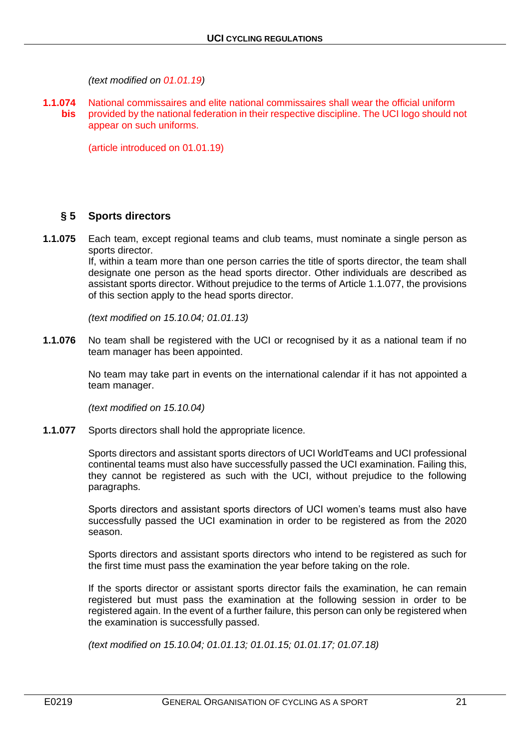*(text modified on 01.01.19)*

**1.1.074** National commissaires and elite national commissaires shall wear the official uniform **bis** provided by the national federation in their respective discipline. The UCI logo should not appear on such uniforms.

(article introduced on 01.01.19)

### <span id="page-20-0"></span>**§ 5 Sports directors**

**1.1.075** Each team, except regional teams and club teams, must nominate a single person as sports director.

> If, within a team more than one person carries the title of sports director, the team shall designate one person as the head sports director. Other individuals are described as assistant sports director. Without prejudice to the terms of Article 1.1.077, the provisions of this section apply to the head sports director.

*(text modified on 15.10.04; 01.01.13)*

**1.1.076** No team shall be registered with the UCI or recognised by it as a national team if no team manager has been appointed.

> No team may take part in events on the international calendar if it has not appointed a team manager.

*(text modified on 15.10.04)*

**1.1.077** Sports directors shall hold the appropriate licence.

Sports directors and assistant sports directors of UCI WorldTeams and UCI professional continental teams must also have successfully passed the UCI examination. Failing this, they cannot be registered as such with the UCI, without prejudice to the following paragraphs.

Sports directors and assistant sports directors of UCI women's teams must also have successfully passed the UCI examination in order to be registered as from the 2020 season.

Sports directors and assistant sports directors who intend to be registered as such for the first time must pass the examination the year before taking on the role.

If the sports director or assistant sports director fails the examination, he can remain registered but must pass the examination at the following session in order to be registered again. In the event of a further failure, this person can only be registered when the examination is successfully passed.

*(text modified on 15.10.04; 01.01.13; 01.01.15; 01.01.17; 01.07.18)*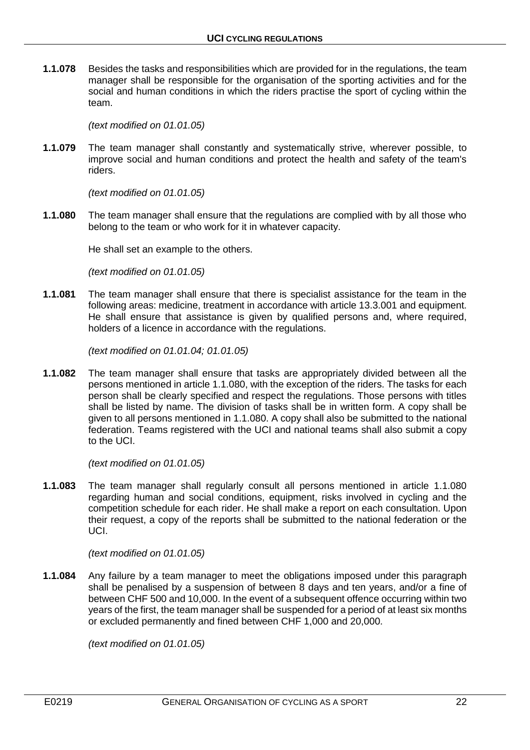**1.1.078** Besides the tasks and responsibilities which are provided for in the regulations, the team manager shall be responsible for the organisation of the sporting activities and for the social and human conditions in which the riders practise the sport of cycling within the team.

*(text modified on 01.01.05)*

**1.1.079** The team manager shall constantly and systematically strive, wherever possible, to improve social and human conditions and protect the health and safety of the team's riders.

*(text modified on 01.01.05)*

**1.1.080** The team manager shall ensure that the regulations are complied with by all those who belong to the team or who work for it in whatever capacity.

He shall set an example to the others.

*(text modified on 01.01.05)*

**1.1.081** The team manager shall ensure that there is specialist assistance for the team in the following areas: medicine, treatment in accordance with article 13.3.001 and equipment. He shall ensure that assistance is given by qualified persons and, where required, holders of a licence in accordance with the regulations.

*(text modified on 01.01.04; 01.01.05)*

**1.1.082** The team manager shall ensure that tasks are appropriately divided between all the persons mentioned in article 1.1.080, with the exception of the riders. The tasks for each person shall be clearly specified and respect the regulations. Those persons with titles shall be listed by name. The division of tasks shall be in written form. A copy shall be given to all persons mentioned in 1.1.080. A copy shall also be submitted to the national federation. Teams registered with the UCI and national teams shall also submit a copy to the UCI.

*(text modified on 01.01.05)*

**1.1.083** The team manager shall regularly consult all persons mentioned in article 1.1.080 regarding human and social conditions, equipment, risks involved in cycling and the competition schedule for each rider. He shall make a report on each consultation. Upon their request, a copy of the reports shall be submitted to the national federation or the UCI.

*(text modified on 01.01.05)*

**1.1.084** Any failure by a team manager to meet the obligations imposed under this paragraph shall be penalised by a suspension of between 8 days and ten years, and/or a fine of between CHF 500 and 10,000. In the event of a subsequent offence occurring within two years of the first, the team manager shall be suspended for a period of at least six months or excluded permanently and fined between CHF 1,000 and 20,000.

*(text modified on 01.01.05)*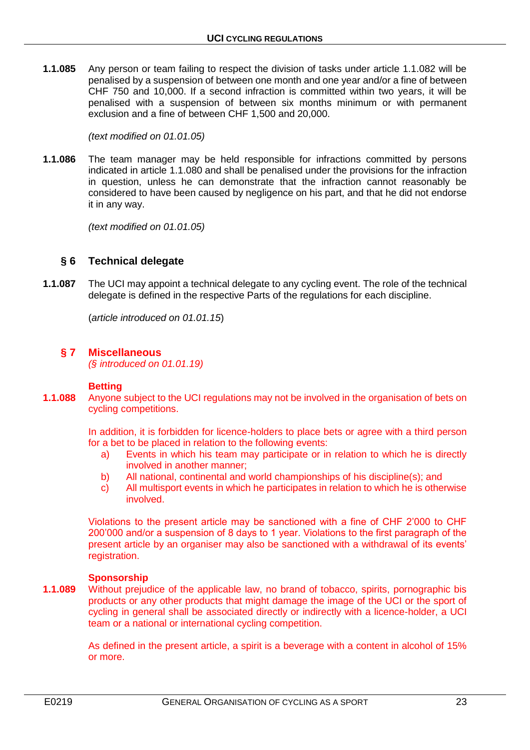**1.1.085** Any person or team failing to respect the division of tasks under article 1.1.082 will be penalised by a suspension of between one month and one year and/or a fine of between CHF 750 and 10,000. If a second infraction is committed within two years, it will be penalised with a suspension of between six months minimum or with permanent exclusion and a fine of between CHF 1,500 and 20,000.

*(text modified on 01.01.05)*

**1.1.086** The team manager may be held responsible for infractions committed by persons indicated in article 1.1.080 and shall be penalised under the provisions for the infraction in question, unless he can demonstrate that the infraction cannot reasonably be considered to have been caused by negligence on his part, and that he did not endorse it in any way.

*(text modified on 01.01.05)*

# <span id="page-22-0"></span>**§ 6 Technical delegate**

**1.1.087** The UCI may appoint a technical delegate to any cycling event. The role of the technical delegate is defined in the respective Parts of the regulations for each discipline.

(*article introduced on 01.01.15*)

# <span id="page-22-1"></span>**§ 7 Miscellaneous**

*(§ introduced on 01.01.19)*

### **Betting**

**1.1.088** Anyone subject to the UCI regulations may not be involved in the organisation of bets on cycling competitions.

> In addition, it is forbidden for licence-holders to place bets or agree with a third person for a bet to be placed in relation to the following events:

- a) Events in which his team may participate or in relation to which he is directly involved in another manner;
- b) All national, continental and world championships of his discipline(s); and
- c) All multisport events in which he participates in relation to which he is otherwise involved.

Violations to the present article may be sanctioned with a fine of CHF 2'000 to CHF 200'000 and/or a suspension of 8 days to 1 year. Violations to the first paragraph of the present article by an organiser may also be sanctioned with a withdrawal of its events' registration.

#### **Sponsorship**

**1.1.089** Without prejudice of the applicable law, no brand of tobacco, spirits, pornographic bis products or any other products that might damage the image of the UCI or the sport of cycling in general shall be associated directly or indirectly with a licence-holder, a UCI team or a national or international cycling competition.

> As defined in the present article, a spirit is a beverage with a content in alcohol of 15% or more.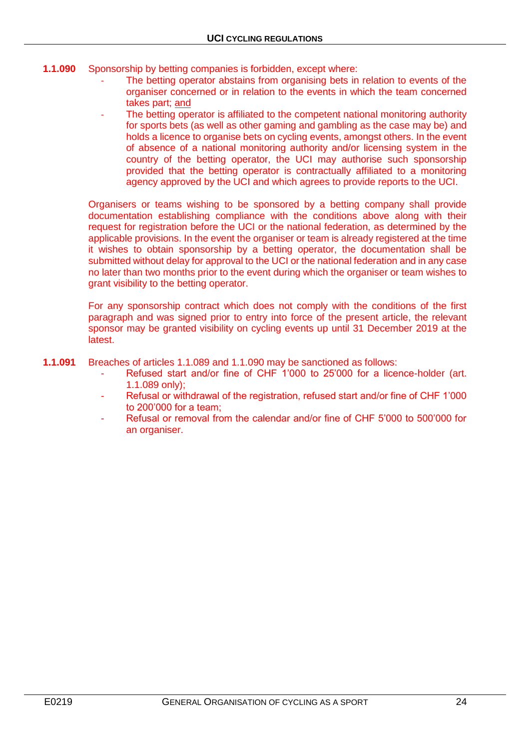- **1.1.090** Sponsorship by betting companies is forbidden, except where:
	- The betting operator abstains from organising bets in relation to events of the organiser concerned or in relation to the events in which the team concerned takes part; and
	- The betting operator is affiliated to the competent national monitoring authority for sports bets (as well as other gaming and gambling as the case may be) and holds a licence to organise bets on cycling events, amongst others. In the event of absence of a national monitoring authority and/or licensing system in the country of the betting operator, the UCI may authorise such sponsorship provided that the betting operator is contractually affiliated to a monitoring agency approved by the UCI and which agrees to provide reports to the UCI.

Organisers or teams wishing to be sponsored by a betting company shall provide documentation establishing compliance with the conditions above along with their request for registration before the UCI or the national federation, as determined by the applicable provisions. In the event the organiser or team is already registered at the time it wishes to obtain sponsorship by a betting operator, the documentation shall be submitted without delay for approval to the UCI or the national federation and in any case no later than two months prior to the event during which the organiser or team wishes to grant visibility to the betting operator.

For any sponsorship contract which does not comply with the conditions of the first paragraph and was signed prior to entry into force of the present article, the relevant sponsor may be granted visibility on cycling events up until 31 December 2019 at the latest.

- **1.1.091** Breaches of articles 1.1.089 and 1.1.090 may be sanctioned as follows:
	- Refused start and/or fine of CHF 1'000 to 25'000 for a licence-holder (art. 1.1.089 only);
	- Refusal or withdrawal of the registration, refused start and/or fine of CHF 1'000 to 200'000 for a team;
	- Refusal or removal from the calendar and/or fine of CHF 5'000 to 500'000 for an organiser.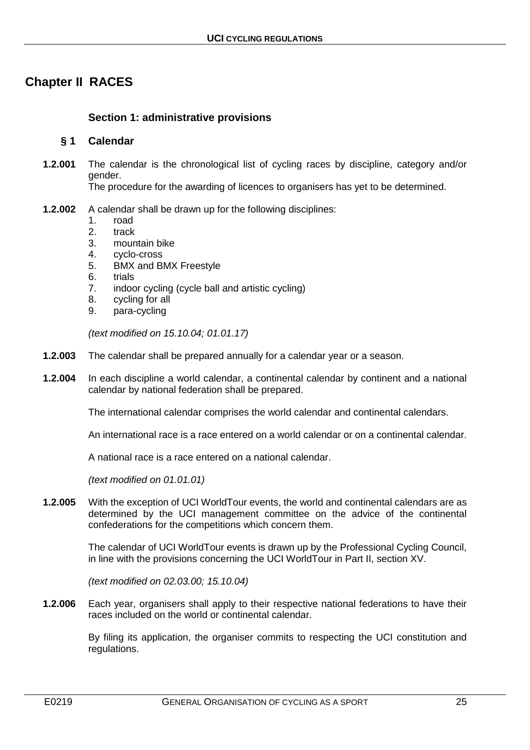# <span id="page-24-0"></span>**Chapter II RACES**

## <span id="page-24-1"></span>**Section 1: administrative provisions**

#### <span id="page-24-2"></span>**§ 1 Calendar**

**1.2.001** The calendar is the chronological list of cycling races by discipline, category and/or gender.

The procedure for the awarding of licences to organisers has yet to be determined.

- **1.2.002** A calendar shall be drawn up for the following disciplines:
	- 1. road<br>2. track
	- 2. track
	- 3. mountain bike
	- 4. cyclo-cross
	- 5. BMX and BMX Freestyle
	- 6. trials
	- 7. indoor cycling (cycle ball and artistic cycling)
	- 8. cycling for all
	- 9. para-cycling

*(text modified on 15.10.04; 01.01.17)*

- **1.2.003** The calendar shall be prepared annually for a calendar year or a season.
- **1.2.004** In each discipline a world calendar, a continental calendar by continent and a national calendar by national federation shall be prepared.

The international calendar comprises the world calendar and continental calendars.

An international race is a race entered on a world calendar or on a continental calendar.

A national race is a race entered on a national calendar.

*(text modified on 01.01.01)*

**1.2.005** With the exception of UCI WorldTour events, the world and continental calendars are as determined by the UCI management committee on the advice of the continental confederations for the competitions which concern them.

> The calendar of UCI WorldTour events is drawn up by the Professional Cycling Council, in line with the provisions concerning the UCI WorldTour in Part II, section XV.

*(text modified on 02.03.00; 15.10.04)*

**1.2.006** Each year, organisers shall apply to their respective national federations to have their races included on the world or continental calendar.

> By filing its application, the organiser commits to respecting the UCI constitution and regulations.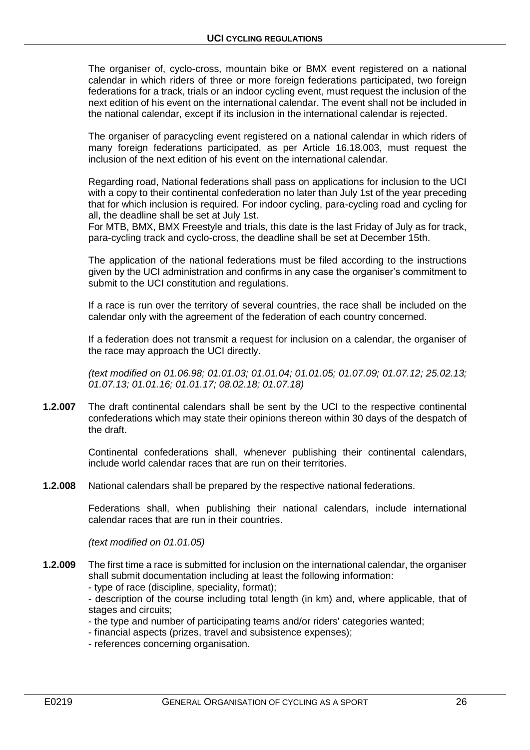The organiser of, cyclo-cross, mountain bike or BMX event registered on a national calendar in which riders of three or more foreign federations participated, two foreign federations for a track, trials or an indoor cycling event, must request the inclusion of the next edition of his event on the international calendar. The event shall not be included in the national calendar, except if its inclusion in the international calendar is rejected.

The organiser of paracycling event registered on a national calendar in which riders of many foreign federations participated, as per Article 16.18.003, must request the inclusion of the next edition of his event on the international calendar.

Regarding road, National federations shall pass on applications for inclusion to the UCI with a copy to their continental confederation no later than July 1st of the year preceding that for which inclusion is required. For indoor cycling, para-cycling road and cycling for all, the deadline shall be set at July 1st.

For MTB, BMX, BMX Freestyle and trials, this date is the last Friday of July as for track, para-cycling track and cyclo-cross, the deadline shall be set at December 15th.

The application of the national federations must be filed according to the instructions given by the UCI administration and confirms in any case the organiser's commitment to submit to the UCI constitution and regulations.

If a race is run over the territory of several countries, the race shall be included on the calendar only with the agreement of the federation of each country concerned.

If a federation does not transmit a request for inclusion on a calendar, the organiser of the race may approach the UCI directly.

*(text modified on 01.06.98; 01.01.03; 01.01.04; 01.01.05; 01.07.09; 01.07.12; 25.02.13; 01.07.13; 01.01.16; 01.01.17; 08.02.18; 01.07.18)*

**1.2.007** The draft continental calendars shall be sent by the UCI to the respective continental confederations which may state their opinions thereon within 30 days of the despatch of the draft.

> Continental confederations shall, whenever publishing their continental calendars, include world calendar races that are run on their territories.

**1.2.008** National calendars shall be prepared by the respective national federations.

Federations shall, when publishing their national calendars, include international calendar races that are run in their countries.

*(text modified on 01.01.05)*

**1.2.009** The first time a race is submitted for inclusion on the international calendar, the organiser shall submit documentation including at least the following information:

- type of race (discipline, speciality, format);

- description of the course including total length (in km) and, where applicable, that of stages and circuits;

- the type and number of participating teams and/or riders' categories wanted;
- financial aspects (prizes, travel and subsistence expenses);
- references concerning organisation.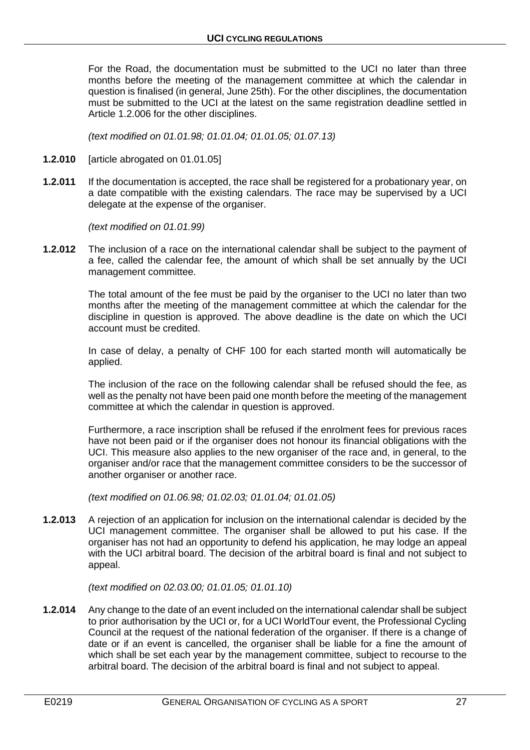For the Road, the documentation must be submitted to the UCI no later than three months before the meeting of the management committee at which the calendar in question is finalised (in general, June 25th). For the other disciplines, the documentation must be submitted to the UCI at the latest on the same registration deadline settled in Article 1.2.006 for the other disciplines.

*(text modified on 01.01.98; 01.01.04; 01.01.05; 01.07.13)*

- **1.2.010** [article abrogated on 01.01.05]
- **1.2.011** If the documentation is accepted, the race shall be registered for a probationary year, on a date compatible with the existing calendars. The race may be supervised by a UCI delegate at the expense of the organiser.

*(text modified on 01.01.99)*

**1.2.012** The inclusion of a race on the international calendar shall be subject to the payment of a fee, called the calendar fee, the amount of which shall be set annually by the UCI management committee.

> The total amount of the fee must be paid by the organiser to the UCI no later than two months after the meeting of the management committee at which the calendar for the discipline in question is approved. The above deadline is the date on which the UCI account must be credited.

> In case of delay, a penalty of CHF 100 for each started month will automatically be applied.

> The inclusion of the race on the following calendar shall be refused should the fee, as well as the penalty not have been paid one month before the meeting of the management committee at which the calendar in question is approved.

> Furthermore, a race inscription shall be refused if the enrolment fees for previous races have not been paid or if the organiser does not honour its financial obligations with the UCI. This measure also applies to the new organiser of the race and, in general, to the organiser and/or race that the management committee considers to be the successor of another organiser or another race.

*(text modified on 01.06.98; 01.02.03; 01.01.04; 01.01.05)*

**1.2.013** A rejection of an application for inclusion on the international calendar is decided by the UCI management committee. The organiser shall be allowed to put his case. If the organiser has not had an opportunity to defend his application, he may lodge an appeal with the UCI arbitral board. The decision of the arbitral board is final and not subject to appeal.

*(text modified on 02.03.00; 01.01.05; 01.01.10)*

**1.2.014** Any change to the date of an event included on the international calendar shall be subject to prior authorisation by the UCI or, for a UCI WorldTour event, the Professional Cycling Council at the request of the national federation of the organiser. If there is a change of date or if an event is cancelled, the organiser shall be liable for a fine the amount of which shall be set each year by the management committee, subject to recourse to the arbitral board. The decision of the arbitral board is final and not subject to appeal.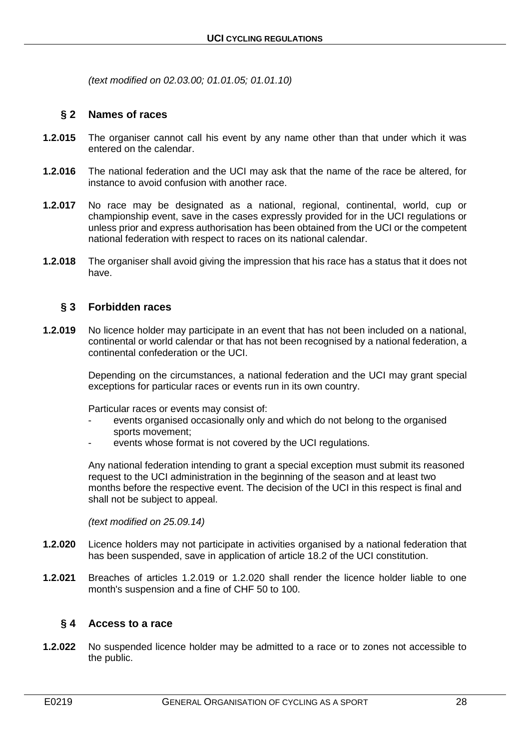*(text modified on 02.03.00; 01.01.05; 01.01.10)*

## <span id="page-27-0"></span>**§ 2 Names of races**

- **1.2.015** The organiser cannot call his event by any name other than that under which it was entered on the calendar.
- **1.2.016** The national federation and the UCI may ask that the name of the race be altered, for instance to avoid confusion with another race.
- **1.2.017** No race may be designated as a national, regional, continental, world, cup or championship event, save in the cases expressly provided for in the UCI regulations or unless prior and express authorisation has been obtained from the UCI or the competent national federation with respect to races on its national calendar.
- **1.2.018** The organiser shall avoid giving the impression that his race has a status that it does not have.

# <span id="page-27-1"></span>**§ 3 Forbidden races**

**1.2.019** No licence holder may participate in an event that has not been included on a national, continental or world calendar or that has not been recognised by a national federation, a continental confederation or the UCI.

> Depending on the circumstances, a national federation and the UCI may grant special exceptions for particular races or events run in its own country.

Particular races or events may consist of:

- events organised occasionally only and which do not belong to the organised sports movement;
- events whose format is not covered by the UCI regulations.

Any national federation intending to grant a special exception must submit its reasoned request to the UCI administration in the beginning of the season and at least two months before the respective event. The decision of the UCI in this respect is final and shall not be subject to appeal.

*(text modified on 25.09.14)*

- **1.2.020** Licence holders may not participate in activities organised by a national federation that has been suspended, save in application of article 18.2 of the UCI constitution.
- **1.2.021** Breaches of articles 1.2.019 or 1.2.020 shall render the licence holder liable to one month's suspension and a fine of CHF 50 to 100.

# <span id="page-27-2"></span>**§ 4 Access to a race**

**1.2.022** No suspended licence holder may be admitted to a race or to zones not accessible to the public.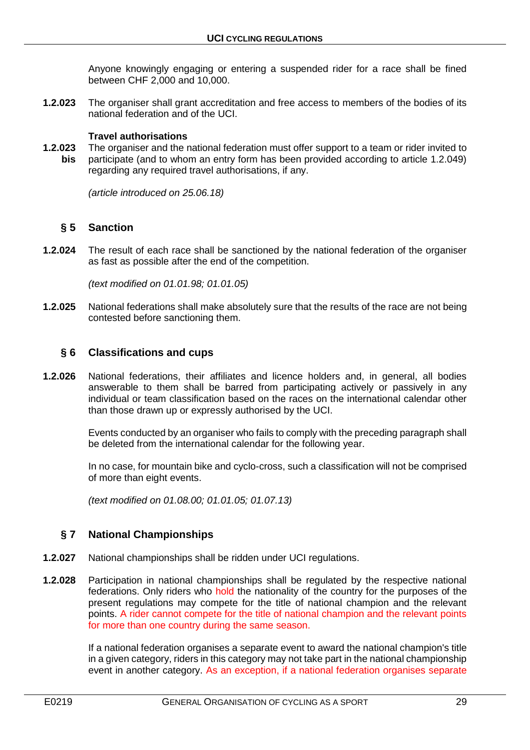Anyone knowingly engaging or entering a suspended rider for a race shall be fined between CHF 2,000 and 10,000.

**1.2.023** The organiser shall grant accreditation and free access to members of the bodies of its national federation and of the UCI.

## **Travel authorisations**

**1.2.023** The organiser and the national federation must offer support to a team or rider invited to **bis** participate (and to whom an entry form has been provided according to article 1.2.049) regarding any required travel authorisations, if any.

*(article introduced on 25.06.18)*

### <span id="page-28-0"></span>**§ 5 Sanction**

**1.2.024** The result of each race shall be sanctioned by the national federation of the organiser as fast as possible after the end of the competition.

*(text modified on 01.01.98; 01.01.05)*

**1.2.025** National federations shall make absolutely sure that the results of the race are not being contested before sanctioning them.

# <span id="page-28-1"></span>**§ 6 Classifications and cups**

**1.2.026** National federations, their affiliates and licence holders and, in general, all bodies answerable to them shall be barred from participating actively or passively in any individual or team classification based on the races on the international calendar other than those drawn up or expressly authorised by the UCI.

> Events conducted by an organiser who fails to comply with the preceding paragraph shall be deleted from the international calendar for the following year.

> In no case, for mountain bike and cyclo-cross, such a classification will not be comprised of more than eight events.

*(text modified on 01.08.00; 01.01.05; 01.07.13)*

# <span id="page-28-2"></span>**§ 7 National Championships**

- **1.2.027** National championships shall be ridden under UCI regulations.
- **1.2.028** Participation in national championships shall be regulated by the respective national federations. Only riders who hold the nationality of the country for the purposes of the present regulations may compete for the title of national champion and the relevant points. A rider cannot compete for the title of national champion and the relevant points for more than one country during the same season.

If a national federation organises a separate event to award the national champion's title in a given category, riders in this category may not take part in the national championship event in another category. As an exception, if a national federation organises separate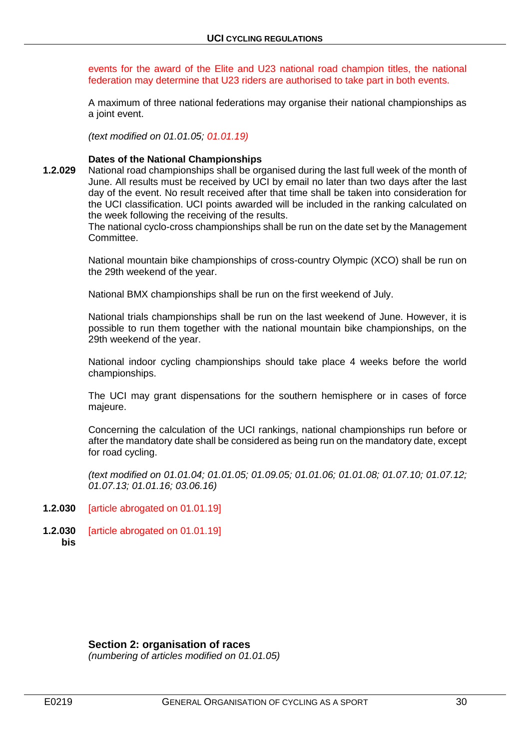events for the award of the Elite and U23 national road champion titles, the national federation may determine that U23 riders are authorised to take part in both events.

A maximum of three national federations may organise their national championships as a joint event.

*(text modified on 01.01.05; 01.01.19)*

#### **Dates of the National Championships**

**1.2.029** National road championships shall be organised during the last full week of the month of June. All results must be received by UCI by email no later than two days after the last day of the event. No result received after that time shall be taken into consideration for the UCI classification. UCI points awarded will be included in the ranking calculated on the week following the receiving of the results.

The national cyclo-cross championships shall be run on the date set by the Management Committee.

National mountain bike championships of cross-country Olympic (XCO) shall be run on the 29th weekend of the year.

National BMX championships shall be run on the first weekend of July.

National trials championships shall be run on the last weekend of June. However, it is possible to run them together with the national mountain bike championships, on the 29th weekend of the year.

National indoor cycling championships should take place 4 weeks before the world championships.

The UCI may grant dispensations for the southern hemisphere or in cases of force majeure.

Concerning the calculation of the UCI rankings, national championships run before or after the mandatory date shall be considered as being run on the mandatory date, except for road cycling.

*(text modified on 01.01.04; 01.01.05; 01.09.05; 01.01.06; 01.01.08; 01.07.10; 01.07.12; 01.07.13; 01.01.16; 03.06.16)*

- **1.2.030** [article abrogated on 01.01.19]
- **1.2.030** [article abrogated on 01.01.19] **bis**

#### <span id="page-29-0"></span>**Section 2: organisation of races**

*(numbering of articles modified on 01.01.05)*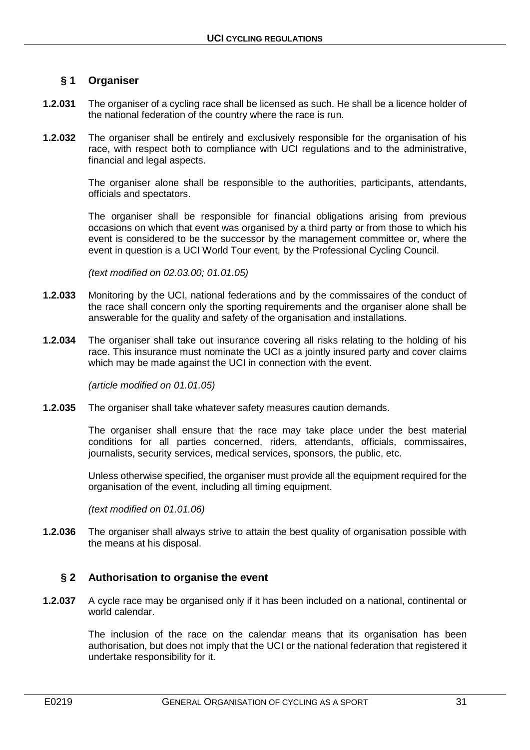# <span id="page-30-0"></span>**§ 1 Organiser**

- **1.2.031** The organiser of a cycling race shall be licensed as such. He shall be a licence holder of the national federation of the country where the race is run.
- **1.2.032** The organiser shall be entirely and exclusively responsible for the organisation of his race, with respect both to compliance with UCI regulations and to the administrative, financial and legal aspects.

The organiser alone shall be responsible to the authorities, participants, attendants, officials and spectators.

The organiser shall be responsible for financial obligations arising from previous occasions on which that event was organised by a third party or from those to which his event is considered to be the successor by the management committee or, where the event in question is a UCI World Tour event, by the Professional Cycling Council.

*(text modified on 02.03.00; 01.01.05)*

- **1.2.033** Monitoring by the UCI, national federations and by the commissaires of the conduct of the race shall concern only the sporting requirements and the organiser alone shall be answerable for the quality and safety of the organisation and installations.
- **1.2.034** The organiser shall take out insurance covering all risks relating to the holding of his race. This insurance must nominate the UCI as a jointly insured party and cover claims which may be made against the UCI in connection with the event.

*(article modified on 01.01.05)*

**1.2.035** The organiser shall take whatever safety measures caution demands.

The organiser shall ensure that the race may take place under the best material conditions for all parties concerned, riders, attendants, officials, commissaires, journalists, security services, medical services, sponsors, the public, etc.

Unless otherwise specified, the organiser must provide all the equipment required for the organisation of the event, including all timing equipment.

*(text modified on 01.01.06)*

**1.2.036** The organiser shall always strive to attain the best quality of organisation possible with the means at his disposal.

# <span id="page-30-1"></span>**§ 2 Authorisation to organise the event**

**1.2.037** A cycle race may be organised only if it has been included on a national, continental or world calendar.

> The inclusion of the race on the calendar means that its organisation has been authorisation, but does not imply that the UCI or the national federation that registered it undertake responsibility for it.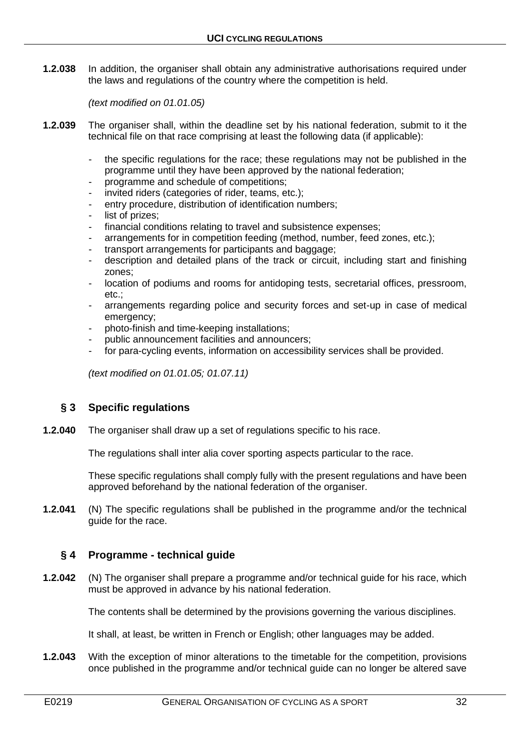**1.2.038** In addition, the organiser shall obtain any administrative authorisations required under the laws and regulations of the country where the competition is held.

*(text modified on 01.01.05)*

- **1.2.039** The organiser shall, within the deadline set by his national federation, submit to it the technical file on that race comprising at least the following data (if applicable):
	- the specific regulations for the race; these regulations may not be published in the programme until they have been approved by the national federation;
	- programme and schedule of competitions;
	- invited riders (categories of rider, teams, etc.);
	- entry procedure, distribution of identification numbers;
	- list of prizes:
	- financial conditions relating to travel and subsistence expenses;
	- arrangements for in competition feeding (method, number, feed zones, etc.);
	- transport arrangements for participants and baggage:
	- description and detailed plans of the track or circuit, including start and finishing zones;
	- location of podiums and rooms for antidoping tests, secretarial offices, pressroom, etc.;
	- arrangements regarding police and security forces and set-up in case of medical emergency;
	- photo-finish and time-keeping installations;
	- public announcement facilities and announcers;
	- for para-cycling events, information on accessibility services shall be provided.

*(text modified on 01.01.05; 01.07.11)*

# <span id="page-31-0"></span>**§ 3 Specific regulations**

**1.2.040** The organiser shall draw up a set of regulations specific to his race.

The regulations shall inter alia cover sporting aspects particular to the race.

These specific regulations shall comply fully with the present regulations and have been approved beforehand by the national federation of the organiser.

**1.2.041** (N) The specific regulations shall be published in the programme and/or the technical guide for the race.

# <span id="page-31-1"></span>**§ 4 Programme - technical guide**

**1.2.042** (N) The organiser shall prepare a programme and/or technical guide for his race, which must be approved in advance by his national federation.

The contents shall be determined by the provisions governing the various disciplines.

It shall, at least, be written in French or English; other languages may be added.

**1.2.043** With the exception of minor alterations to the timetable for the competition, provisions once published in the programme and/or technical guide can no longer be altered save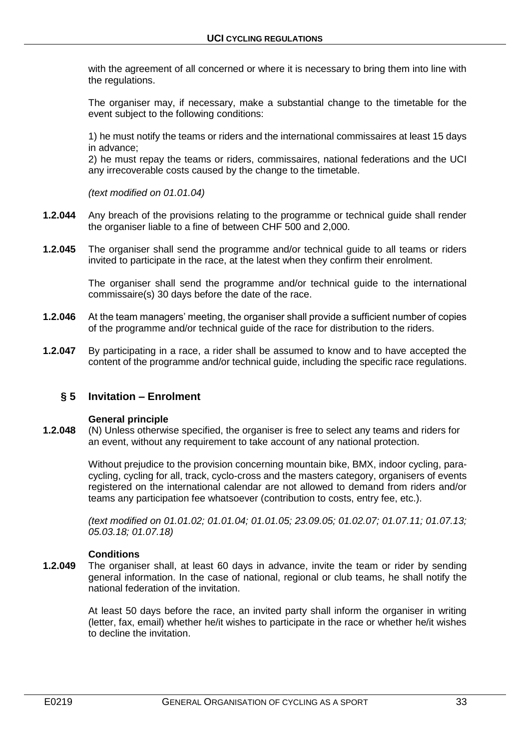with the agreement of all concerned or where it is necessary to bring them into line with the regulations.

The organiser may, if necessary, make a substantial change to the timetable for the event subject to the following conditions:

1) he must notify the teams or riders and the international commissaires at least 15 days in advance;

2) he must repay the teams or riders, commissaires, national federations and the UCI any irrecoverable costs caused by the change to the timetable.

*(text modified on 01.01.04)*

- **1.2.044** Any breach of the provisions relating to the programme or technical guide shall render the organiser liable to a fine of between CHF 500 and 2,000.
- **1.2.045** The organiser shall send the programme and/or technical guide to all teams or riders invited to participate in the race, at the latest when they confirm their enrolment.

The organiser shall send the programme and/or technical guide to the international commissaire(s) 30 days before the date of the race.

- **1.2.046** At the team managers' meeting, the organiser shall provide a sufficient number of copies of the programme and/or technical guide of the race for distribution to the riders.
- **1.2.047** By participating in a race, a rider shall be assumed to know and to have accepted the content of the programme and/or technical guide, including the specific race regulations.

# <span id="page-32-0"></span>**§ 5 Invitation – Enrolment**

#### **General principle**

**1.2.048** (N) Unless otherwise specified, the organiser is free to select any teams and riders for an event, without any requirement to take account of any national protection.

> Without prejudice to the provision concerning mountain bike, BMX, indoor cycling, paracycling, cycling for all, track, cyclo-cross and the masters category, organisers of events registered on the international calendar are not allowed to demand from riders and/or teams any participation fee whatsoever (contribution to costs, entry fee, etc.).

> *(text modified on 01.01.02; 01.01.04; 01.01.05; 23.09.05; 01.02.07; 01.07.11; 01.07.13; 05.03.18; 01.07.18)*

#### **Conditions**

**1.2.049** The organiser shall, at least 60 days in advance, invite the team or rider by sending general information. In the case of national, regional or club teams, he shall notify the national federation of the invitation.

> At least 50 days before the race, an invited party shall inform the organiser in writing (letter, fax, email) whether he/it wishes to participate in the race or whether he/it wishes to decline the invitation.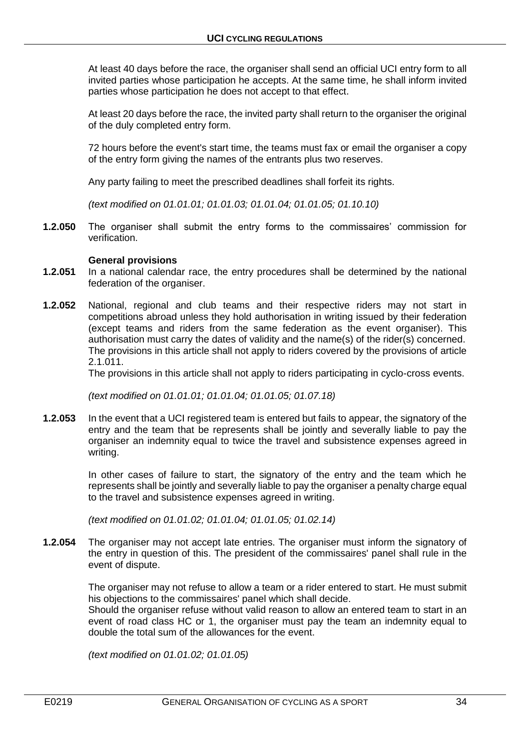At least 40 days before the race, the organiser shall send an official UCI entry form to all invited parties whose participation he accepts. At the same time, he shall inform invited parties whose participation he does not accept to that effect.

At least 20 days before the race, the invited party shall return to the organiser the original of the duly completed entry form.

72 hours before the event's start time, the teams must fax or email the organiser a copy of the entry form giving the names of the entrants plus two reserves.

Any party failing to meet the prescribed deadlines shall forfeit its rights.

*(text modified on 01.01.01; 01.01.03; 01.01.04; 01.01.05; 01.10.10)*

**1.2.050** The organiser shall submit the entry forms to the commissaires' commission for verification.

#### **General provisions**

- **1.2.051** In a national calendar race, the entry procedures shall be determined by the national federation of the organiser.
- **1.2.052** National, regional and club teams and their respective riders may not start in competitions abroad unless they hold authorisation in writing issued by their federation (except teams and riders from the same federation as the event organiser). This authorisation must carry the dates of validity and the name(s) of the rider(s) concerned. The provisions in this article shall not apply to riders covered by the provisions of article 2.1.011.

The provisions in this article shall not apply to riders participating in cyclo-cross events.

*(text modified on 01.01.01; 01.01.04; 01.01.05; 01.07.18)*

**1.2.053** In the event that a UCI registered team is entered but fails to appear, the signatory of the entry and the team that be represents shall be jointly and severally liable to pay the organiser an indemnity equal to twice the travel and subsistence expenses agreed in writing.

> In other cases of failure to start, the signatory of the entry and the team which he represents shall be jointly and severally liable to pay the organiser a penalty charge equal to the travel and subsistence expenses agreed in writing.

*(text modified on 01.01.02; 01.01.04; 01.01.05; 01.02.14)*

**1.2.054** The organiser may not accept late entries. The organiser must inform the signatory of the entry in question of this. The president of the commissaires' panel shall rule in the event of dispute.

> The organiser may not refuse to allow a team or a rider entered to start. He must submit his objections to the commissaires' panel which shall decide.

> Should the organiser refuse without valid reason to allow an entered team to start in an event of road class HC or 1, the organiser must pay the team an indemnity equal to double the total sum of the allowances for the event.

*(text modified on 01.01.02; 01.01.05)*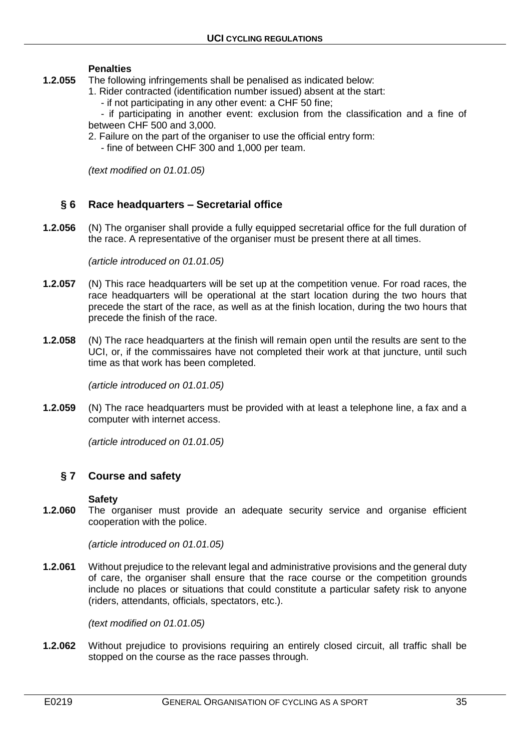#### **Penalties**

- **1.2.055** The following infringements shall be penalised as indicated below:
	- 1. Rider contracted (identification number issued) absent at the start:
		- if not participating in any other event: a CHF 50 fine;

- if participating in another event: exclusion from the classification and a fine of between CHF 500 and 3,000.

- 2. Failure on the part of the organiser to use the official entry form:
	- fine of between CHF 300 and 1,000 per team.

*(text modified on 01.01.05)*

# <span id="page-34-0"></span>**§ 6 Race headquarters – Secretarial office**

**1.2.056** (N) The organiser shall provide a fully equipped secretarial office for the full duration of the race. A representative of the organiser must be present there at all times.

*(article introduced on 01.01.05)*

- **1.2.057** (N) This race headquarters will be set up at the competition venue. For road races, the race headquarters will be operational at the start location during the two hours that precede the start of the race, as well as at the finish location, during the two hours that precede the finish of the race.
- **1.2.058** (N) The race headquarters at the finish will remain open until the results are sent to the UCI, or, if the commissaires have not completed their work at that juncture, until such time as that work has been completed.

*(article introduced on 01.01.05)*

**1.2.059** (N) The race headquarters must be provided with at least a telephone line, a fax and a computer with internet access.

*(article introduced on 01.01.05)*

# <span id="page-34-1"></span>**§ 7 Course and safety**

#### **Safety**

**1.2.060** The organiser must provide an adequate security service and organise efficient cooperation with the police.

*(article introduced on 01.01.05)*

**1.2.061** Without prejudice to the relevant legal and administrative provisions and the general duty of care, the organiser shall ensure that the race course or the competition grounds include no places or situations that could constitute a particular safety risk to anyone (riders, attendants, officials, spectators, etc.).

*(text modified on 01.01.05)*

**1.2.062** Without prejudice to provisions requiring an entirely closed circuit, all traffic shall be stopped on the course as the race passes through.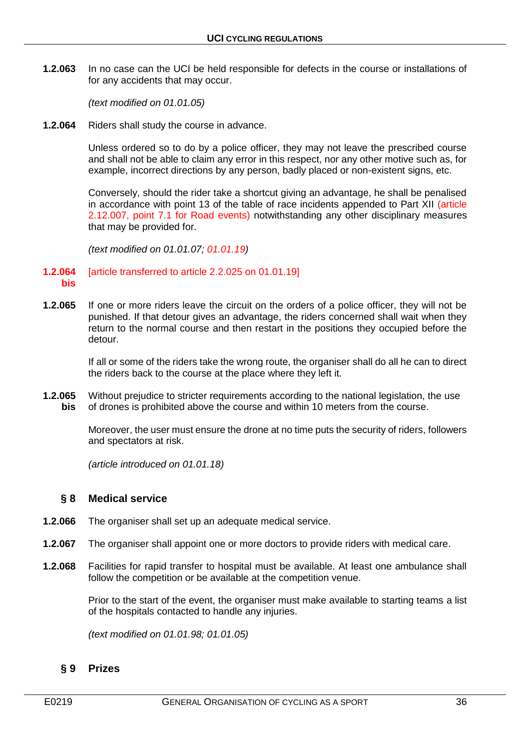**1.2.063** In no case can the UCI be held responsible for defects in the course or installations of for any accidents that may occur.

*(text modified on 01.01.05)*

**1.2.064** Riders shall study the course in advance.

Unless ordered so to do by a police officer, they may not leave the prescribed course and shall not be able to claim any error in this respect, nor any other motive such as, for example, incorrect directions by any person, badly placed or non-existent signs, etc.

Conversely, should the rider take a shortcut giving an advantage, he shall be penalised in accordance with point 13 of the table of race incidents appended to Part XII (article 2.12.007, point 7.1 for Road events) notwithstanding any other disciplinary measures that may be provided for.

*(text modified on 01.01.07; 01.01.19)*

#### **1.2.064** [article transferred to article 2.2.025 on 01.01.19] **bis**

**1.2.065** If one or more riders leave the circuit on the orders of a police officer, they will not be punished. If that detour gives an advantage, the riders concerned shall wait when they return to the normal course and then restart in the positions they occupied before the detour.

> If all or some of the riders take the wrong route, the organiser shall do all he can to direct the riders back to the course at the place where they left it.

**1.2.065** Without prejudice to stricter requirements according to the national legislation, the use **bis** of drones is prohibited above the course and within 10 meters from the course.

> Moreover, the user must ensure the drone at no time puts the security of riders, followers and spectators at risk.

*(article introduced on 01.01.18)*

### <span id="page-35-0"></span>**§ 8 Medical service**

- **1.2.066** The organiser shall set up an adequate medical service.
- **1.2.067** The organiser shall appoint one or more doctors to provide riders with medical care.
- **1.2.068** Facilities for rapid transfer to hospital must be available. At least one ambulance shall follow the competition or be available at the competition venue.

Prior to the start of the event, the organiser must make available to starting teams a list of the hospitals contacted to handle any injuries.

*(text modified on 01.01.98; 01.01.05)*

# <span id="page-35-1"></span>**§ 9 Prizes**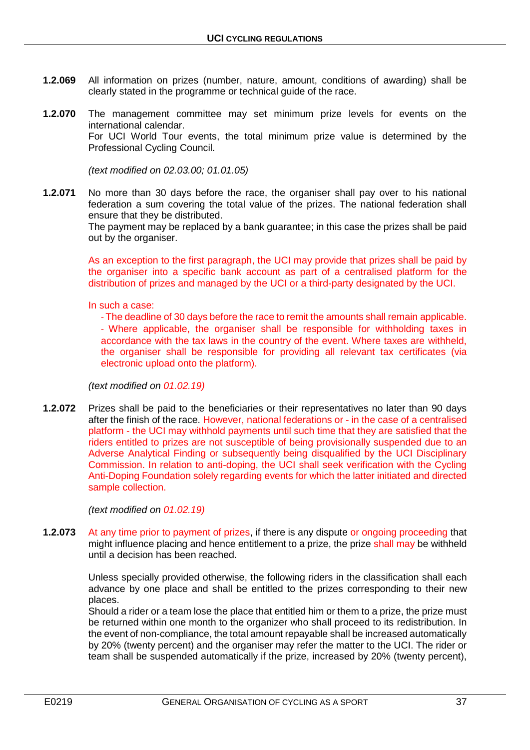- **1.2.069** All information on prizes (number, nature, amount, conditions of awarding) shall be clearly stated in the programme or technical guide of the race.
- **1.2.070** The management committee may set minimum prize levels for events on the international calendar. For UCI World Tour events, the total minimum prize value is determined by the Professional Cycling Council.

*(text modified on 02.03.00; 01.01.05)*

**1.2.071** No more than 30 days before the race, the organiser shall pay over to his national federation a sum covering the total value of the prizes. The national federation shall ensure that they be distributed.

The payment may be replaced by a bank guarantee; in this case the prizes shall be paid out by the organiser.

As an exception to the first paragraph, the UCI may provide that prizes shall be paid by the organiser into a specific bank account as part of a centralised platform for the distribution of prizes and managed by the UCI or a third-party designated by the UCI.

In such a case:

‐ The deadline of 30 days before the race to remit the amounts shall remain applicable. ‐ Where applicable, the organiser shall be responsible for withholding taxes in accordance with the tax laws in the country of the event. Where taxes are withheld, the organiser shall be responsible for providing all relevant tax certificates (via electronic upload onto the platform).

*(text modified on 01.02.19)*

**1.2.072** Prizes shall be paid to the beneficiaries or their representatives no later than 90 days after the finish of the race. However, national federations or - in the case of a centralised platform - the UCI may withhold payments until such time that they are satisfied that the riders entitled to prizes are not susceptible of being provisionally suspended due to an Adverse Analytical Finding or subsequently being disqualified by the UCI Disciplinary Commission. In relation to anti-doping, the UCI shall seek verification with the Cycling Anti-Doping Foundation solely regarding events for which the latter initiated and directed sample collection.

*(text modified on 01.02.19)*

**1.2.073** At any time prior to payment of prizes, if there is any dispute or ongoing proceeding that might influence placing and hence entitlement to a prize, the prize shall may be withheld until a decision has been reached.

> Unless specially provided otherwise, the following riders in the classification shall each advance by one place and shall be entitled to the prizes corresponding to their new places.

> Should a rider or a team lose the place that entitled him or them to a prize, the prize must be returned within one month to the organizer who shall proceed to its redistribution. In the event of non-compliance, the total amount repayable shall be increased automatically by 20% (twenty percent) and the organiser may refer the matter to the UCI. The rider or team shall be suspended automatically if the prize, increased by 20% (twenty percent),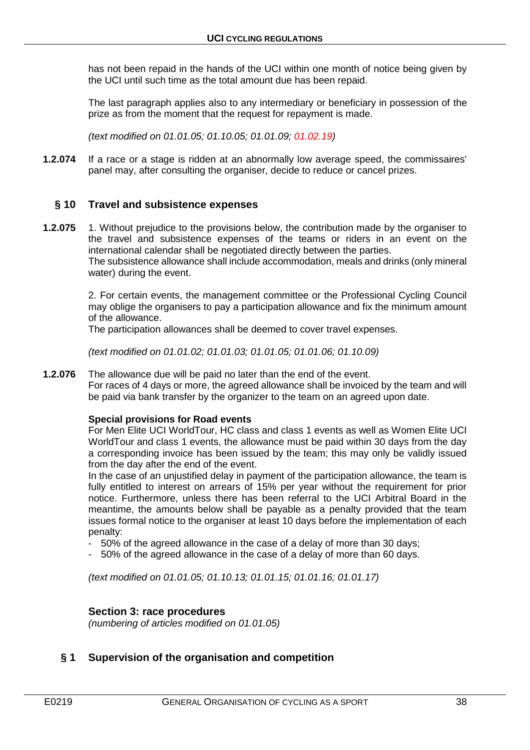has not been repaid in the hands of the UCI within one month of notice being given by the UCI until such time as the total amount due has been repaid.

The last paragraph applies also to any intermediary or beneficiary in possession of the prize as from the moment that the request for repayment is made.

*(text modified on 01.01.05; 01.10.05; 01.01.09; 01.02.19)*

**1.2.074** If a race or a stage is ridden at an abnormally low average speed, the commissaires' panel may, after consulting the organiser, decide to reduce or cancel prizes.

# **§ 10 Travel and subsistence expenses**

**1.2.075** 1. Without prejudice to the provisions below, the contribution made by the organiser to the travel and subsistence expenses of the teams or riders in an event on the international calendar shall be negotiated directly between the parties.

The subsistence allowance shall include accommodation, meals and drinks (only mineral water) during the event.

2. For certain events, the management committee or the Professional Cycling Council may oblige the organisers to pay a participation allowance and fix the minimum amount of the allowance.

The participation allowances shall be deemed to cover travel expenses.

*(text modified on 01.01.02; 01.01.03; 01.01.05; 01.01.06; 01.10.09)*

**1.2.076** The allowance due will be paid no later than the end of the event.

For races of 4 days or more, the agreed allowance shall be invoiced by the team and will be paid via bank transfer by the organizer to the team on an agreed upon date.

#### **Special provisions for Road events**

For Men Elite UCI WorldTour, HC class and class 1 events as well as Women Elite UCI WorldTour and class 1 events, the allowance must be paid within 30 days from the day a corresponding invoice has been issued by the team; this may only be validly issued from the day after the end of the event.

In the case of an unjustified delay in payment of the participation allowance, the team is fully entitled to interest on arrears of 15% per year without the requirement for prior notice. Furthermore, unless there has been referral to the UCI Arbitral Board in the meantime, the amounts below shall be payable as a penalty provided that the team issues formal notice to the organiser at least 10 days before the implementation of each penalty:

- 50% of the agreed allowance in the case of a delay of more than 30 days;
- 50% of the agreed allowance in the case of a delay of more than 60 days.

*(text modified on 01.01.05; 01.10.13; 01.01.15; 01.01.16; 01.01.17)*

## **Section 3: race procedures**

*(numbering of articles modified on 01.01.05)*

## **§ 1 Supervision of the organisation and competition**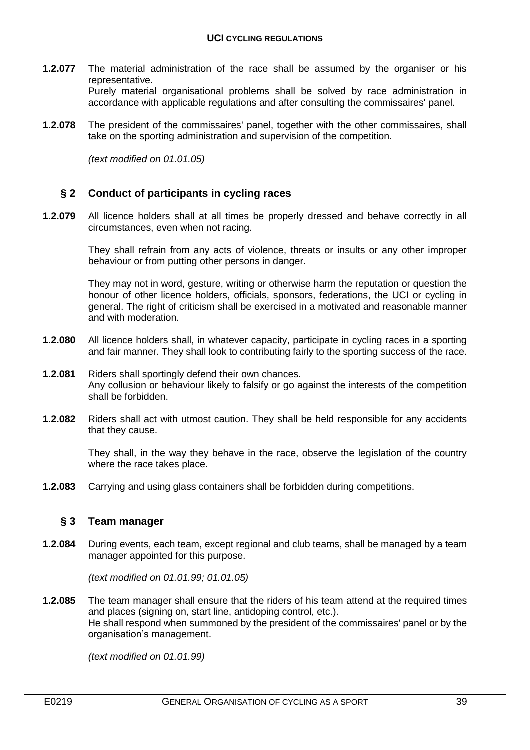**1.2.077** The material administration of the race shall be assumed by the organiser or his representative.

Purely material organisational problems shall be solved by race administration in accordance with applicable regulations and after consulting the commissaires' panel.

**1.2.078** The president of the commissaires' panel, together with the other commissaires, shall take on the sporting administration and supervision of the competition.

*(text modified on 01.01.05)*

# **§ 2 Conduct of participants in cycling races**

**1.2.079** All licence holders shall at all times be properly dressed and behave correctly in all circumstances, even when not racing.

> They shall refrain from any acts of violence, threats or insults or any other improper behaviour or from putting other persons in danger.

> They may not in word, gesture, writing or otherwise harm the reputation or question the honour of other licence holders, officials, sponsors, federations, the UCI or cycling in general. The right of criticism shall be exercised in a motivated and reasonable manner and with moderation.

- **1.2.080** All licence holders shall, in whatever capacity, participate in cycling races in a sporting and fair manner. They shall look to contributing fairly to the sporting success of the race.
- **1.2.081** Riders shall sportingly defend their own chances. Any collusion or behaviour likely to falsify or go against the interests of the competition shall be forbidden.
- **1.2.082** Riders shall act with utmost caution. They shall be held responsible for any accidents that they cause.

They shall, in the way they behave in the race, observe the legislation of the country where the race takes place.

**1.2.083** Carrying and using glass containers shall be forbidden during competitions.

## **§ 3 Team manager**

**1.2.084** During events, each team, except regional and club teams, shall be managed by a team manager appointed for this purpose.

*(text modified on 01.01.99; 01.01.05)*

**1.2.085** The team manager shall ensure that the riders of his team attend at the required times and places (signing on, start line, antidoping control, etc.). He shall respond when summoned by the president of the commissaires' panel or by the organisation's management.

*(text modified on 01.01.99)*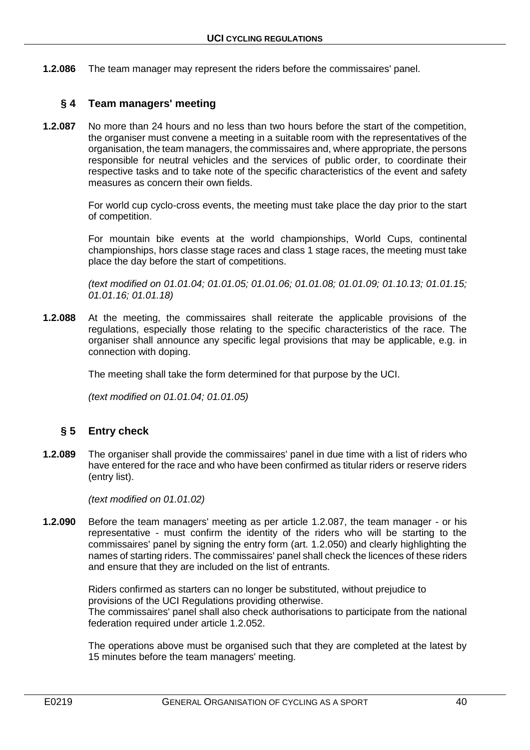**1.2.086** The team manager may represent the riders before the commissaires' panel.

# **§ 4 Team managers' meeting**

**1.2.087** No more than 24 hours and no less than two hours before the start of the competition, the organiser must convene a meeting in a suitable room with the representatives of the organisation, the team managers, the commissaires and, where appropriate, the persons responsible for neutral vehicles and the services of public order, to coordinate their respective tasks and to take note of the specific characteristics of the event and safety measures as concern their own fields.

> For world cup cyclo-cross events, the meeting must take place the day prior to the start of competition.

> For mountain bike events at the world championships, World Cups, continental championships, hors classe stage races and class 1 stage races, the meeting must take place the day before the start of competitions.

> *(text modified on 01.01.04; 01.01.05; 01.01.06; 01.01.08; 01.01.09; 01.10.13; 01.01.15; 01.01.16; 01.01.18)*

**1.2.088** At the meeting, the commissaires shall reiterate the applicable provisions of the regulations, especially those relating to the specific characteristics of the race. The organiser shall announce any specific legal provisions that may be applicable, e.g. in connection with doping.

The meeting shall take the form determined for that purpose by the UCI.

*(text modified on 01.01.04; 01.01.05)*

# **§ 5 Entry check**

**1.2.089** The organiser shall provide the commissaires' panel in due time with a list of riders who have entered for the race and who have been confirmed as titular riders or reserve riders (entry list).

*(text modified on 01.01.02)*

**1.2.090** Before the team managers' meeting as per article 1.2.087, the team manager - or his representative - must confirm the identity of the riders who will be starting to the commissaires' panel by signing the entry form (art. 1.2.050) and clearly highlighting the names of starting riders. The commissaires' panel shall check the licences of these riders and ensure that they are included on the list of entrants.

> Riders confirmed as starters can no longer be substituted, without prejudice to provisions of the UCI Regulations providing otherwise. The commissaires' panel shall also check authorisations to participate from the national federation required under article 1.2.052.

> The operations above must be organised such that they are completed at the latest by 15 minutes before the team managers' meeting.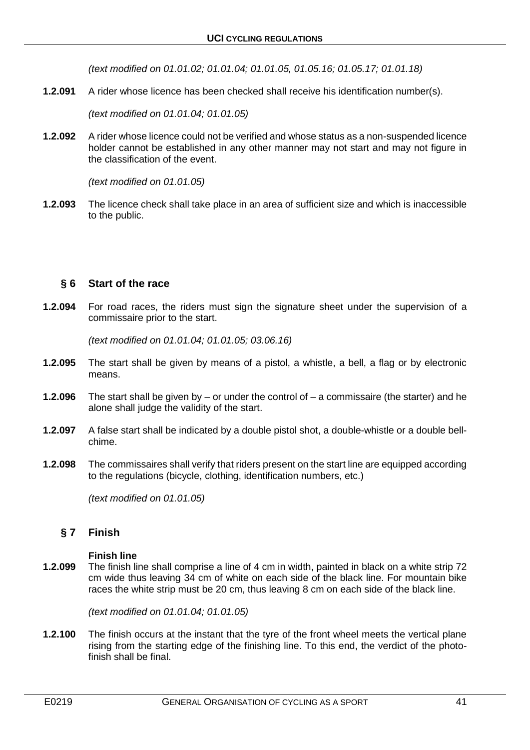*(text modified on 01.01.02; 01.01.04; 01.01.05, 01.05.16; 01.05.17; 01.01.18)*

**1.2.091** A rider whose licence has been checked shall receive his identification number(s).

*(text modified on 01.01.04; 01.01.05)*

**1.2.092** A rider whose licence could not be verified and whose status as a non-suspended licence holder cannot be established in any other manner may not start and may not figure in the classification of the event.

*(text modified on 01.01.05)*

**1.2.093** The licence check shall take place in an area of sufficient size and which is inaccessible to the public.

## **§ 6 Start of the race**

**1.2.094** For road races, the riders must sign the signature sheet under the supervision of a commissaire prior to the start.

*(text modified on 01.01.04; 01.01.05; 03.06.16)*

- **1.2.095** The start shall be given by means of a pistol, a whistle, a bell, a flag or by electronic means.
- **1.2.096** The start shall be given by or under the control of a commissaire (the starter) and he alone shall judge the validity of the start.
- **1.2.097** A false start shall be indicated by a double pistol shot, a double-whistle or a double bellchime.
- **1.2.098** The commissaires shall verify that riders present on the start line are equipped according to the regulations (bicycle, clothing, identification numbers, etc.)

*(text modified on 01.01.05)*

## **§ 7 Finish**

#### **Finish line**

**1.2.099** The finish line shall comprise a line of 4 cm in width, painted in black on a white strip 72 cm wide thus leaving 34 cm of white on each side of the black line. For mountain bike races the white strip must be 20 cm, thus leaving 8 cm on each side of the black line.

*(text modified on 01.01.04; 01.01.05)*

**1.2.100** The finish occurs at the instant that the tyre of the front wheel meets the vertical plane rising from the starting edge of the finishing line. To this end, the verdict of the photofinish shall be final.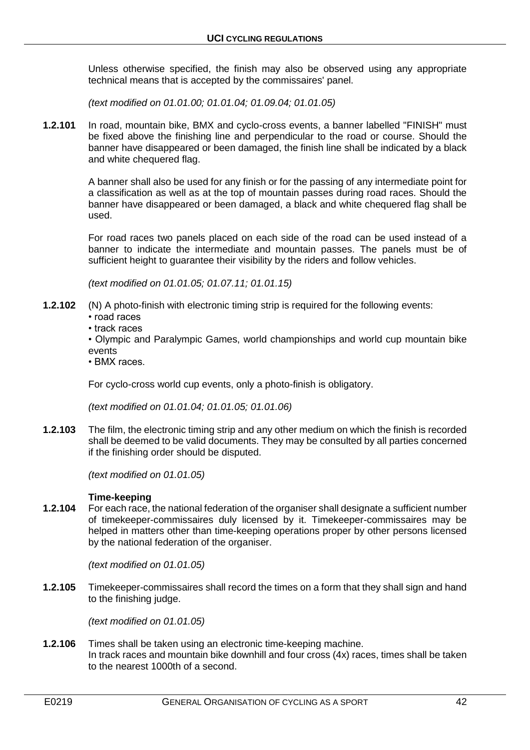Unless otherwise specified, the finish may also be observed using any appropriate technical means that is accepted by the commissaires' panel.

*(text modified on 01.01.00; 01.01.04; 01.09.04; 01.01.05)*

**1.2.101** In road, mountain bike, BMX and cyclo-cross events, a banner labelled "FINISH" must be fixed above the finishing line and perpendicular to the road or course. Should the banner have disappeared or been damaged, the finish line shall be indicated by a black and white chequered flag.

> A banner shall also be used for any finish or for the passing of any intermediate point for a classification as well as at the top of mountain passes during road races. Should the banner have disappeared or been damaged, a black and white chequered flag shall be used.

> For road races two panels placed on each side of the road can be used instead of a banner to indicate the intermediate and mountain passes. The panels must be of sufficient height to guarantee their visibility by the riders and follow vehicles.

*(text modified on 01.01.05; 01.07.11; 01.01.15)*

- **1.2.102** (N) A photo-finish with electronic timing strip is required for the following events:
	- road races
	- track races
	- Olympic and Paralympic Games, world championships and world cup mountain bike events
	- BMX races.

For cyclo-cross world cup events, only a photo-finish is obligatory.

*(text modified on 01.01.04; 01.01.05; 01.01.06)*

**1.2.103** The film, the electronic timing strip and any other medium on which the finish is recorded shall be deemed to be valid documents. They may be consulted by all parties concerned if the finishing order should be disputed.

*(text modified on 01.01.05)*

## **Time-keeping**

**1.2.104** For each race, the national federation of the organiser shall designate a sufficient number of timekeeper-commissaires duly licensed by it. Timekeeper-commissaires may be helped in matters other than time-keeping operations proper by other persons licensed by the national federation of the organiser.

*(text modified on 01.01.05)*

**1.2.105** Timekeeper-commissaires shall record the times on a form that they shall sign and hand to the finishing judge.

*(text modified on 01.01.05)*

**1.2.106** Times shall be taken using an electronic time-keeping machine. In track races and mountain bike downhill and four cross (4x) races, times shall be taken to the nearest 1000th of a second.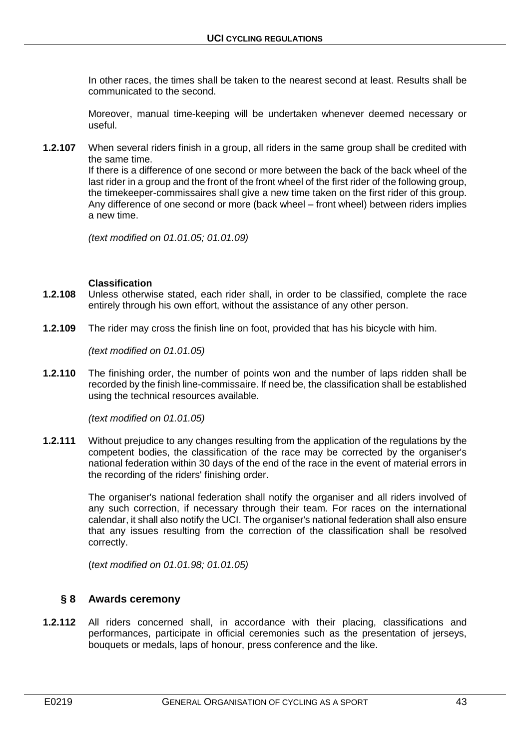In other races, the times shall be taken to the nearest second at least. Results shall be communicated to the second.

Moreover, manual time-keeping will be undertaken whenever deemed necessary or useful.

**1.2.107** When several riders finish in a group, all riders in the same group shall be credited with the same time.

If there is a difference of one second or more between the back of the back wheel of the last rider in a group and the front of the front wheel of the first rider of the following group, the timekeeper-commissaires shall give a new time taken on the first rider of this group. Any difference of one second or more (back wheel – front wheel) between riders implies a new time.

*(text modified on 01.01.05; 01.01.09)*

#### **Classification**

- **1.2.108** Unless otherwise stated, each rider shall, in order to be classified, complete the race entirely through his own effort, without the assistance of any other person.
- **1.2.109** The rider may cross the finish line on foot, provided that has his bicycle with him.

*(text modified on 01.01.05)*

**1.2.110** The finishing order, the number of points won and the number of laps ridden shall be recorded by the finish line-commissaire. If need be, the classification shall be established using the technical resources available.

*(text modified on 01.01.05)*

**1.2.111** Without prejudice to any changes resulting from the application of the regulations by the competent bodies, the classification of the race may be corrected by the organiser's national federation within 30 days of the end of the race in the event of material errors in the recording of the riders' finishing order.

> The organiser's national federation shall notify the organiser and all riders involved of any such correction, if necessary through their team. For races on the international calendar, it shall also notify the UCI. The organiser's national federation shall also ensure that any issues resulting from the correction of the classification shall be resolved correctly.

(*text modified on 01.01.98; 01.01.05)*

# **§ 8 Awards ceremony**

**1.2.112** All riders concerned shall, in accordance with their placing, classifications and performances, participate in official ceremonies such as the presentation of jerseys, bouquets or medals, laps of honour, press conference and the like.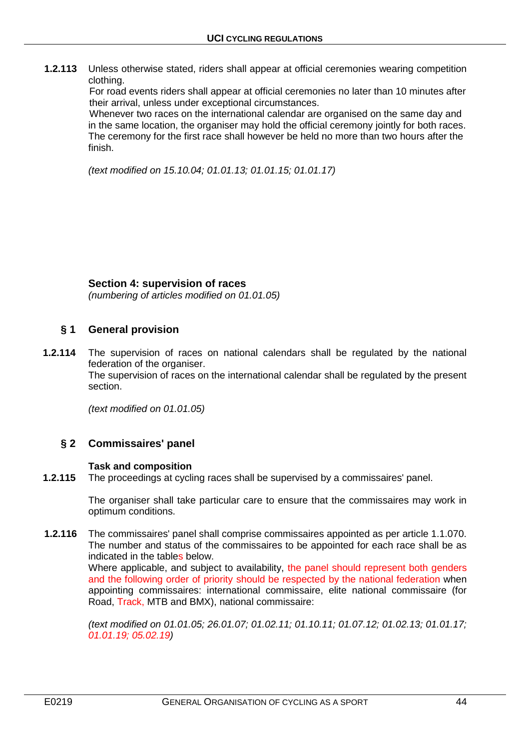**1.2.113** Unless otherwise stated, riders shall appear at official ceremonies wearing competition clothing.

For road events riders shall appear at official ceremonies no later than 10 minutes after their arrival, unless under exceptional circumstances.

Whenever two races on the international calendar are organised on the same day and in the same location, the organiser may hold the official ceremony jointly for both races. The ceremony for the first race shall however be held no more than two hours after the finish.

*(text modified on 15.10.04; 01.01.13; 01.01.15; 01.01.17)*

## **Section 4: supervision of races**

*(numbering of articles modified on 01.01.05)*

# **§ 1 General provision**

**1.2.114** The supervision of races on national calendars shall be regulated by the national federation of the organiser.

The supervision of races on the international calendar shall be regulated by the present section.

*(text modified on 01.01.05)*

# **§ 2 Commissaires' panel**

#### **Task and composition**

**1.2.115** The proceedings at cycling races shall be supervised by a commissaires' panel.

The organiser shall take particular care to ensure that the commissaires may work in optimum conditions.

 **1.2.116** The commissaires' panel shall comprise commissaires appointed as per article 1.1.070. The number and status of the commissaires to be appointed for each race shall be as indicated in the tables below. Where applicable, and subject to availability, the panel should represent both genders and the following order of priority should be respected by the national federation when appointing commissaires: international commissaire, elite national commissaire (for Road, Track, MTB and BMX), national commissaire:

> *(text modified on 01.01.05; 26.01.07; 01.02.11; 01.10.11; 01.07.12; 01.02.13; 01.01.17; 01.01.19; 05.02.19)*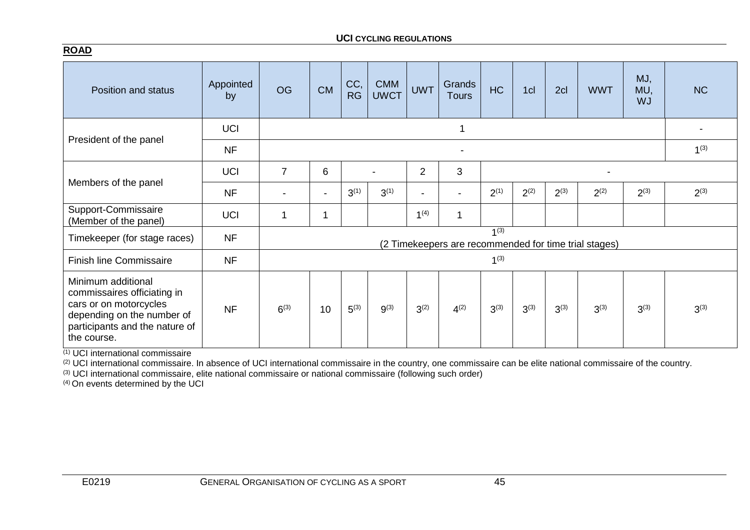### **UCI CYCLING REGULATIONS**

| Position and status                                                                                                                                        | Appointed<br>by | <b>OG</b> | <b>CM</b>                | CC,<br><b>RG</b> | <b>CMM</b><br><b>UWCT</b> | <b>UWT</b>       | Grands<br><b>Tours</b> | <b>HC</b> | 1cl       | 2cl       | <b>WWT</b>                                            | MJ,<br>MU,<br><b>WJ</b> | <b>NC</b> |
|------------------------------------------------------------------------------------------------------------------------------------------------------------|-----------------|-----------|--------------------------|------------------|---------------------------|------------------|------------------------|-----------|-----------|-----------|-------------------------------------------------------|-------------------------|-----------|
|                                                                                                                                                            | <b>UCI</b>      |           |                          |                  |                           |                  | 1                      |           |           |           |                                                       |                         |           |
| President of the panel                                                                                                                                     | <b>NF</b>       |           | $\overline{\phantom{a}}$ |                  |                           |                  |                        |           |           |           |                                                       |                         | $1^{(3)}$ |
|                                                                                                                                                            | <b>UCI</b>      | 7         | 3<br>6<br>$\overline{2}$ |                  |                           |                  |                        |           |           |           |                                                       |                         |           |
| Members of the panel                                                                                                                                       | <b>NF</b>       |           | $\overline{\phantom{a}}$ | $3^{(1)}$        | $3^{(1)}$                 | ۰.               |                        | $2^{(1)}$ | $2^{(2)}$ | $2^{(3)}$ | $2^{(2)}$                                             | $2^{(3)}$               | $2^{(3)}$ |
| Support-Commissaire<br>(Member of the panel)                                                                                                               | <b>UCI</b>      | 1         |                          |                  |                           | 1 <sup>(4)</sup> | 1                      |           |           |           |                                                       |                         |           |
| Timekeeper (for stage races)                                                                                                                               | <b>NF</b>       |           |                          |                  |                           |                  |                        | $1^{(3)}$ |           |           | (2 Timekeepers are recommended for time trial stages) |                         |           |
| <b>Finish line Commissaire</b>                                                                                                                             | <b>NF</b>       |           |                          |                  |                           |                  |                        | $1^{(3)}$ |           |           |                                                       |                         |           |
| Minimum additional<br>commissaires officiating in<br>cars or on motorcycles<br>depending on the number of<br>participants and the nature of<br>the course. | <b>NF</b>       | $6^{(3)}$ | 10                       | $5^{(3)}$        | $9^{(3)}$                 | $3^{(2)}$        | $4^{(2)}$              | $3^{(3)}$ | $3^{(3)}$ | $3^{(3)}$ | $3^{(3)}$                                             | $3^{(3)}$               | $3^{(3)}$ |

 $(1)$  UCI international commissaire

(2) UCI international commissaire. In absence of UCI international commissaire in the country, one commissaire can be elite national commissaire of the country.

(3) UCI international commissaire, elite national commissaire or national commissaire (following such order)

 $(4)$  On events determined by the UCI

**ROAD**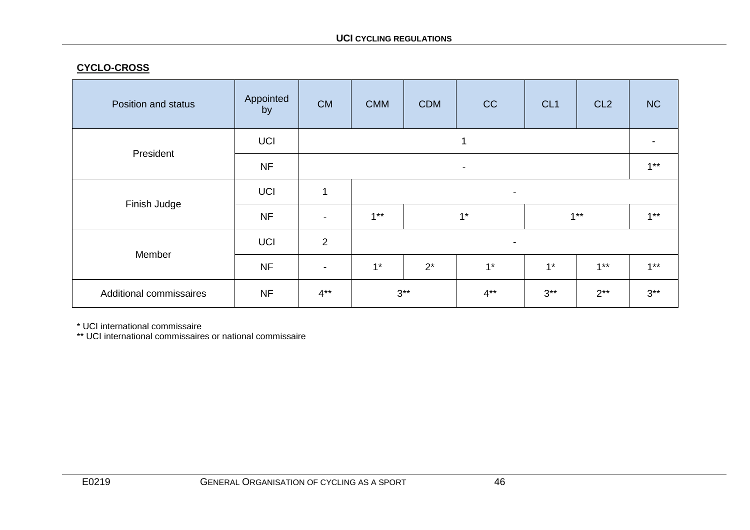# **CYCLO-CROSS**

| Position and status     | Appointed<br>by | <b>CM</b>      | <b>CMM</b>               | <b>CDM</b>                           | CC    | CL <sub>1</sub> | CL <sub>2</sub> | <b>NC</b> |  |  |  |
|-------------------------|-----------------|----------------|--------------------------|--------------------------------------|-------|-----------------|-----------------|-----------|--|--|--|
| President               | <b>UCI</b>      |                |                          |                                      |       |                 |                 |           |  |  |  |
|                         | <b>NF</b>       |                | $\blacksquare$           |                                      |       |                 |                 |           |  |  |  |
|                         | <b>UCI</b>      | $\mathbf{1}$   | $\overline{\phantom{a}}$ |                                      |       |                 |                 |           |  |  |  |
| Finish Judge            | <b>NF</b>       | $\blacksquare$ | $1***$                   |                                      | $1^*$ |                 | $1***$          | $1***$    |  |  |  |
| Member                  | UCI             | $\overline{2}$ | $\overline{\phantom{a}}$ |                                      |       |                 |                 |           |  |  |  |
|                         | <b>NF</b>       | $\blacksquare$ | $1^*$                    | $2^*$                                | $1^*$ | $1^*$           | $1***$          | $1***$    |  |  |  |
| Additional commissaires | <b>NF</b>       | $4***$         |                          | $3***$<br>$3***$<br>$4***$<br>$2***$ |       |                 | $3***$          |           |  |  |  |

\* UCI international commissaire

\*\* UCI international commissaires or national commissaire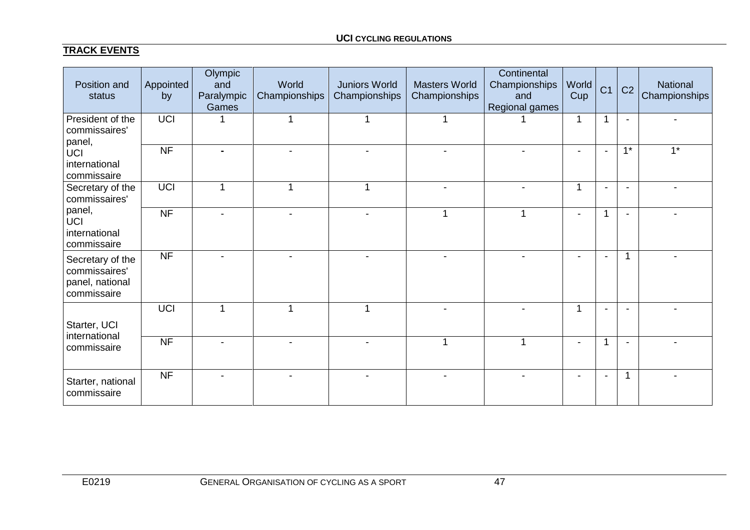# **TRACK EVENTS**

| Position and<br>status                                              | Appointed<br>by | Olympic<br>and<br>Paralympic<br>Games | World<br>Championships  | <b>Juniors World</b><br>Championships | <b>Masters World</b><br>Championships | Continental<br>Championships<br>and<br>Regional games | World<br>Cup             | C <sub>1</sub>           | C <sub>2</sub> | National<br>Championships |
|---------------------------------------------------------------------|-----------------|---------------------------------------|-------------------------|---------------------------------------|---------------------------------------|-------------------------------------------------------|--------------------------|--------------------------|----------------|---------------------------|
| President of the<br>commissaires'<br>panel,                         | <b>UCI</b>      |                                       | 1                       |                                       |                                       |                                                       | 1                        | 1                        |                |                           |
| UCI<br>international<br>commissaire                                 | <b>NF</b>       | $\blacksquare$                        |                         | L,                                    |                                       |                                                       | $\blacksquare$           | $\blacksquare$           | $1^*$          | $1^*$                     |
| Secretary of the<br>commissaires'                                   | UCI             | 1                                     | $\overline{\mathbf{A}}$ |                                       |                                       |                                                       | 1                        |                          |                |                           |
| panel,<br>UCI<br>international<br>commissaire                       | <b>NF</b>       |                                       |                         | $\blacksquare$                        | -1                                    | 1                                                     | $\blacksquare$           | 1                        |                |                           |
| Secretary of the<br>commissaires'<br>panel, national<br>commissaire | <b>NF</b>       |                                       |                         |                                       |                                       |                                                       | $\overline{\phantom{a}}$ | $\blacksquare$           | 1              |                           |
| Starter, UCI                                                        | UCI             | 1                                     | 1                       |                                       |                                       |                                                       | 1                        | $\overline{\phantom{a}}$ |                |                           |
| international<br>commissaire                                        | <b>NF</b>       |                                       |                         |                                       |                                       |                                                       |                          |                          |                |                           |
| Starter, national<br>commissaire                                    | <b>NF</b>       | $\overline{\phantom{a}}$              |                         |                                       |                                       |                                                       | $\overline{\phantom{a}}$ | $\blacksquare$           | 1              |                           |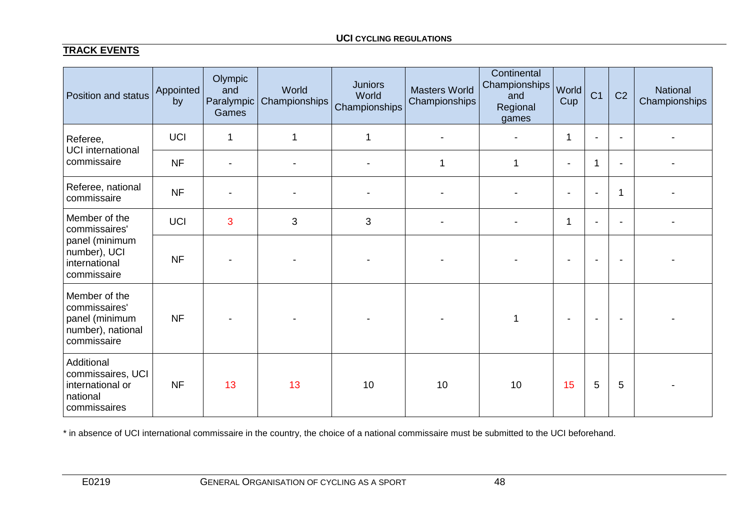# **TRACK EVENTS**

| Position and status                                                                  | Appointed<br>by | Olympic<br>and<br>Paralympic<br>Games | World<br>Championships | <b>Juniors</b><br>World<br>Championships | <b>Masters World</b><br>Championships | Continental<br>Championships<br>and<br>Regional<br>games | World<br>Cup             | C <sub>1</sub> | C <sub>2</sub> | National<br>Championships |
|--------------------------------------------------------------------------------------|-----------------|---------------------------------------|------------------------|------------------------------------------|---------------------------------------|----------------------------------------------------------|--------------------------|----------------|----------------|---------------------------|
| Referee,<br><b>UCI</b> international                                                 | <b>UCI</b>      | $\mathbf 1$                           | $\mathbf 1$            | 1                                        |                                       |                                                          | 1                        | $\blacksquare$ | $\blacksquare$ |                           |
| commissaire                                                                          | <b>NF</b>       | $\blacksquare$                        | $\blacksquare$         |                                          | 1                                     | 1                                                        | $\overline{\phantom{a}}$ | 1              | $\blacksquare$ |                           |
| Referee, national<br>commissaire                                                     | <b>NF</b>       |                                       |                        |                                          |                                       |                                                          |                          |                | 1              |                           |
| Member of the<br>commissaires'                                                       | <b>UCI</b>      | 3                                     | 3                      | 3                                        |                                       |                                                          | 1                        | $\blacksquare$ | $\blacksquare$ |                           |
| panel (minimum<br>number), UCI<br>international<br>commissaire                       | <b>NF</b>       |                                       |                        |                                          |                                       |                                                          |                          |                |                |                           |
| Member of the<br>commissaires'<br>panel (minimum<br>number), national<br>commissaire | <b>NF</b>       |                                       |                        |                                          |                                       |                                                          |                          |                |                |                           |
| Additional<br>commissaires, UCI<br>international or<br>national<br>commissaires      | <b>NF</b>       | 13                                    | 13                     | 10                                       | 10                                    | 10                                                       | 15                       | 5              | 5              |                           |

\* in absence of UCI international commissaire in the country, the choice of a national commissaire must be submitted to the UCI beforehand.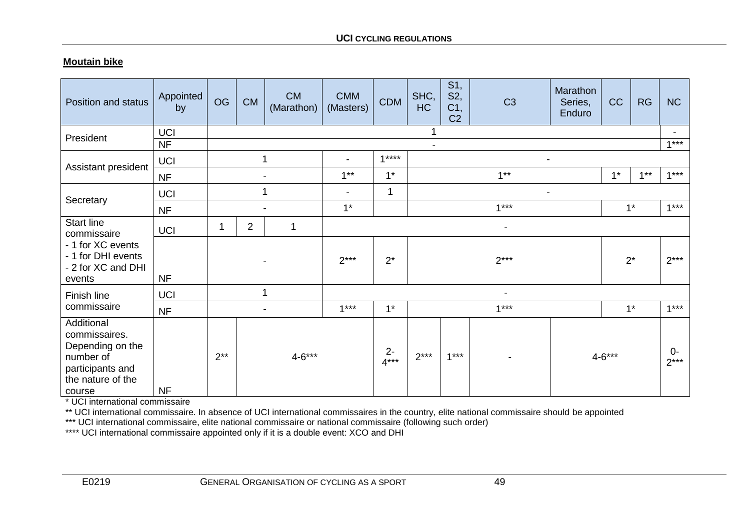# **Moutain bike**

| Position and status                                                                                             | Appointed<br>by  | <b>OG</b> | <b>CM</b> | <b>CM</b><br>(Marathon)  | <b>CMM</b><br>(Masters)  | <b>CDM</b>      | SHC,<br>HC     | S1,<br>S2,<br>C <sub>1</sub><br>C <sub>2</sub> | C <sub>3</sub>           | Marathon<br>Series,<br>Enduro | CC         | <b>RG</b> | <b>NC</b>      |
|-----------------------------------------------------------------------------------------------------------------|------------------|-----------|-----------|--------------------------|--------------------------|-----------------|----------------|------------------------------------------------|--------------------------|-------------------------------|------------|-----------|----------------|
| President                                                                                                       | <b>UCI</b>       |           |           |                          |                          |                 | 1              |                                                |                          |                               |            |           | $1***$         |
|                                                                                                                 | <b>NF</b>        |           | 1         |                          | $\overline{\phantom{a}}$ | $1***$          | $\blacksquare$ |                                                |                          |                               |            |           |                |
| Assistant president                                                                                             | UCI<br><b>NF</b> |           |           | $\overline{\phantom{a}}$ | $1***$                   | $1*$            |                |                                                | $1***$                   |                               | $1*$       | $1***$    | $1***$         |
|                                                                                                                 | UCI              |           | 1         |                          | $\overline{\phantom{a}}$ | 1               |                |                                                | ۰                        |                               |            |           |                |
| Secretary                                                                                                       | <b>NF</b>        |           |           |                          | $1^*$                    |                 |                |                                                | $1***$                   |                               |            | $1^*$     | $1***$         |
| <b>Start line</b><br>commissaire                                                                                | <b>UCI</b>       |           | 2         | 1                        |                          |                 |                |                                                | $\overline{\phantom{a}}$ |                               |            |           |                |
| - 1 for XC events<br>- 1 for DHI events<br>- 2 for XC and DHI<br>events                                         | <b>NF</b>        |           |           | $2***$                   | $2^*$                    | $2***$          |                |                                                |                          | $2^*$                         | $2***$     |           |                |
| Finish line                                                                                                     | <b>UCI</b>       |           | 1         |                          |                          |                 |                |                                                | $\blacksquare$           |                               |            |           |                |
| commissaire                                                                                                     | <b>NF</b>        |           |           |                          | $1***$                   | $1*$            |                |                                                | $1***$                   |                               |            | $1^*$     | $1***$         |
| Additional<br>commissaires.<br>Depending on the<br>number of<br>participants and<br>the nature of the<br>course | <b>NF</b>        | $2**$     |           | $4 - 6***$               |                          | $2 -$<br>$4***$ | $2***$         | $1***$                                         |                          |                               | $4 - 6***$ |           | $0-$<br>$2***$ |

\* UCI international commissaire

\*\* UCI international commissaire. In absence of UCI international commissaires in the country, elite national commissaire should be appointed

\*\*\* UCI international commissaire, elite national commissaire or national commissaire (following such order)

\*\*\*\* UCI international commissaire appointed only if it is a double event: XCO and DHI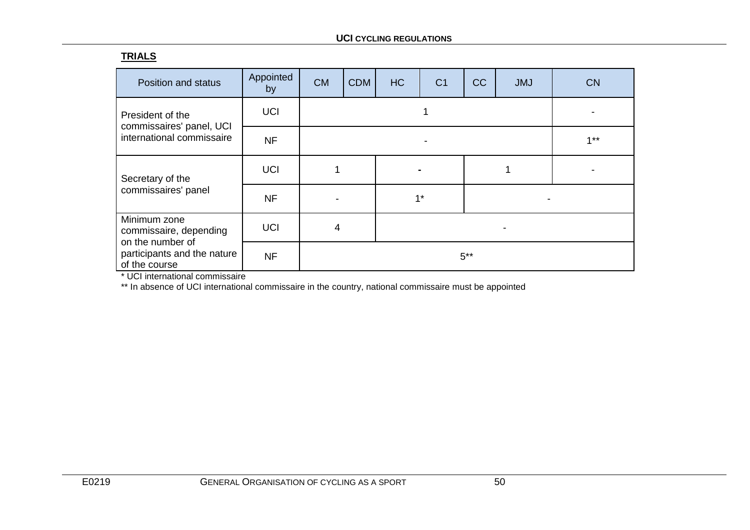# **TRIALS**

| Position and status                                        | Appointed<br>by | <b>CM</b> | <b>CDM</b> | <b>HC</b> | C <sub>1</sub> | CC | <b>JMJ</b> | <b>CN</b> |
|------------------------------------------------------------|-----------------|-----------|------------|-----------|----------------|----|------------|-----------|
| President of the                                           | <b>UCI</b>      |           |            |           |                |    |            |           |
| commissaires' panel, UCI<br>international commissaire      | <b>NF</b>       |           |            |           | $1**$          |    |            |           |
| Secretary of the                                           | <b>UCI</b>      |           |            |           |                |    |            |           |
| commissaires' panel                                        | <b>NF</b>       |           |            | $1*$      |                |    |            |           |
| Minimum zone<br>commissaire, depending<br>on the number of | <b>UCI</b>      | 4         |            |           |                |    |            |           |
| participants and the nature<br>of the course               | <b>NF</b>       |           |            |           |                |    |            |           |

\* UCI international commissaire

\*\* In absence of UCI international commissaire in the country, national commissaire must be appointed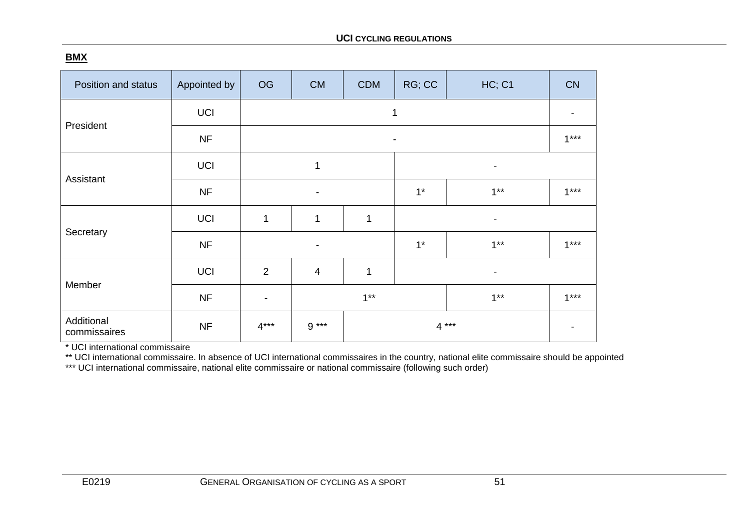# **BMX**

| Position and status        | Appointed by | OG                       | <b>CM</b>                | <b>CDM</b>               | RG; CC                   | HC; C1                   | <b>CN</b> |  |  |  |  |
|----------------------------|--------------|--------------------------|--------------------------|--------------------------|--------------------------|--------------------------|-----------|--|--|--|--|
|                            | <b>UCI</b>   |                          | 1                        |                          |                          |                          |           |  |  |  |  |
| President                  | <b>NF</b>    |                          | $\overline{\phantom{a}}$ |                          |                          |                          |           |  |  |  |  |
|                            | <b>UCI</b>   |                          | 1                        | $\overline{\phantom{a}}$ |                          |                          |           |  |  |  |  |
| Assistant                  | <b>NF</b>    |                          | $\blacksquare$           |                          | $1^*$                    | $1***$                   | $1***$    |  |  |  |  |
|                            | <b>UCI</b>   | $\mathbf 1$              | $\mathbf{1}$             | 1                        |                          | $\overline{\phantom{a}}$ |           |  |  |  |  |
| Secretary                  | <b>NF</b>    |                          | -                        |                          | $1*$                     | $1***$                   | $1***$    |  |  |  |  |
| Member                     | <b>UCI</b>   | $\overline{2}$           | $\overline{4}$           | 1                        |                          | $\overline{\phantom{a}}$ |           |  |  |  |  |
|                            | <b>NF</b>    | $\overline{\phantom{a}}$ |                          | $1***$                   |                          | $1***$                   |           |  |  |  |  |
| Additional<br>commissaires | <b>NF</b>    | $4***$                   | $9***$                   |                          | $4***$<br>$\blacksquare$ |                          |           |  |  |  |  |

\* UCI international commissaire

\*\* UCI international commissaire. In absence of UCI international commissaires in the country, national elite commissaire should be appointed

\*\*\* UCI international commissaire, national elite commissaire or national commissaire (following such order)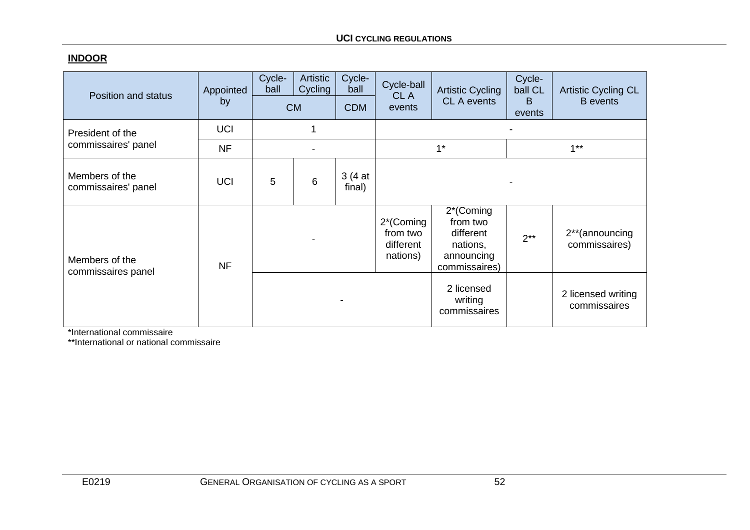# **INDOOR**

| Position and status                   | Appointed<br>by | Cycle-<br>ball | Artistic<br>Cycling | Cycle-<br>ball   | Cycle-ball<br>CL A                             | <b>Artistic Cycling</b><br><b>CL A events</b>                                 | Cycle-<br>ball CL<br>B | <b>Artistic Cycling CL</b><br><b>B</b> events |  |
|---------------------------------------|-----------------|----------------|---------------------|------------------|------------------------------------------------|-------------------------------------------------------------------------------|------------------------|-----------------------------------------------|--|
|                                       |                 | <b>CM</b>      |                     | <b>CDM</b>       | events                                         |                                                                               | events                 |                                               |  |
| President of the                      | <b>UCI</b>      | 1              |                     |                  |                                                |                                                                               |                        |                                               |  |
| commissaires' panel                   | <b>NF</b>       |                |                     |                  |                                                | $1^*$                                                                         | $1**$                  |                                               |  |
| Members of the<br>commissaires' panel | <b>UCI</b>      | 5              | 6                   | 3(4at)<br>final) |                                                |                                                                               |                        |                                               |  |
| Members of the<br>commissaires panel  | <b>NF</b>       |                |                     |                  | 2*(Coming<br>from two<br>different<br>nations) | 2*(Coming<br>from two<br>different<br>nations,<br>announcing<br>commissaires) | $2**$                  | 2 <sup>**</sup> (announcing<br>commissaires)  |  |
|                                       |                 |                |                     |                  |                                                | 2 licensed<br>writing<br>commissaires                                         |                        | 2 licensed writing<br>commissaires            |  |

\*International commissaire

\*\*International or national commissaire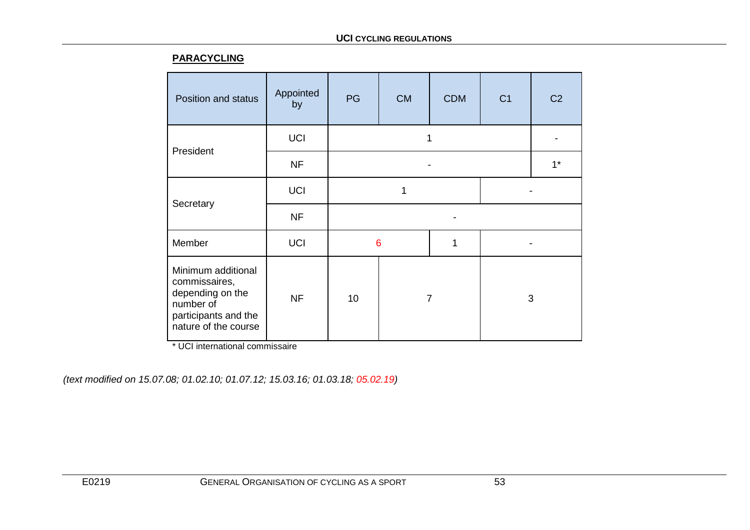## **PARACYCLING**

| Position and status                                                                                                  | Appointed<br>by | PG | <b>CM</b>      | <b>CDM</b> | C <sub>1</sub> | C <sub>2</sub> |  |
|----------------------------------------------------------------------------------------------------------------------|-----------------|----|----------------|------------|----------------|----------------|--|
| President                                                                                                            | <b>UCI</b>      |    |                |            |                |                |  |
|                                                                                                                      | <b>NF</b>       |    |                |            | $1^*$          |                |  |
|                                                                                                                      | <b>UCI</b>      |    | 1              |            |                |                |  |
| Secretary                                                                                                            | <b>NF</b>       |    |                |            |                |                |  |
| Member                                                                                                               | <b>UCI</b>      | 6  |                | 1          |                |                |  |
| Minimum additional<br>commissaires,<br>depending on the<br>number of<br>participants and the<br>nature of the course | <b>NF</b>       | 10 | $\overline{7}$ |            | 3              |                |  |

\* UCI international commissaire

*(text modified on 15.07.08; 01.02.10; 01.07.12; 15.03.16; 01.03.18; 05.02.19)*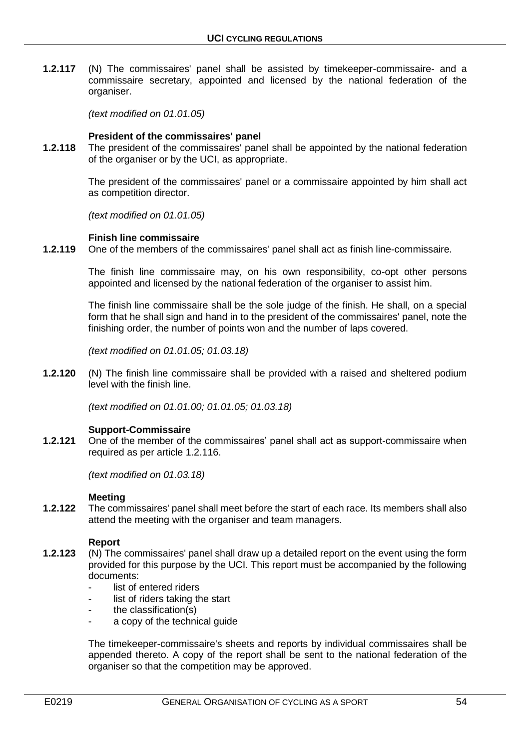**1.2.117** (N) The commissaires' panel shall be assisted by timekeeper-commissaire- and a commissaire secretary, appointed and licensed by the national federation of the organiser.

*(text modified on 01.01.05)*

### **President of the commissaires' panel**

**1.2.118** The president of the commissaires' panel shall be appointed by the national federation of the organiser or by the UCI, as appropriate.

> The president of the commissaires' panel or a commissaire appointed by him shall act as competition director.

*(text modified on 01.01.05)*

#### **Finish line commissaire**

**1.2.119** One of the members of the commissaires' panel shall act as finish line-commissaire.

The finish line commissaire may, on his own responsibility, co-opt other persons appointed and licensed by the national federation of the organiser to assist him.

The finish line commissaire shall be the sole judge of the finish. He shall, on a special form that he shall sign and hand in to the president of the commissaires' panel, note the finishing order, the number of points won and the number of laps covered.

*(text modified on 01.01.05; 01.03.18)*

**1.2.120** (N) The finish line commissaire shall be provided with a raised and sheltered podium level with the finish line.

*(text modified on 01.01.00; 01.01.05; 01.03.18)*

## **Support-Commissaire**

**1.2.121** One of the member of the commissaires' panel shall act as support-commissaire when required as per article 1.2.116.

*(text modified on 01.03.18)*

#### **Meeting**

**1.2.122** The commissaires' panel shall meet before the start of each race. Its members shall also attend the meeting with the organiser and team managers.

#### **Report**

- **1.2.123** (N) The commissaires' panel shall draw up a detailed report on the event using the form provided for this purpose by the UCI. This report must be accompanied by the following documents:
	- list of entered riders
	- list of riders taking the start
	- $the classification(s)$
	- a copy of the technical quide

The timekeeper-commissaire's sheets and reports by individual commissaires shall be appended thereto. A copy of the report shall be sent to the national federation of the organiser so that the competition may be approved.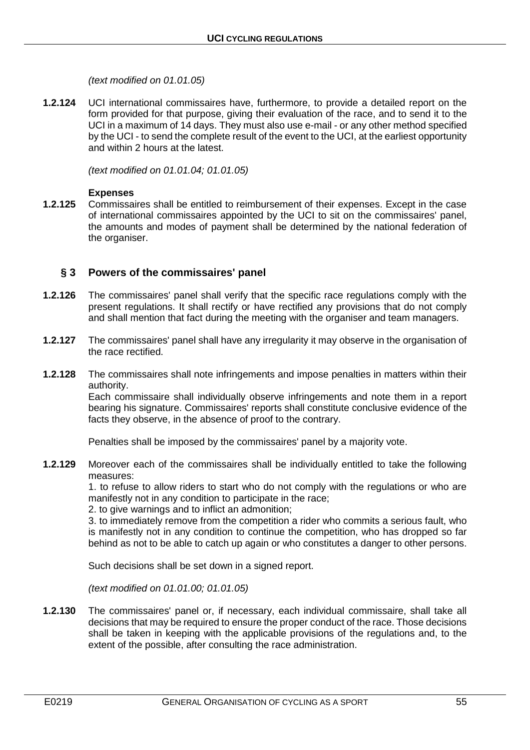*(text modified on 01.01.05)*

**1.2.124** UCI international commissaires have, furthermore, to provide a detailed report on the form provided for that purpose, giving their evaluation of the race, and to send it to the UCI in a maximum of 14 days. They must also use e-mail - or any other method specified by the UCI - to send the complete result of the event to the UCI, at the earliest opportunity and within 2 hours at the latest.

*(text modified on 01.01.04; 01.01.05)*

#### **Expenses**

**1.2.125** Commissaires shall be entitled to reimbursement of their expenses. Except in the case of international commissaires appointed by the UCI to sit on the commissaires' panel, the amounts and modes of payment shall be determined by the national federation of the organiser.

# **§ 3 Powers of the commissaires' panel**

- **1.2.126** The commissaires' panel shall verify that the specific race regulations comply with the present regulations. It shall rectify or have rectified any provisions that do not comply and shall mention that fact during the meeting with the organiser and team managers.
- **1.2.127** The commissaires' panel shall have any irregularity it may observe in the organisation of the race rectified.
- **1.2.128** The commissaires shall note infringements and impose penalties in matters within their authority.

Each commissaire shall individually observe infringements and note them in a report bearing his signature. Commissaires' reports shall constitute conclusive evidence of the facts they observe, in the absence of proof to the contrary.

Penalties shall be imposed by the commissaires' panel by a majority vote.

**1.2.129** Moreover each of the commissaires shall be individually entitled to take the following measures:

1. to refuse to allow riders to start who do not comply with the regulations or who are manifestly not in any condition to participate in the race;

2. to give warnings and to inflict an admonition;

3. to immediately remove from the competition a rider who commits a serious fault, who is manifestly not in any condition to continue the competition, who has dropped so far behind as not to be able to catch up again or who constitutes a danger to other persons.

Such decisions shall be set down in a signed report.

*(text modified on 01.01.00; 01.01.05)*

**1.2.130** The commissaires' panel or, if necessary, each individual commissaire, shall take all decisions that may be required to ensure the proper conduct of the race. Those decisions shall be taken in keeping with the applicable provisions of the regulations and, to the extent of the possible, after consulting the race administration.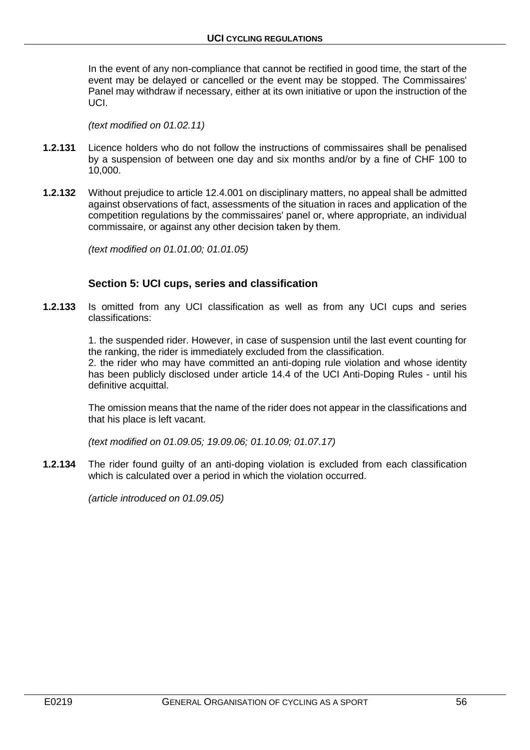In the event of any non-compliance that cannot be rectified in good time, the start of the event may be delayed or cancelled or the event may be stopped. The Commissaires' Panel may withdraw if necessary, either at its own initiative or upon the instruction of the UCI.

*(text modified on 01.02.11)*

- **1.2.131** Licence holders who do not follow the instructions of commissaires shall be penalised by a suspension of between one day and six months and/or by a fine of CHF 100 to 10,000.
- **1.2.132** Without prejudice to article 12.4.001 on disciplinary matters, no appeal shall be admitted against observations of fact, assessments of the situation in races and application of the competition regulations by the commissaires' panel or, where appropriate, an individual commissaire, or against any other decision taken by them.

*(text modified on 01.01.00; 01.01.05)*

## **Section 5: UCI cups, series and classification**

**1.2.133** Is omitted from any UCI classification as well as from any UCI cups and series classifications:

> 1. the suspended rider. However, in case of suspension until the last event counting for the ranking, the rider is immediately excluded from the classification.

> 2. the rider who may have committed an anti-doping rule violation and whose identity has been publicly disclosed under article 14.4 of the UCI Anti-Doping Rules - until his definitive acquittal.

> The omission means that the name of the rider does not appear in the classifications and that his place is left vacant.

*(text modified on 01.09.05; 19.09.06; 01.10.09; 01.07.17)*

**1.2.134** The rider found guilty of an anti-doping violation is excluded from each classification which is calculated over a period in which the violation occurred.

*(article introduced on 01.09.05)*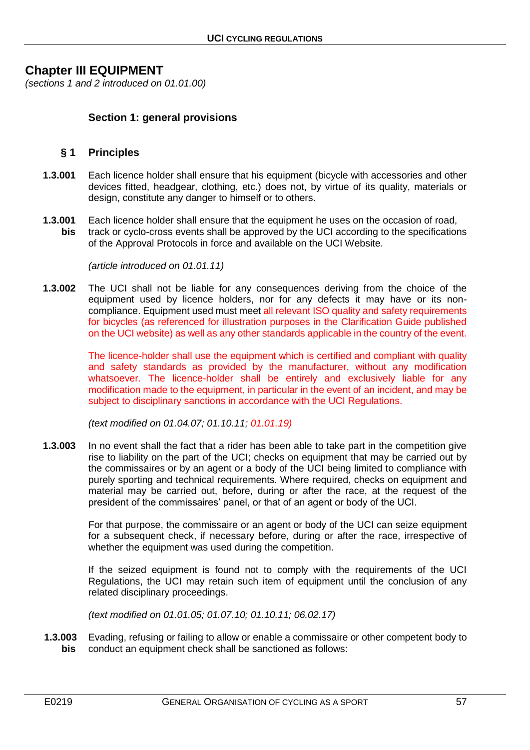# **Chapter III EQUIPMENT**

*(sections 1 and 2 introduced on 01.01.00)*

# **Section 1: general provisions**

# **§ 1 Principles**

- **1.3.001** Each licence holder shall ensure that his equipment (bicycle with accessories and other devices fitted, headgear, clothing, etc.) does not, by virtue of its quality, materials or design, constitute any danger to himself or to others.
- **1.3.001** Each licence holder shall ensure that the equipment he uses on the occasion of road,<br>bis track or cyclo-cross events shall be approved by the UCI according to the specification **bis** track or cyclo-cross events shall be approved by the UCI according to the specifications of the Approval Protocols in force and available on the UCI Website.

*(article introduced on 01.01.11)*

**1.3.002** The UCI shall not be liable for any consequences deriving from the choice of the equipment used by licence holders, nor for any defects it may have or its noncompliance. Equipment used must meet all relevant ISO quality and safety requirements for bicycles (as referenced for illustration purposes in the Clarification Guide published on the UCI website) as well as any other standards applicable in the country of the event.

> The licence-holder shall use the equipment which is certified and compliant with quality and safety standards as provided by the manufacturer, without any modification whatsoever. The licence-holder shall be entirely and exclusively liable for any modification made to the equipment, in particular in the event of an incident, and may be subject to disciplinary sanctions in accordance with the UCI Regulations.

*(text modified on 01.04.07; 01.10.11; 01.01.19)*

**1.3.003** In no event shall the fact that a rider has been able to take part in the competition give rise to liability on the part of the UCI; checks on equipment that may be carried out by the commissaires or by an agent or a body of the UCI being limited to compliance with purely sporting and technical requirements. Where required, checks on equipment and material may be carried out, before, during or after the race, at the request of the president of the commissaires' panel, or that of an agent or body of the UCI.

> For that purpose, the commissaire or an agent or body of the UCI can seize equipment for a subsequent check, if necessary before, during or after the race, irrespective of whether the equipment was used during the competition.

> If the seized equipment is found not to comply with the requirements of the UCI Regulations, the UCI may retain such item of equipment until the conclusion of any related disciplinary proceedings.

*(text modified on 01.01.05; 01.07.10; 01.10.11; 06.02.17)*

**1.3.003** Evading, refusing or failing to allow or enable a commissaire or other competent body to **bis** conduct an equipment check shall be sanctioned as follows: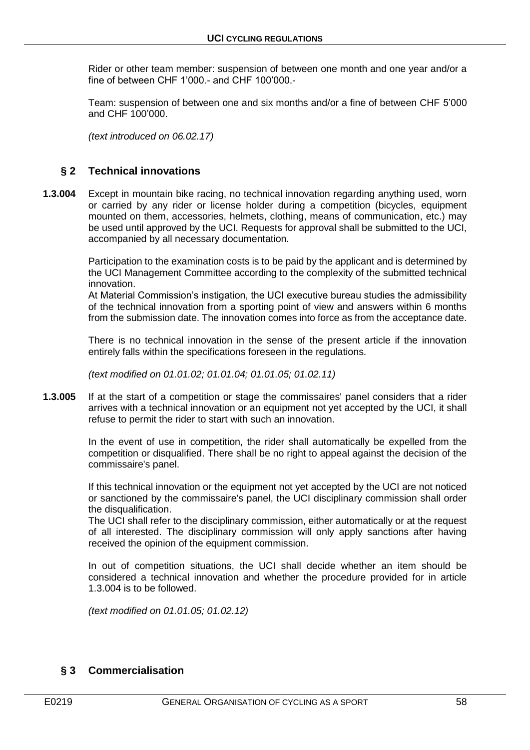Rider or other team member: suspension of between one month and one year and/or a fine of between CHF 1'000.- and CHF 100'000.-

Team: suspension of between one and six months and/or a fine of between CHF 5'000 and CHF 100'000.

*(text introduced on 06.02.17)*

# **§ 2 Technical innovations**

**1.3.004** Except in mountain bike racing, no technical innovation regarding anything used, worn or carried by any rider or license holder during a competition (bicycles, equipment mounted on them, accessories, helmets, clothing, means of communication, etc.) may be used until approved by the UCI. Requests for approval shall be submitted to the UCI, accompanied by all necessary documentation.

> Participation to the examination costs is to be paid by the applicant and is determined by the UCI Management Committee according to the complexity of the submitted technical innovation.

> At Material Commission's instigation, the UCI executive bureau studies the admissibility of the technical innovation from a sporting point of view and answers within 6 months from the submission date. The innovation comes into force as from the acceptance date.

> There is no technical innovation in the sense of the present article if the innovation entirely falls within the specifications foreseen in the regulations.

*(text modified on 01.01.02; 01.01.04; 01.01.05; 01.02.11)*

**1.3.005** If at the start of a competition or stage the commissaires' panel considers that a rider arrives with a technical innovation or an equipment not yet accepted by the UCI, it shall refuse to permit the rider to start with such an innovation.

> In the event of use in competition, the rider shall automatically be expelled from the competition or disqualified. There shall be no right to appeal against the decision of the commissaire's panel.

> If this technical innovation or the equipment not yet accepted by the UCI are not noticed or sanctioned by the commissaire's panel, the UCI disciplinary commission shall order the disqualification.

> The UCI shall refer to the disciplinary commission, either automatically or at the request of all interested. The disciplinary commission will only apply sanctions after having received the opinion of the equipment commission.

> In out of competition situations, the UCI shall decide whether an item should be considered a technical innovation and whether the procedure provided for in article 1.3.004 is to be followed.

*(text modified on 01.01.05; 01.02.12)*

# **§ 3 Commercialisation**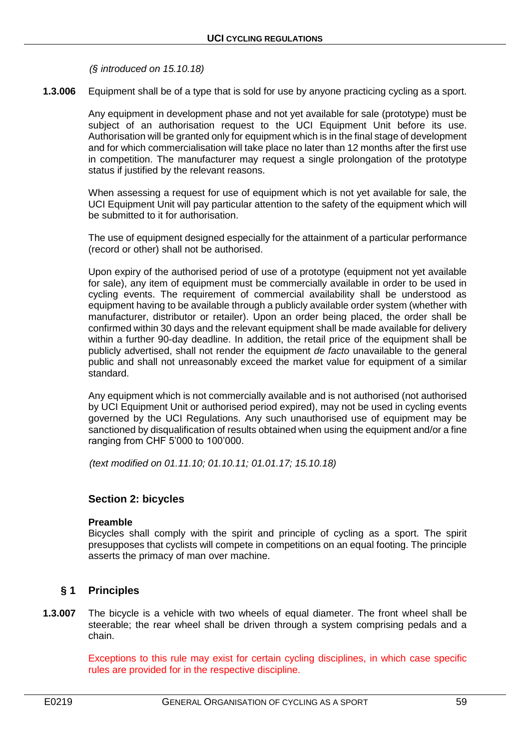*(§ introduced on 15.10.18)*

**1.3.006** Equipment shall be of a type that is sold for use by anyone practicing cycling as a sport.

Any equipment in development phase and not yet available for sale (prototype) must be subject of an authorisation request to the UCI Equipment Unit before its use. Authorisation will be granted only for equipment which is in the final stage of development and for which commercialisation will take place no later than 12 months after the first use in competition. The manufacturer may request a single prolongation of the prototype status if justified by the relevant reasons.

When assessing a request for use of equipment which is not yet available for sale, the UCI Equipment Unit will pay particular attention to the safety of the equipment which will be submitted to it for authorisation.

The use of equipment designed especially for the attainment of a particular performance (record or other) shall not be authorised.

Upon expiry of the authorised period of use of a prototype (equipment not yet available for sale), any item of equipment must be commercially available in order to be used in cycling events. The requirement of commercial availability shall be understood as equipment having to be available through a publicly available order system (whether with manufacturer, distributor or retailer). Upon an order being placed, the order shall be confirmed within 30 days and the relevant equipment shall be made available for delivery within a further 90-day deadline. In addition, the retail price of the equipment shall be publicly advertised, shall not render the equipment *de facto* unavailable to the general public and shall not unreasonably exceed the market value for equipment of a similar standard.

Any equipment which is not commercially available and is not authorised (not authorised by UCI Equipment Unit or authorised period expired), may not be used in cycling events governed by the UCI Regulations. Any such unauthorised use of equipment may be sanctioned by disqualification of results obtained when using the equipment and/or a fine ranging from CHF 5'000 to 100'000.

*(text modified on 01.11.10; 01.10.11; 01.01.17; 15.10.18)*

# **Section 2: bicycles**

#### **Preamble**

Bicycles shall comply with the spirit and principle of cycling as a sport. The spirit presupposes that cyclists will compete in competitions on an equal footing. The principle asserts the primacy of man over machine.

# **§ 1 Principles**

**1.3.007** The bicycle is a vehicle with two wheels of equal diameter. The front wheel shall be steerable; the rear wheel shall be driven through a system comprising pedals and a chain.

> Exceptions to this rule may exist for certain cycling disciplines, in which case specific rules are provided for in the respective discipline.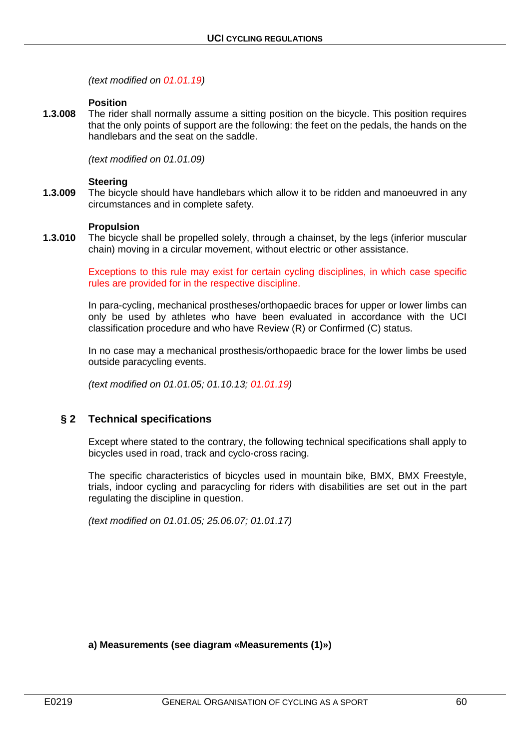*(text modified on 01.01.19)*

#### **Position**

**1.3.008** The rider shall normally assume a sitting position on the bicycle. This position requires that the only points of support are the following: the feet on the pedals, the hands on the handlebars and the seat on the saddle.

*(text modified on 01.01.09)*

#### **Steering**

**1.3.009** The bicycle should have handlebars which allow it to be ridden and manoeuvred in any circumstances and in complete safety.

#### **Propulsion**

**1.3.010** The bicycle shall be propelled solely, through a chainset, by the legs (inferior muscular chain) moving in a circular movement, without electric or other assistance.

> Exceptions to this rule may exist for certain cycling disciplines, in which case specific rules are provided for in the respective discipline.

> In para-cycling, mechanical prostheses/orthopaedic braces for upper or lower limbs can only be used by athletes who have been evaluated in accordance with the UCI classification procedure and who have Review (R) or Confirmed (C) status.

> In no case may a mechanical prosthesis/orthopaedic brace for the lower limbs be used outside paracycling events.

*(text modified on 01.01.05; 01.10.13; 01.01.19)*

## **§ 2 Technical specifications**

Except where stated to the contrary, the following technical specifications shall apply to bicycles used in road, track and cyclo-cross racing.

The specific characteristics of bicycles used in mountain bike, BMX, BMX Freestyle, trials, indoor cycling and paracycling for riders with disabilities are set out in the part regulating the discipline in question.

*(text modified on 01.01.05; 25.06.07; 01.01.17)*

**a) Measurements (see diagram «Measurements (1)»)**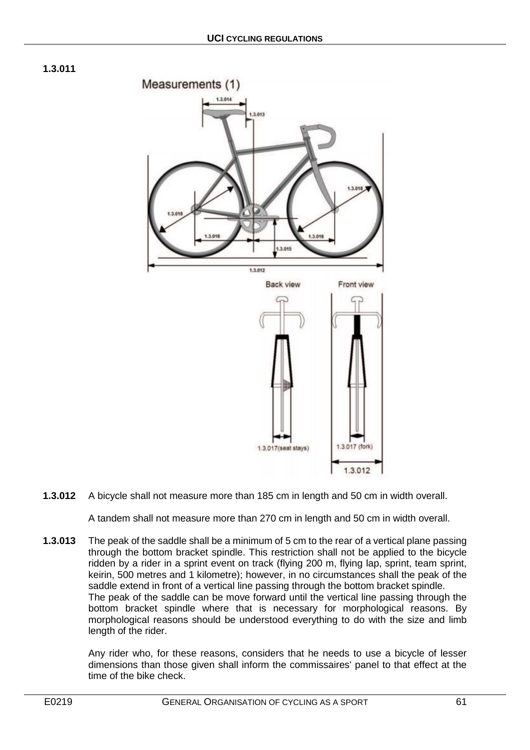



**1.3.012** A bicycle shall not measure more than 185 cm in length and 50 cm in width overall.

A tandem shall not measure more than 270 cm in length and 50 cm in width overall.

**1.3.013** The peak of the saddle shall be a minimum of 5 cm to the rear of a vertical plane passing through the bottom bracket spindle. This restriction shall not be applied to the bicycle ridden by a rider in a sprint event on track (flying 200 m, flying lap, sprint, team sprint, keirin, 500 metres and 1 kilometre); however, in no circumstances shall the peak of the saddle extend in front of a vertical line passing through the bottom bracket spindle. The peak of the saddle can be move forward until the vertical line passing through the bottom bracket spindle where that is necessary for morphological reasons. By morphological reasons should be understood everything to do with the size and limb length of the rider.

> Any rider who, for these reasons, considers that he needs to use a bicycle of lesser dimensions than those given shall inform the commissaires' panel to that effect at the time of the bike check.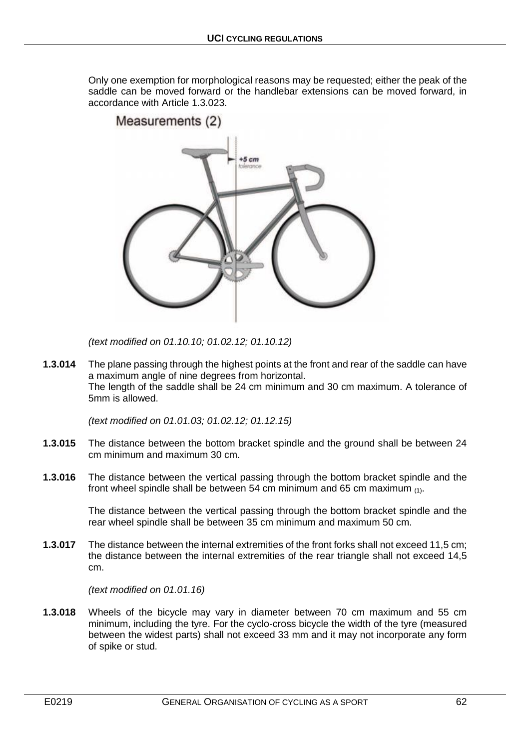Only one exemption for morphological reasons may be requested; either the peak of the saddle can be moved forward or the handlebar extensions can be moved forward, in accordance with Article 1.3.023.



*(text modified on 01.10.10; 01.02.12; 01.10.12)*

**1.3.014** The plane passing through the highest points at the front and rear of the saddle can have a maximum angle of nine degrees from horizontal. The length of the saddle shall be 24 cm minimum and 30 cm maximum. A tolerance of 5mm is allowed.

*(text modified on 01.01.03; 01.02.12; 01.12.15)*

- **1.3.015** The distance between the bottom bracket spindle and the ground shall be between 24 cm minimum and maximum 30 cm.
- **1.3.016** The distance between the vertical passing through the bottom bracket spindle and the front wheel spindle shall be between 54 cm minimum and 65 cm maximum  $(1)$ .

The distance between the vertical passing through the bottom bracket spindle and the rear wheel spindle shall be between 35 cm minimum and maximum 50 cm.

**1.3.017** The distance between the internal extremities of the front forks shall not exceed 11,5 cm; the distance between the internal extremities of the rear triangle shall not exceed 14,5 cm.

*(text modified on 01.01.16)*

**1.3.018** Wheels of the bicycle may vary in diameter between 70 cm maximum and 55 cm minimum, including the tyre. For the cyclo-cross bicycle the width of the tyre (measured between the widest parts) shall not exceed 33 mm and it may not incorporate any form of spike or stud.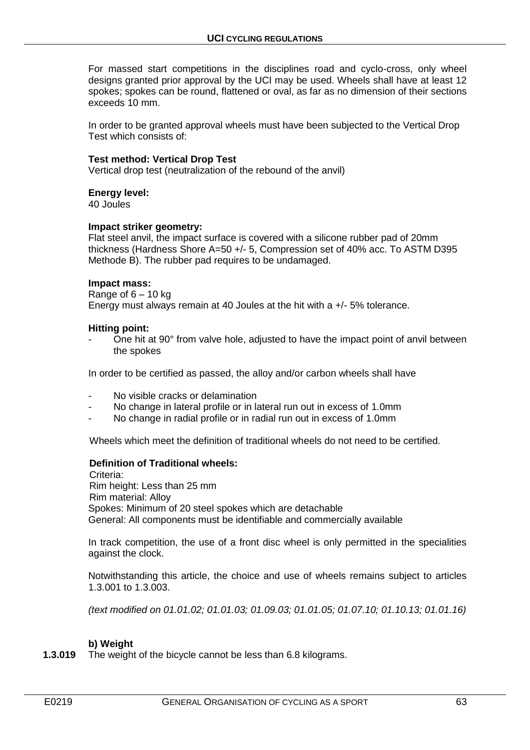For massed start competitions in the disciplines road and cyclo-cross, only wheel designs granted prior approval by the UCI may be used. Wheels shall have at least 12 spokes; spokes can be round, flattened or oval, as far as no dimension of their sections exceeds 10 mm.

In order to be granted approval wheels must have been subjected to the Vertical Drop Test which consists of:

#### **Test method: Vertical Drop Test**

Vertical drop test (neutralization of the rebound of the anvil)

#### **Energy level:**

40 Joules

#### **Impact striker geometry:**

Flat steel anvil, the impact surface is covered with a silicone rubber pad of 20mm thickness (Hardness Shore A=50 +/- 5, Compression set of 40% acc. To ASTM D395 Methode B). The rubber pad requires to be undamaged.

#### **Impact mass:**

Range of  $6 - 10$  kg Energy must always remain at 40 Joules at the hit with a +/- 5% tolerance.

#### **Hitting point:**

- One hit at 90° from valve hole, adjusted to have the impact point of anvil between the spokes

In order to be certified as passed, the alloy and/or carbon wheels shall have

- No visible cracks or delamination
- No change in lateral profile or in lateral run out in excess of 1.0mm
- No change in radial profile or in radial run out in excess of 1.0mm

Wheels which meet the definition of traditional wheels do not need to be certified.

## **Definition of Traditional wheels:**

Criteria<sup>.</sup> Rim height: Less than 25 mm Rim material: Alloy Spokes: Minimum of 20 steel spokes which are detachable General: All components must be identifiable and commercially available

In track competition, the use of a front disc wheel is only permitted in the specialities against the clock.

Notwithstanding this article, the choice and use of wheels remains subject to articles 1.3.001 to 1.3.003.

*(text modified on 01.01.02; 01.01.03; 01.09.03; 01.01.05; 01.07.10; 01.10.13; 01.01.16)*

#### **b) Weight**

**1.3.019** The weight of the bicycle cannot be less than 6.8 kilograms.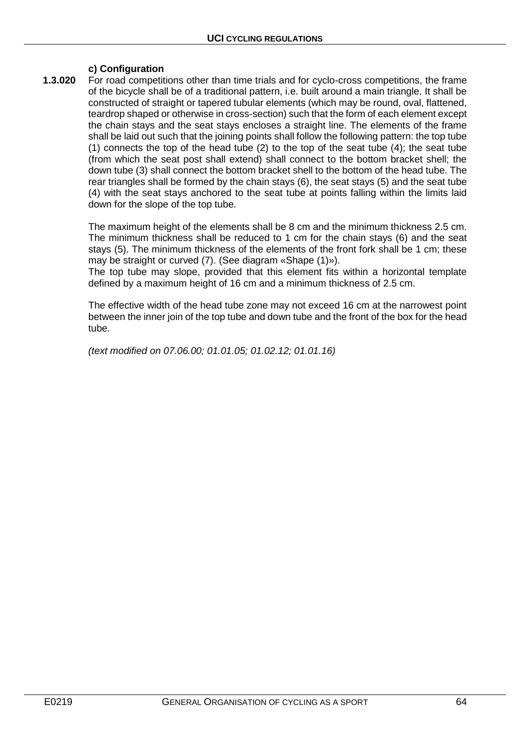# **c) Configuration**

**1.3.020** For road competitions other than time trials and for cyclo-cross competitions, the frame of the bicycle shall be of a traditional pattern, i.e. built around a main triangle. It shall be constructed of straight or tapered tubular elements (which may be round, oval, flattened, teardrop shaped or otherwise in cross-section) such that the form of each element except the chain stays and the seat stays encloses a straight line. The elements of the frame shall be laid out such that the joining points shall follow the following pattern: the top tube (1) connects the top of the head tube (2) to the top of the seat tube (4); the seat tube (from which the seat post shall extend) shall connect to the bottom bracket shell; the down tube (3) shall connect the bottom bracket shell to the bottom of the head tube. The rear triangles shall be formed by the chain stays (6), the seat stays (5) and the seat tube (4) with the seat stays anchored to the seat tube at points falling within the limits laid down for the slope of the top tube.

> The maximum height of the elements shall be 8 cm and the minimum thickness 2.5 cm. The minimum thickness shall be reduced to 1 cm for the chain stays (6) and the seat stays (5). The minimum thickness of the elements of the front fork shall be 1 cm; these may be straight or curved (7). (See diagram «Shape (1)»).

> The top tube may slope, provided that this element fits within a horizontal template defined by a maximum height of 16 cm and a minimum thickness of 2.5 cm.

> The effective width of the head tube zone may not exceed 16 cm at the narrowest point between the inner join of the top tube and down tube and the front of the box for the head tube.

*(text modified on 07.06.00; 01.01.05; 01.02.12; 01.01.16)*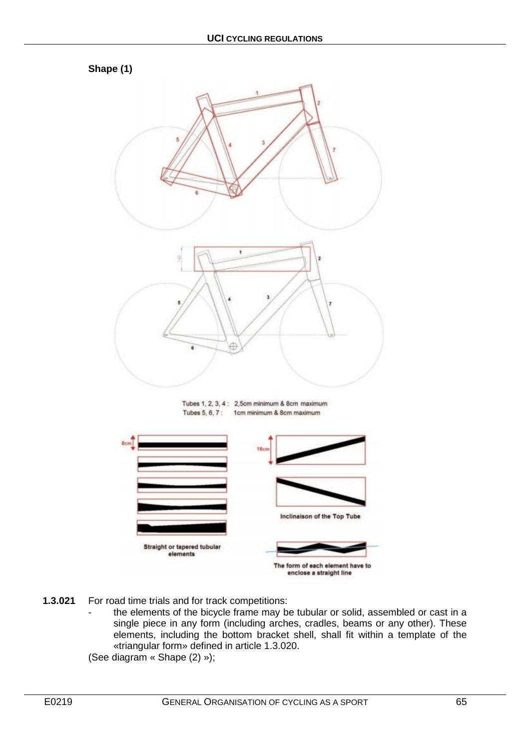

- **1.3.021** For road time trials and for track competitions:
	- the elements of the bicycle frame may be tubular or solid, assembled or cast in a single piece in any form (including arches, cradles, beams or any other). These elements, including the bottom bracket shell, shall fit within a template of the «triangular form» defined in article 1.3.020.

(See diagram « Shape (2) »);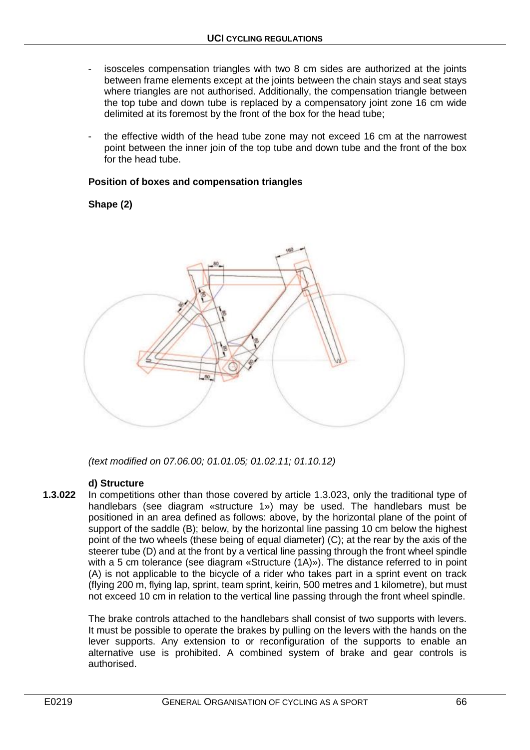- isosceles compensation triangles with two 8 cm sides are authorized at the joints between frame elements except at the joints between the chain stays and seat stays where triangles are not authorised. Additionally, the compensation triangle between the top tube and down tube is replaced by a compensatory joint zone 16 cm wide delimited at its foremost by the front of the box for the head tube;
- the effective width of the head tube zone may not exceed 16 cm at the narrowest point between the inner join of the top tube and down tube and the front of the box for the head tube.

#### **Position of boxes and compensation triangles**

## **Shape (2)**



*(text modified on 07.06.00; 01.01.05; 01.02.11; 01.10.12)*

## **d) Structure**

**1.3.022** In competitions other than those covered by article 1.3.023, only the traditional type of handlebars (see diagram «structure 1») may be used. The handlebars must be positioned in an area defined as follows: above, by the horizontal plane of the point of support of the saddle (B); below, by the horizontal line passing 10 cm below the highest point of the two wheels (these being of equal diameter) (C); at the rear by the axis of the steerer tube (D) and at the front by a vertical line passing through the front wheel spindle with a 5 cm tolerance (see diagram «Structure (1A)»). The distance referred to in point (A) is not applicable to the bicycle of a rider who takes part in a sprint event on track (flying 200 m, flying lap, sprint, team sprint, keirin, 500 metres and 1 kilometre), but must not exceed 10 cm in relation to the vertical line passing through the front wheel spindle.

> The brake controls attached to the handlebars shall consist of two supports with levers. It must be possible to operate the brakes by pulling on the levers with the hands on the lever supports. Any extension to or reconfiguration of the supports to enable an alternative use is prohibited. A combined system of brake and gear controls is authorised.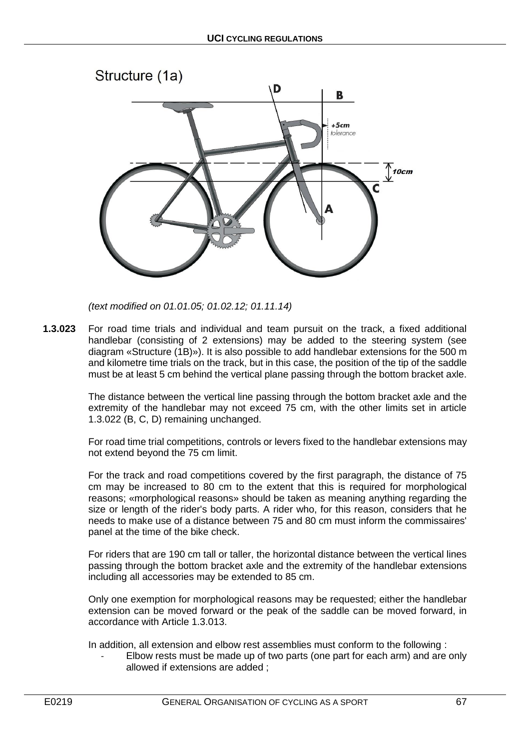

*(text modified on 01.01.05; 01.02.12; 01.11.14)*

**1.3.023** For road time trials and individual and team pursuit on the track, a fixed additional handlebar (consisting of 2 extensions) may be added to the steering system (see diagram «Structure (1B)»). It is also possible to add handlebar extensions for the 500 m and kilometre time trials on the track, but in this case, the position of the tip of the saddle must be at least 5 cm behind the vertical plane passing through the bottom bracket axle.

> The distance between the vertical line passing through the bottom bracket axle and the extremity of the handlebar may not exceed 75 cm, with the other limits set in article 1.3.022 (B, C, D) remaining unchanged.

> For road time trial competitions, controls or levers fixed to the handlebar extensions may not extend beyond the 75 cm limit.

> For the track and road competitions covered by the first paragraph, the distance of 75 cm may be increased to 80 cm to the extent that this is required for morphological reasons; «morphological reasons» should be taken as meaning anything regarding the size or length of the rider's body parts. A rider who, for this reason, considers that he needs to make use of a distance between 75 and 80 cm must inform the commissaires' panel at the time of the bike check.

> For riders that are 190 cm tall or taller, the horizontal distance between the vertical lines passing through the bottom bracket axle and the extremity of the handlebar extensions including all accessories may be extended to 85 cm.

> Only one exemption for morphological reasons may be requested; either the handlebar extension can be moved forward or the peak of the saddle can be moved forward, in accordance with Article 1.3.013.

In addition, all extension and elbow rest assemblies must conform to the following :

Elbow rests must be made up of two parts (one part for each arm) and are only allowed if extensions are added ;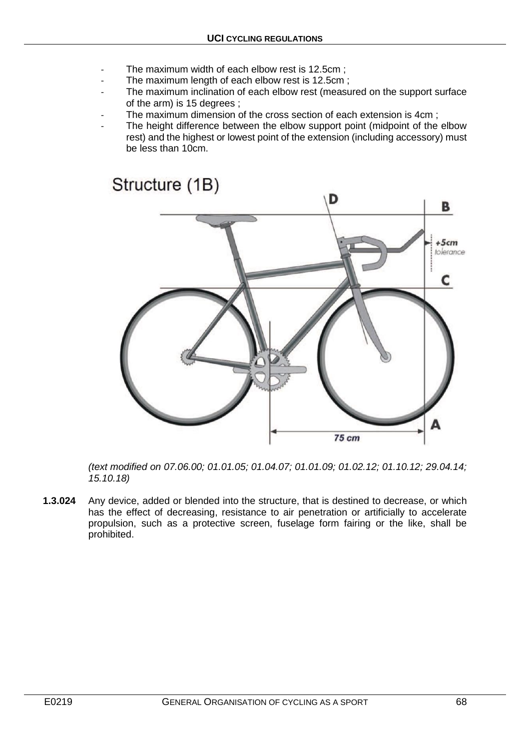- The maximum width of each elbow rest is 12.5cm;
- The maximum length of each elbow rest is 12.5cm;
- The maximum inclination of each elbow rest (measured on the support surface of the arm) is 15 degrees ;
- The maximum dimension of the cross section of each extension is 4cm;
- The height difference between the elbow support point (midpoint of the elbow rest) and the highest or lowest point of the extension (including accessory) must be less than 10cm.



*(text modified on 07.06.00; 01.01.05; 01.04.07; 01.01.09; 01.02.12; 01.10.12; 29.04.14; 15.10.18)*

**1.3.024** Any device, added or blended into the structure, that is destined to decrease, or which has the effect of decreasing, resistance to air penetration or artificially to accelerate propulsion, such as a protective screen, fuselage form fairing or the like, shall be prohibited.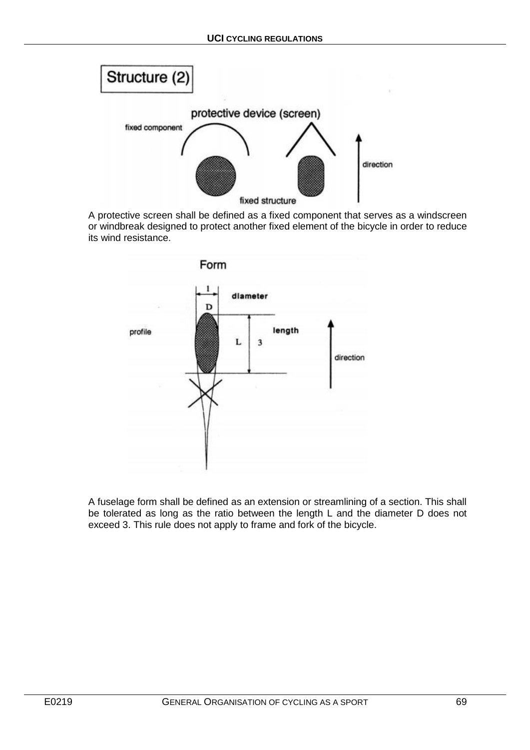

A protective screen shall be defined as a fixed component that serves as a windscreen or windbreak designed to protect another fixed element of the bicycle in order to reduce its wind resistance.



A fuselage form shall be defined as an extension or streamlining of a section. This shall be tolerated as long as the ratio between the length L and the diameter D does not exceed 3. This rule does not apply to frame and fork of the bicycle.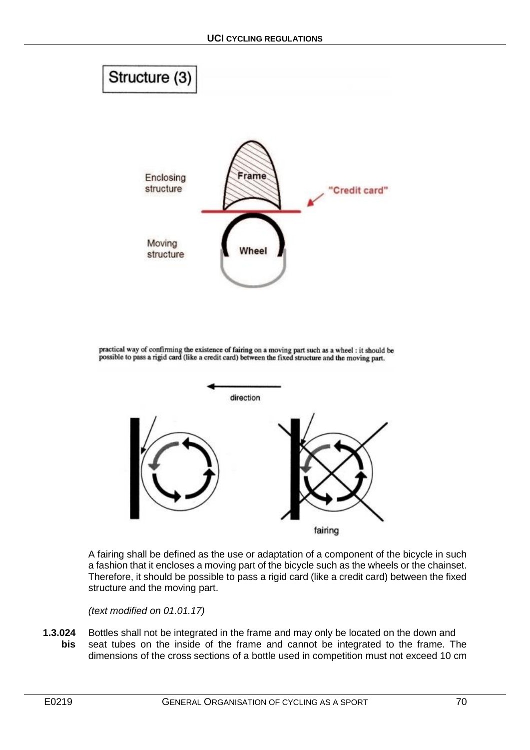

practical way of confirming the existence of fairing on a moving part such as a wheel : it should be possible to pass a rigid card (like a credit card) between the fixed structure and the moving part.



A fairing shall be defined as the use or adaptation of a component of the bicycle in such a fashion that it encloses a moving part of the bicycle such as the wheels or the chainset. Therefore, it should be possible to pass a rigid card (like a credit card) between the fixed structure and the moving part.

*(text modified on 01.01.17)*

**1.3.024** Bottles shall not be integrated in the frame and may only be located on the down and **bis** seat tubes on the inside of the frame and cannot be integrated to the frame. The dimensions of the cross sections of a bottle used in competition must not exceed 10 cm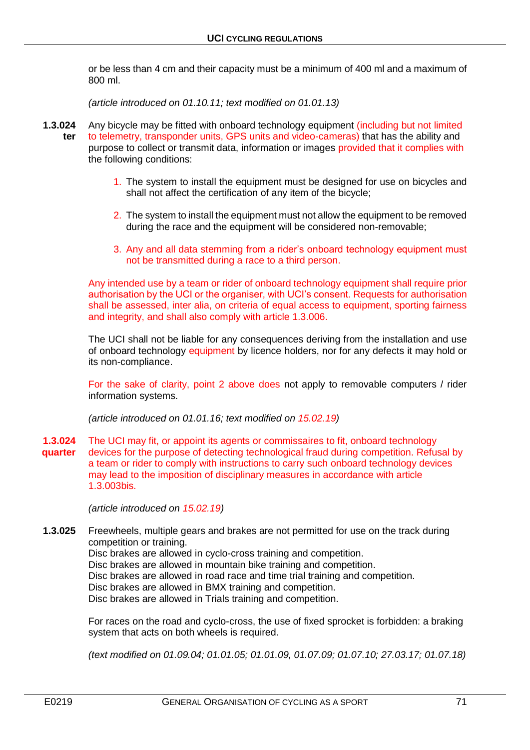or be less than 4 cm and their capacity must be a minimum of 400 ml and a maximum of 800 ml.

*(article introduced on 01.10.11; text modified on 01.01.13)*

- **1.3.024** Any bicycle may be fitted with onboard technology equipment (including but not limited **ter** to telemetry, transponder units, GPS units and video-cameras) that has the ability and purpose to collect or transmit data, information or images provided that it complies with the following conditions:
	- 1. The system to install the equipment must be designed for use on bicycles and shall not affect the certification of any item of the bicycle;
	- 2. The system to install the equipment must not allow the equipment to be removed during the race and the equipment will be considered non-removable;
	- 3. Any and all data stemming from a rider's onboard technology equipment must not be transmitted during a race to a third person.

Any intended use by a team or rider of onboard technology equipment shall require prior authorisation by the UCI or the organiser, with UCI's consent. Requests for authorisation shall be assessed, inter alia, on criteria of equal access to equipment, sporting fairness and integrity, and shall also comply with article 1.3.006.

The UCI shall not be liable for any consequences deriving from the installation and use of onboard technology equipment by licence holders, nor for any defects it may hold or its non-compliance.

For the sake of clarity, point 2 above does not apply to removable computers / rider information systems.

*(article introduced on 01.01.16; text modified on 15.02.19)*

**1.3.024** The UCI may fit, or appoint its agents or commissaires to fit, onboard technology **quarter** devices for the purpose of detecting technological fraud during competition. Refusal by a team or rider to comply with instructions to carry such onboard technology devices may lead to the imposition of disciplinary measures in accordance with article 1.3.003bis.

*(article introduced on 15.02.19)*

**1.3.025** Freewheels, multiple gears and brakes are not permitted for use on the track during competition or training. Disc brakes are allowed in cyclo-cross training and competition. Disc brakes are allowed in mountain bike training and competition. Disc brakes are allowed in road race and time trial training and competition. Disc brakes are allowed in BMX training and competition. Disc brakes are allowed in Trials training and competition.

> For races on the road and cyclo-cross, the use of fixed sprocket is forbidden: a braking system that acts on both wheels is required.

> *(text modified on 01.09.04; 01.01.05; 01.01.09, 01.07.09; 01.07.10; 27.03.17; 01.07.18)*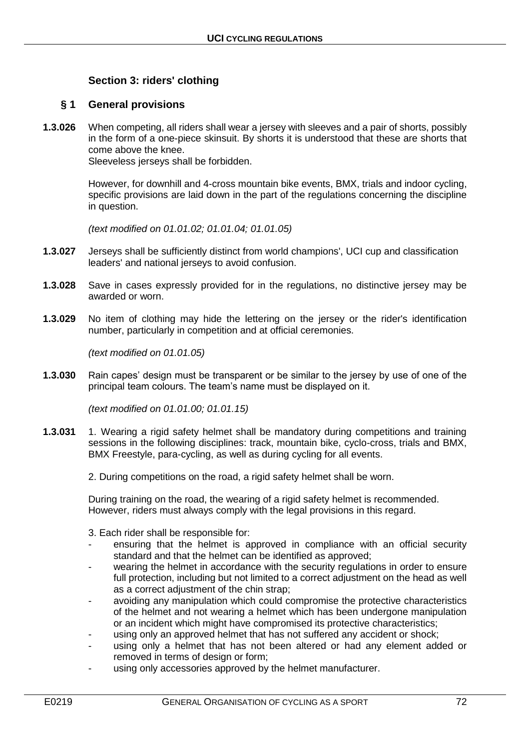# **Section 3: riders' clothing**

# **§ 1 General provisions**

**1.3.026** When competing, all riders shall wear a jersey with sleeves and a pair of shorts, possibly in the form of a one-piece skinsuit. By shorts it is understood that these are shorts that come above the knee.

Sleeveless jerseys shall be forbidden.

However, for downhill and 4-cross mountain bike events, BMX, trials and indoor cycling, specific provisions are laid down in the part of the regulations concerning the discipline in question.

*(text modified on 01.01.02; 01.01.04; 01.01.05)*

- **1.3.027** Jerseys shall be sufficiently distinct from world champions', UCI cup and classification leaders' and national jerseys to avoid confusion.
- **1.3.028** Save in cases expressly provided for in the regulations, no distinctive jersey may be awarded or worn.
- **1.3.029** No item of clothing may hide the lettering on the jersey or the rider's identification number, particularly in competition and at official ceremonies.

*(text modified on 01.01.05)*

**1.3.030** Rain capes' design must be transparent or be similar to the jersey by use of one of the principal team colours. The team's name must be displayed on it.

*(text modified on 01.01.00; 01.01.15)*

- **1.3.031** 1. Wearing a rigid safety helmet shall be mandatory during competitions and training sessions in the following disciplines: track, mountain bike, cyclo-cross, trials and BMX, BMX Freestyle, para-cycling, as well as during cycling for all events.
	- 2. During competitions on the road, a rigid safety helmet shall be worn.

During training on the road, the wearing of a rigid safety helmet is recommended. However, riders must always comply with the legal provisions in this regard.

3. Each rider shall be responsible for:

- ensuring that the helmet is approved in compliance with an official security standard and that the helmet can be identified as approved;
- wearing the helmet in accordance with the security regulations in order to ensure full protection, including but not limited to a correct adjustment on the head as well as a correct adjustment of the chin strap;
- avoiding any manipulation which could compromise the protective characteristics of the helmet and not wearing a helmet which has been undergone manipulation or an incident which might have compromised its protective characteristics;
- using only an approved helmet that has not suffered any accident or shock;
- using only a helmet that has not been altered or had any element added or removed in terms of design or form;
- using only accessories approved by the helmet manufacturer.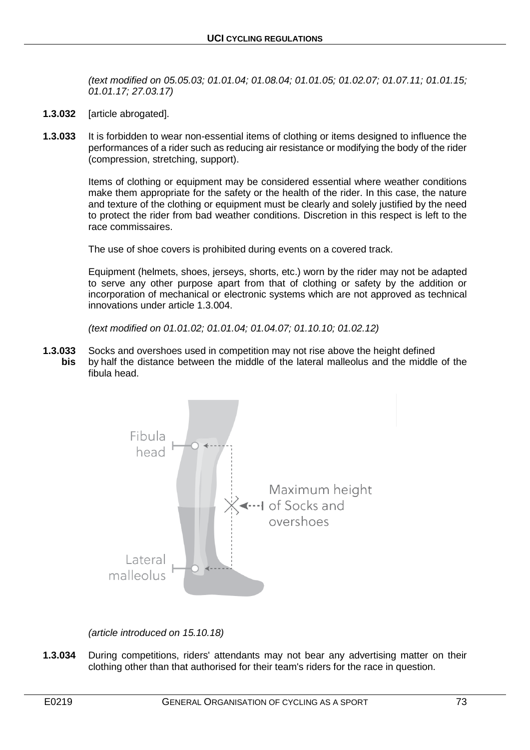*(text modified on 05.05.03; 01.01.04; 01.08.04; 01.01.05; 01.02.07; 01.07.11; 01.01.15; 01.01.17; 27.03.17)*

- **1.3.032** [article abrogated].
- **1.3.033** It is forbidden to wear non-essential items of clothing or items designed to influence the performances of a rider such as reducing air resistance or modifying the body of the rider (compression, stretching, support).

Items of clothing or equipment may be considered essential where weather conditions make them appropriate for the safety or the health of the rider. In this case, the nature and texture of the clothing or equipment must be clearly and solely justified by the need to protect the rider from bad weather conditions. Discretion in this respect is left to the race commissaires.

The use of shoe covers is prohibited during events on a covered track.

Equipment (helmets, shoes, jerseys, shorts, etc.) worn by the rider may not be adapted to serve any other purpose apart from that of clothing or safety by the addition or incorporation of mechanical or electronic systems which are not approved as technical innovations under article 1.3.004.

*(text modified on 01.01.02; 01.01.04; 01.04.07; 01.10.10; 01.02.12)*

**1.3.033** Socks and overshoes used in competition may not rise above the height defined **bis** by half the distance between the middle of the lateral malleolus and the middle of the fibula head.



*(article introduced on 15.10.18)*

**1.3.034** During competitions, riders' attendants may not bear any advertising matter on their clothing other than that authorised for their team's riders for the race in question.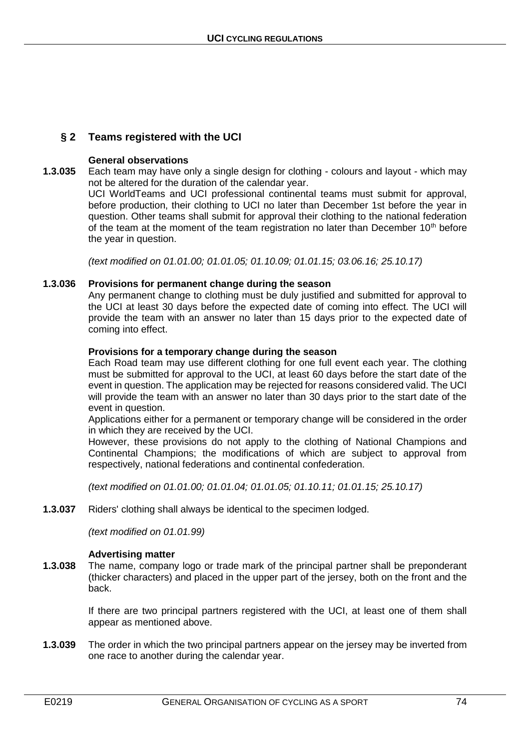# **§ 2 Teams registered with the UCI**

#### **General observations**

**1.3.035** Each team may have only a single design for clothing - colours and layout - which may not be altered for the duration of the calendar year.

UCI WorldTeams and UCI professional continental teams must submit for approval, before production, their clothing to UCI no later than December 1st before the year in question. Other teams shall submit for approval their clothing to the national federation of the team at the moment of the team registration no later than December  $10<sup>th</sup>$  before the year in question.

*(text modified on 01.01.00; 01.01.05; 01.10.09; 01.01.15; 03.06.16; 25.10.17)*

### **1.3.036 Provisions for permanent change during the season**

Any permanent change to clothing must be duly justified and submitted for approval to the UCI at least 30 days before the expected date of coming into effect. The UCI will provide the team with an answer no later than 15 days prior to the expected date of coming into effect.

### **Provisions for a temporary change during the season**

Each Road team may use different clothing for one full event each year. The clothing must be submitted for approval to the UCI, at least 60 days before the start date of the event in question. The application may be rejected for reasons considered valid. The UCI will provide the team with an answer no later than 30 days prior to the start date of the event in question.

Applications either for a permanent or temporary change will be considered in the order in which they are received by the UCI.

However, these provisions do not apply to the clothing of National Champions and Continental Champions; the modifications of which are subject to approval from respectively, national federations and continental confederation.

*(text modified on 01.01.00; 01.01.04; 01.01.05; 01.10.11; 01.01.15; 25.10.17)*

**1.3.037** Riders' clothing shall always be identical to the specimen lodged.

*(text modified on 01.01.99)*

#### **Advertising matter**

**1.3.038** The name, company logo or trade mark of the principal partner shall be preponderant (thicker characters) and placed in the upper part of the jersey, both on the front and the back.

> If there are two principal partners registered with the UCI, at least one of them shall appear as mentioned above.

**1.3.039** The order in which the two principal partners appear on the jersey may be inverted from one race to another during the calendar year.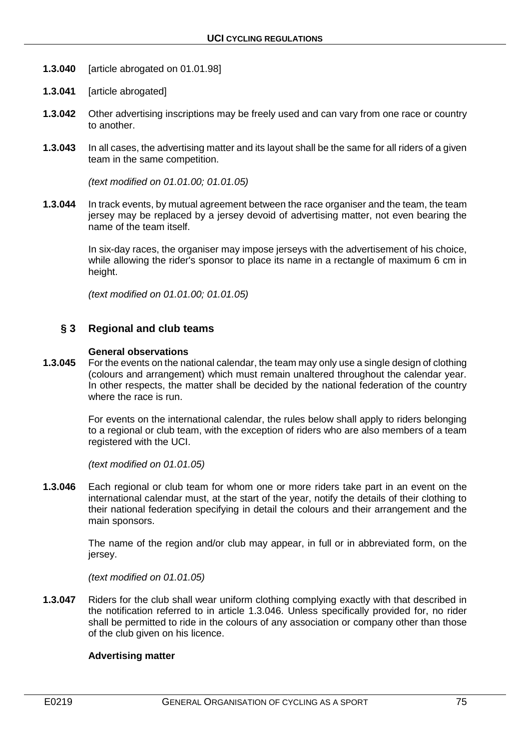- **1.3.040** [article abrogated on 01.01.98]
- **1.3.041** [article abrogated]
- **1.3.042** Other advertising inscriptions may be freely used and can vary from one race or country to another.
- **1.3.043** In all cases, the advertising matter and its layout shall be the same for all riders of a given team in the same competition.

*(text modified on 01.01.00; 01.01.05)*

**1.3.044** In track events, by mutual agreement between the race organiser and the team, the team jersey may be replaced by a jersey devoid of advertising matter, not even bearing the name of the team itself.

> In six-day races, the organiser may impose jerseys with the advertisement of his choice, while allowing the rider's sponsor to place its name in a rectangle of maximum 6 cm in height.

*(text modified on 01.01.00; 01.01.05)*

## **§ 3 Regional and club teams**

#### **General observations**

**1.3.045** For the events on the national calendar, the team may only use a single design of clothing (colours and arrangement) which must remain unaltered throughout the calendar year. In other respects, the matter shall be decided by the national federation of the country where the race is run.

> For events on the international calendar, the rules below shall apply to riders belonging to a regional or club team, with the exception of riders who are also members of a team registered with the UCI.

*(text modified on 01.01.05)*

**1.3.046** Each regional or club team for whom one or more riders take part in an event on the international calendar must, at the start of the year, notify the details of their clothing to their national federation specifying in detail the colours and their arrangement and the main sponsors.

> The name of the region and/or club may appear, in full or in abbreviated form, on the iersey.

*(text modified on 01.01.05)*

**1.3.047** • Riders for the club shall wear uniform clothing complying exactly with that described in the notification referred to in article 1.3.046. Unless specifically provided for, no rider shall be permitted to ride in the colours of any association or company other than those of the club given on his licence.

#### **Advertising matter**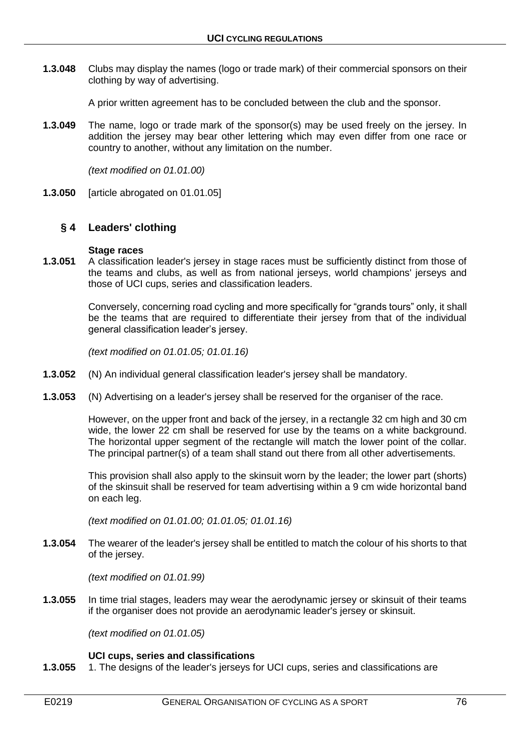**1.3.048** Clubs may display the names (logo or trade mark) of their commercial sponsors on their clothing by way of advertising.

A prior written agreement has to be concluded between the club and the sponsor.

**1.3.049** The name, logo or trade mark of the sponsor(s) may be used freely on the jersey. In addition the jersey may bear other lettering which may even differ from one race or country to another, without any limitation on the number.

*(text modified on 01.01.00)*

**1.3.050** [article abrogated on 01.01.05]

## **§ 4 Leaders' clothing**

#### **Stage races**

**1.3.051** A classification leader's jersey in stage races must be sufficiently distinct from those of the teams and clubs, as well as from national jerseys, world champions' jerseys and those of UCI cups, series and classification leaders.

> Conversely, concerning road cycling and more specifically for "grands tours" only, it shall be the teams that are required to differentiate their jersey from that of the individual general classification leader's jersey.

*(text modified on 01.01.05; 01.01.16)*

- **1.3.052** (N) An individual general classification leader's jersey shall be mandatory.
- **1.3.053** (N) Advertising on a leader's jersey shall be reserved for the organiser of the race.

However, on the upper front and back of the jersey, in a rectangle 32 cm high and 30 cm wide, the lower 22 cm shall be reserved for use by the teams on a white background. The horizontal upper segment of the rectangle will match the lower point of the collar. The principal partner(s) of a team shall stand out there from all other advertisements.

This provision shall also apply to the skinsuit worn by the leader; the lower part (shorts) of the skinsuit shall be reserved for team advertising within a 9 cm wide horizontal band on each leg.

*(text modified on 01.01.00; 01.01.05; 01.01.16)*

**1.3.054** The wearer of the leader's jersey shall be entitled to match the colour of his shorts to that of the jersey.

*(text modified on 01.01.99)*

**1.3.055** In time trial stages, leaders may wear the aerodynamic jersey or skinsuit of their teams if the organiser does not provide an aerodynamic leader's jersey or skinsuit.

*(text modified on 01.01.05)*

#### **UCI cups, series and classifications**

**1.3.055** 1. The designs of the leader's jerseys for UCI cups, series and classifications are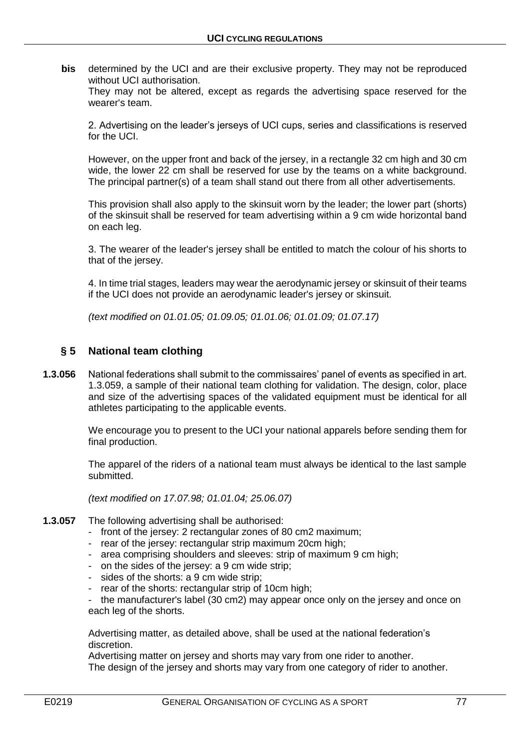**bis** determined by the UCI and are their exclusive property. They may not be reproduced without UCI authorisation.

They may not be altered, except as regards the advertising space reserved for the wearer's team.

2. Advertising on the leader's jerseys of UCI cups, series and classifications is reserved for the UCI.

However, on the upper front and back of the jersey, in a rectangle 32 cm high and 30 cm wide, the lower 22 cm shall be reserved for use by the teams on a white background. The principal partner(s) of a team shall stand out there from all other advertisements.

This provision shall also apply to the skinsuit worn by the leader; the lower part (shorts) of the skinsuit shall be reserved for team advertising within a 9 cm wide horizontal band on each leg.

3. The wearer of the leader's jersey shall be entitled to match the colour of his shorts to that of the jersey.

4. In time trial stages, leaders may wear the aerodynamic jersey or skinsuit of their teams if the UCI does not provide an aerodynamic leader's jersey or skinsuit.

*(text modified on 01.01.05; 01.09.05; 01.01.06; 01.01.09; 01.07.17)*

## **§ 5 National team clothing**

**1.3.056** National federations shall submit to the commissaires' panel of events as specified in art. 1.3.059, a sample of their national team clothing for validation. The design, color, place and size of the advertising spaces of the validated equipment must be identical for all athletes participating to the applicable events.

> We encourage you to present to the UCI your national apparels before sending them for final production.

> The apparel of the riders of a national team must always be identical to the last sample submitted.

*(text modified on 17.07.98; 01.01.04; 25.06.07)*

## **1.3.057** The following advertising shall be authorised:

- front of the jersey: 2 rectangular zones of 80 cm2 maximum;
- rear of the jersey: rectangular strip maximum 20cm high;
- area comprising shoulders and sleeves: strip of maximum 9 cm high;
- on the sides of the jersey: a 9 cm wide strip;
- sides of the shorts: a 9 cm wide strip;
- rear of the shorts: rectangular strip of 10cm high;

the manufacturer's label (30 cm2) may appear once only on the jersey and once on each leg of the shorts.

Advertising matter, as detailed above, shall be used at the national federation's discretion.

Advertising matter on jersey and shorts may vary from one rider to another. The design of the jersey and shorts may vary from one category of rider to another.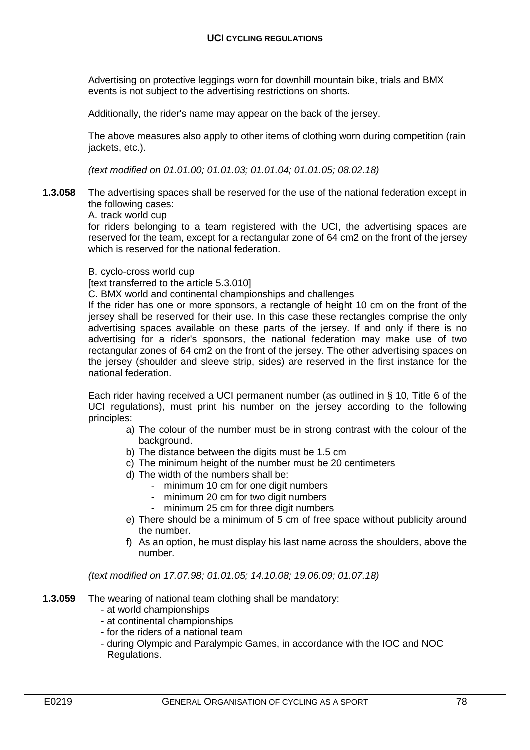Advertising on protective leggings worn for downhill mountain bike, trials and BMX events is not subject to the advertising restrictions on shorts.

Additionally, the rider's name may appear on the back of the jersey.

The above measures also apply to other items of clothing worn during competition (rain jackets, etc.).

*(text modified on 01.01.00; 01.01.03; 01.01.04; 01.01.05; 08.02.18)*

**1.3.058** The advertising spaces shall be reserved for the use of the national federation except in the following cases:

A. track world cup

for riders belonging to a team registered with the UCI, the advertising spaces are reserved for the team, except for a rectangular zone of 64 cm2 on the front of the jersey which is reserved for the national federation.

B. cyclo-cross world cup

[text transferred to the article 5.3.010]

C. BMX world and continental championships and challenges

If the rider has one or more sponsors, a rectangle of height 10 cm on the front of the jersey shall be reserved for their use. In this case these rectangles comprise the only advertising spaces available on these parts of the jersey. If and only if there is no advertising for a rider's sponsors, the national federation may make use of two rectangular zones of 64 cm2 on the front of the jersey. The other advertising spaces on the jersey (shoulder and sleeve strip, sides) are reserved in the first instance for the national federation.

Each rider having received a UCI permanent number (as outlined in § 10, Title 6 of the UCI regulations), must print his number on the jersey according to the following principles:

- a) The colour of the number must be in strong contrast with the colour of the background.
- b) The distance between the digits must be 1.5 cm
- c) The minimum height of the number must be 20 centimeters
- d) The width of the numbers shall be:
	- minimum 10 cm for one digit numbers
	- minimum 20 cm for two digit numbers
	- minimum 25 cm for three digit numbers
- e) There should be a minimum of 5 cm of free space without publicity around the number.
- f) As an option, he must display his last name across the shoulders, above the number.

*(text modified on 17.07.98; 01.01.05; 14.10.08; 19.06.09; 01.07.18)*

- **1.3.059** The wearing of national team clothing shall be mandatory:
	- at world championships
	- at continental championships
	- for the riders of a national team
	- during Olympic and Paralympic Games, in accordance with the IOC and NOC Regulations.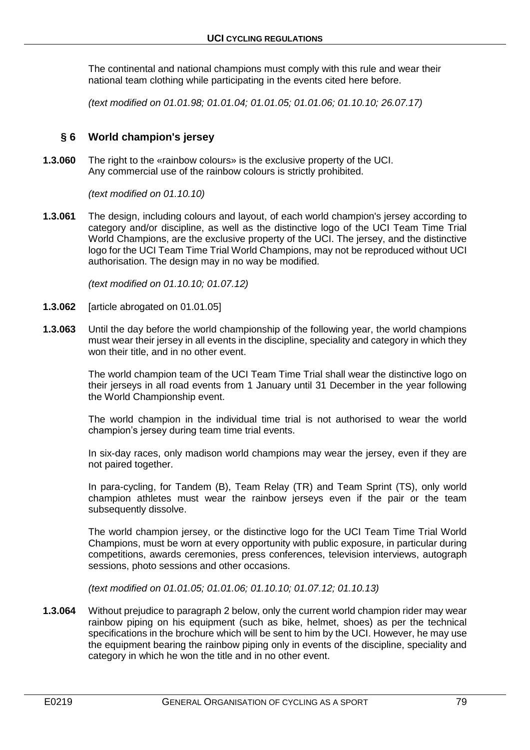The continental and national champions must comply with this rule and wear their national team clothing while participating in the events cited here before.

*(text modified on 01.01.98; 01.01.04; 01.01.05; 01.01.06; 01.10.10; 26.07.17)*

## **§ 6 World champion's jersey**

**1.3.060** The right to the «rainbow colours» is the exclusive property of the UCI. Any commercial use of the rainbow colours is strictly prohibited.

*(text modified on 01.10.10)*

**1.3.061** The design, including colours and layout, of each world champion's jersey according to category and/or discipline, as well as the distinctive logo of the UCI Team Time Trial World Champions, are the exclusive property of the UCI. The jersey, and the distinctive logo for the UCI Team Time Trial World Champions, may not be reproduced without UCI authorisation. The design may in no way be modified.

*(text modified on 01.10.10; 01.07.12)*

- **1.3.062** [article abrogated on 01.01.05]
- **1.3.063** Until the day before the world championship of the following year, the world champions must wear their jersey in all events in the discipline, speciality and category in which they won their title, and in no other event.

The world champion team of the UCI Team Time Trial shall wear the distinctive logo on their jerseys in all road events from 1 January until 31 December in the year following the World Championship event.

The world champion in the individual time trial is not authorised to wear the world champion's jersey during team time trial events.

In six-day races, only madison world champions may wear the jersey, even if they are not paired together.

In para-cycling, for Tandem (B), Team Relay (TR) and Team Sprint (TS), only world champion athletes must wear the rainbow jerseys even if the pair or the team subsequently dissolve.

The world champion jersey, or the distinctive logo for the UCI Team Time Trial World Champions, must be worn at every opportunity with public exposure, in particular during competitions, awards ceremonies, press conferences, television interviews, autograph sessions, photo sessions and other occasions.

*(text modified on 01.01.05; 01.01.06; 01.10.10; 01.07.12; 01.10.13)*

**1.3.064** Without prejudice to paragraph 2 below, only the current world champion rider may wear rainbow piping on his equipment (such as bike, helmet, shoes) as per the technical specifications in the brochure which will be sent to him by the UCI. However, he may use the equipment bearing the rainbow piping only in events of the discipline, speciality and category in which he won the title and in no other event.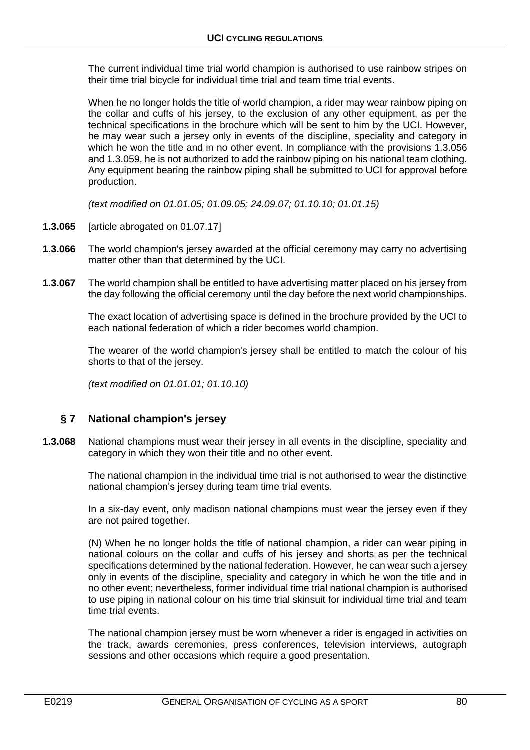The current individual time trial world champion is authorised to use rainbow stripes on their time trial bicycle for individual time trial and team time trial events.

When he no longer holds the title of world champion, a rider may wear rainbow piping on the collar and cuffs of his jersey, to the exclusion of any other equipment, as per the technical specifications in the brochure which will be sent to him by the UCI. However, he may wear such a jersey only in events of the discipline, speciality and category in which he won the title and in no other event. In compliance with the provisions 1.3.056 and 1.3.059, he is not authorized to add the rainbow piping on his national team clothing. Any equipment bearing the rainbow piping shall be submitted to UCI for approval before production.

*(text modified on 01.01.05; 01.09.05; 24.09.07; 01.10.10; 01.01.15)*

- **1.3.065** [article abrogated on 01.07.17]
- **1.3.066** The world champion's jersey awarded at the official ceremony may carry no advertising matter other than that determined by the UCI.
- **1.3.067** The world champion shall be entitled to have advertising matter placed on his jersey from the day following the official ceremony until the day before the next world championships.

The exact location of advertising space is defined in the brochure provided by the UCI to each national federation of which a rider becomes world champion.

The wearer of the world champion's jersey shall be entitled to match the colour of his shorts to that of the jersey.

*(text modified on 01.01.01; 01.10.10)*

## **§ 7 National champion's jersey**

**1.3.068** National champions must wear their jersey in all events in the discipline, speciality and category in which they won their title and no other event.

> The national champion in the individual time trial is not authorised to wear the distinctive national champion's jersey during team time trial events.

> In a six-day event, only madison national champions must wear the jersey even if they are not paired together.

> (N) When he no longer holds the title of national champion, a rider can wear piping in national colours on the collar and cuffs of his jersey and shorts as per the technical specifications determined by the national federation. However, he can wear such a jersey only in events of the discipline, speciality and category in which he won the title and in no other event; nevertheless, former individual time trial national champion is authorised to use piping in national colour on his time trial skinsuit for individual time trial and team time trial events.

> The national champion jersey must be worn whenever a rider is engaged in activities on the track, awards ceremonies, press conferences, television interviews, autograph sessions and other occasions which require a good presentation.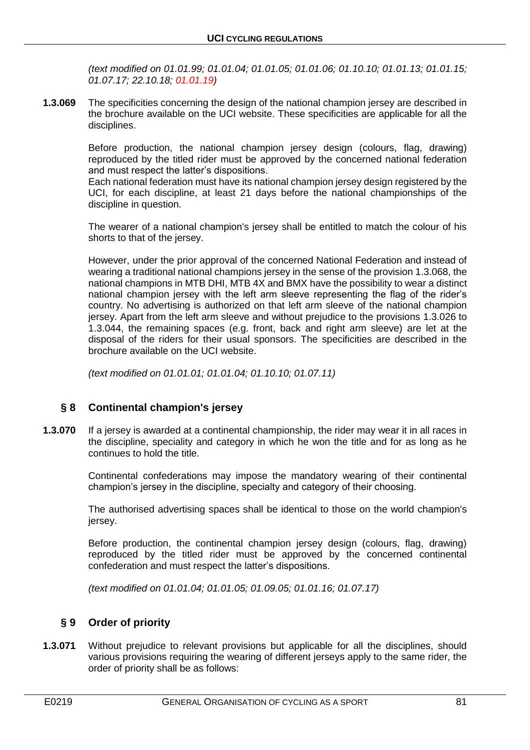*(text modified on 01.01.99; 01.01.04; 01.01.05; 01.01.06; 01.10.10; 01.01.13; 01.01.15; 01.07.17; 22.10.18; 01.01.19)*

**1.3.069** The specificities concerning the design of the national champion jersey are described in the brochure available on the UCI website. These specificities are applicable for all the disciplines.

> Before production, the national champion jersey design (colours, flag, drawing) reproduced by the titled rider must be approved by the concerned national federation and must respect the latter's dispositions.

> Each national federation must have its national champion jersey design registered by the UCI, for each discipline, at least 21 days before the national championships of the discipline in question.

> The wearer of a national champion's jersey shall be entitled to match the colour of his shorts to that of the jersey.

> However, under the prior approval of the concerned National Federation and instead of wearing a traditional national champions jersey in the sense of the provision 1.3.068, the national champions in MTB DHI, MTB 4X and BMX have the possibility to wear a distinct national champion jersey with the left arm sleeve representing the flag of the rider's country. No advertising is authorized on that left arm sleeve of the national champion jersey. Apart from the left arm sleeve and without prejudice to the provisions 1.3.026 to 1.3.044, the remaining spaces (e.g. front, back and right arm sleeve) are let at the disposal of the riders for their usual sponsors. The specificities are described in the brochure available on the UCI website.

*(text modified on 01.01.01; 01.01.04; 01.10.10; 01.07.11)*

# **§ 8 Continental champion's jersey**

**1.3.070** If a jersey is awarded at a continental championship, the rider may wear it in all races in the discipline, speciality and category in which he won the title and for as long as he continues to hold the title.

> Continental confederations may impose the mandatory wearing of their continental champion's jersey in the discipline, specialty and category of their choosing.

> The authorised advertising spaces shall be identical to those on the world champion's jersey.

> Before production, the continental champion jersey design (colours, flag, drawing) reproduced by the titled rider must be approved by the concerned continental confederation and must respect the latter's dispositions.

*(text modified on 01.01.04; 01.01.05; 01.09.05; 01.01.16; 01.07.17)*

# **§ 9 Order of priority**

**1.3.071** Without prejudice to relevant provisions but applicable for all the disciplines, should various provisions requiring the wearing of different jerseys apply to the same rider, the order of priority shall be as follows: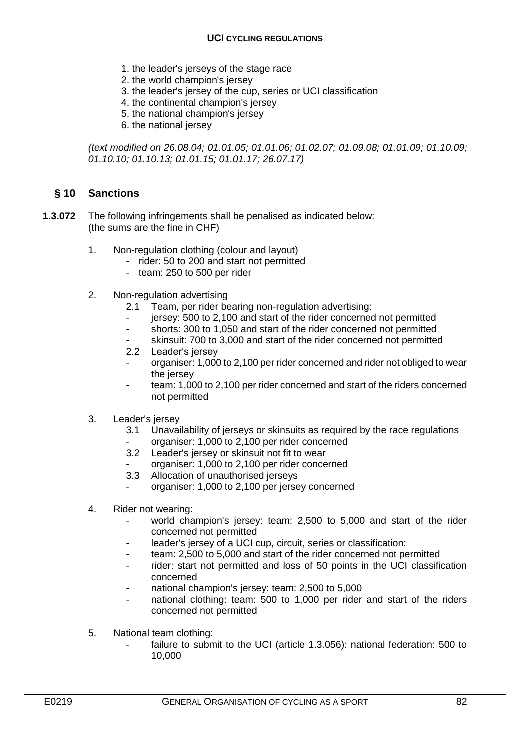- 1. the leader's jerseys of the stage race
- 2. the world champion's jersey
- 3. the leader's jersey of the cup, series or UCI classification
- 4. the continental champion's jersey
- 5. the national champion's jersey
- 6. the national jersey

*(text modified on 26.08.04; 01.01.05; 01.01.06; 01.02.07; 01.09.08; 01.01.09; 01.10.09; 01.10.10; 01.10.13; 01.01.15; 01.01.17; 26.07.17)*

## **§ 10 Sanctions**

- **1.3.072** The following infringements shall be penalised as indicated below: (the sums are the fine in CHF)
	- 1. Non-regulation clothing (colour and layout)
		- rider: 50 to 200 and start not permitted
		- team: 250 to 500 per rider
	- 2. Non-regulation advertising
		- 2.1 Team, per rider bearing non-regulation advertising:
		- jersey: 500 to 2,100 and start of the rider concerned not permitted
		- shorts: 300 to 1,050 and start of the rider concerned not permitted
		- skinsuit: 700 to 3,000 and start of the rider concerned not permitted
		- 2.2 Leader's jersey
		- organiser: 1,000 to 2,100 per rider concerned and rider not obliged to wear the jersey
		- team: 1,000 to 2,100 per rider concerned and start of the riders concerned not permitted
	- 3. Leader's jersey
		- 3.1 Unavailability of jerseys or skinsuits as required by the race regulations
		- organiser: 1,000 to 2,100 per rider concerned
		- 3.2 Leader's jersey or skinsuit not fit to wear
		- organiser: 1,000 to 2,100 per rider concerned
		- 3.3 Allocation of unauthorised jerseys
		- organiser: 1,000 to 2,100 per jersey concerned
	- 4. Rider not wearing:
		- world champion's jersey: team: 2,500 to 5,000 and start of the rider concerned not permitted
		- leader's jersey of a UCI cup, circuit, series or classification:
		- team: 2,500 to 5,000 and start of the rider concerned not permitted
		- rider: start not permitted and loss of 50 points in the UCI classification concerned
		- national champion's jersey: team: 2,500 to 5,000
		- national clothing: team: 500 to 1,000 per rider and start of the riders concerned not permitted
	- 5. National team clothing:
		- failure to submit to the UCI (article 1.3.056): national federation: 500 to 10,000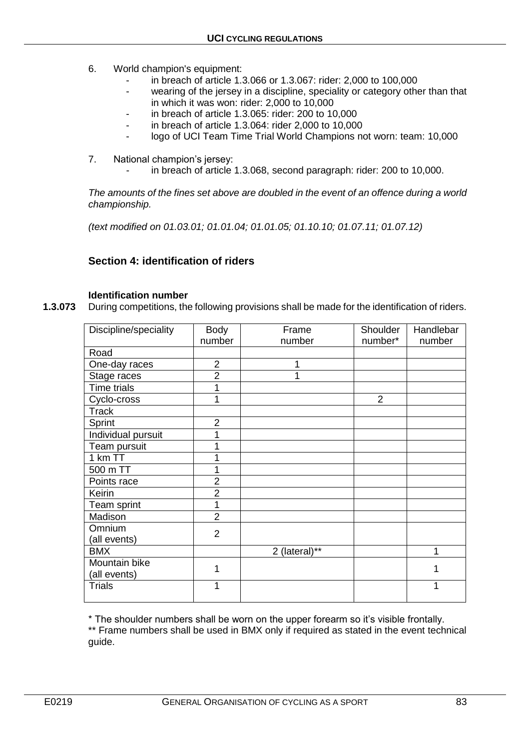- 6. World champion's equipment:
	- in breach of article 1.3.066 or 1.3.067: rider: 2,000 to 100,000
	- wearing of the jersey in a discipline, speciality or category other than that in which it was won: rider: 2,000 to 10,000
	- in breach of article 1.3.065: rider: 200 to 10,000
	- in breach of article 1.3.064: rider 2,000 to 10,000
	- logo of UCI Team Time Trial World Champions not worn: team: 10,000
- 7. National champion's jersey:
	- in breach of article 1.3.068, second paragraph: rider: 200 to 10,000.

*The amounts of the fines set above are doubled in the event of an offence during a world championship.*

*(text modified on 01.03.01; 01.01.04; 01.01.05; 01.10.10; 01.07.11; 01.07.12)*

# **Section 4: identification of riders**

## **Identification number**

**1.3.073** During competitions, the following provisions shall be made for the identification of riders.

| Discipline/speciality | <b>Body</b>    | Frame         | Shoulder       | Handlebar |
|-----------------------|----------------|---------------|----------------|-----------|
|                       | number         | number        | number*        | number    |
| Road                  |                |               |                |           |
| One-day races         | $\overline{2}$ |               |                |           |
| Stage races           | $\overline{2}$ | 1             |                |           |
| <b>Time trials</b>    | 1              |               |                |           |
| Cyclo-cross           | 1              |               | $\overline{2}$ |           |
| Track                 |                |               |                |           |
| Sprint                | $\overline{2}$ |               |                |           |
| Individual pursuit    | 1              |               |                |           |
| Team pursuit          | 1              |               |                |           |
| 1 km TT               | 1              |               |                |           |
| 500 m TT              | 1              |               |                |           |
| Points race           | $\overline{2}$ |               |                |           |
| Keirin                | $\overline{2}$ |               |                |           |
| Team sprint           | 1              |               |                |           |
| Madison               | $\overline{2}$ |               |                |           |
| Omnium                | $\overline{2}$ |               |                |           |
| (all events)          |                |               |                |           |
| <b>BMX</b>            |                | 2 (lateral)** |                | 1         |
| Mountain bike         | 1              |               |                |           |
| (all events)          |                |               |                | 1         |
| Trials                | 1              |               |                | 1         |
|                       |                |               |                |           |

\* The shoulder numbers shall be worn on the upper forearm so it's visible frontally.

\*\* Frame numbers shall be used in BMX only if required as stated in the event technical guide.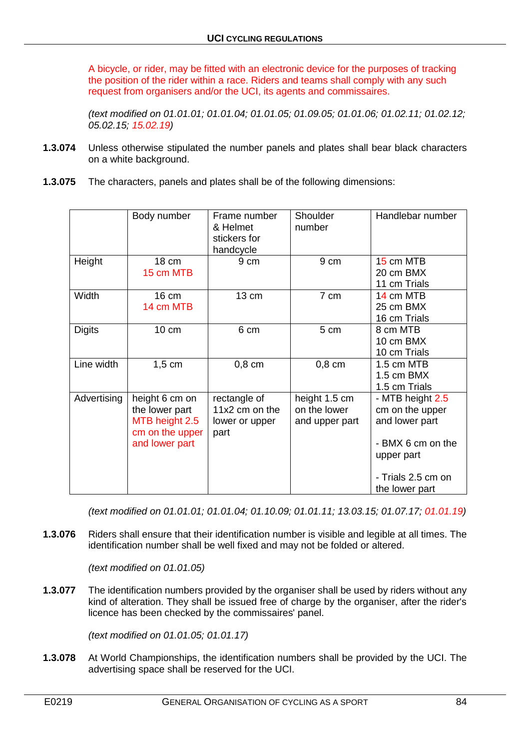A bicycle, or rider, may be fitted with an electronic device for the purposes of tracking the position of the rider within a race. Riders and teams shall comply with any such request from organisers and/or the UCI, its agents and commissaires.

*(text modified on 01.01.01; 01.01.04; 01.01.05; 01.09.05; 01.01.06; 01.02.11; 01.02.12; 05.02.15; 15.02.19)*

- **1.3.074** Unless otherwise stipulated the number panels and plates shall bear black characters on a white background.
- **1.3.075** The characters, panels and plates shall be of the following dimensions:

|               | Body number                                                                             | Frame number<br>& Helmet<br>stickers for<br>handcycle    | Shoulder<br>number                              | Handlebar number                                                                                                                 |
|---------------|-----------------------------------------------------------------------------------------|----------------------------------------------------------|-------------------------------------------------|----------------------------------------------------------------------------------------------------------------------------------|
| Height        | 18 cm<br>15 cm MTB                                                                      | 9 cm                                                     | 9 cm                                            | 15 cm MTB<br>20 cm BMX<br>11 cm Trials                                                                                           |
| Width         | 16 cm<br>14 cm MTB                                                                      | 13 cm                                                    | 7 cm                                            | 14 cm MTB<br>25 cm BMX<br>16 cm Trials                                                                                           |
| <b>Digits</b> | 10 cm                                                                                   | 6 cm                                                     | 5 cm                                            | 8 cm MTB<br>10 cm BMX<br>10 cm Trials                                                                                            |
| Line width    | $1,5$ cm                                                                                | $0,8$ cm                                                 | $0,8$ cm                                        | 1.5 cm MTB<br>1.5 cm BMX<br>1.5 cm Trials                                                                                        |
| Advertising   | height 6 cm on<br>the lower part<br>MTB height 2.5<br>cm on the upper<br>and lower part | rectangle of<br>11x2 cm on the<br>lower or upper<br>part | height 1.5 cm<br>on the lower<br>and upper part | - MTB height 2.5<br>cm on the upper<br>and lower part<br>- BMX 6 cm on the<br>upper part<br>- Trials 2.5 cm on<br>the lower part |

*(text modified on 01.01.01; 01.01.04; 01.10.09; 01.01.11; 13.03.15; 01.07.17; 01.01.19)*

**1.3.076** Riders shall ensure that their identification number is visible and legible at all times. The identification number shall be well fixed and may not be folded or altered.

*(text modified on 01.01.05)*

**1.3.077** The identification numbers provided by the organiser shall be used by riders without any kind of alteration. They shall be issued free of charge by the organiser, after the rider's licence has been checked by the commissaires' panel.

*(text modified on 01.01.05; 01.01.17)*

**1.3.078** At World Championships, the identification numbers shall be provided by the UCI. The advertising space shall be reserved for the UCI.